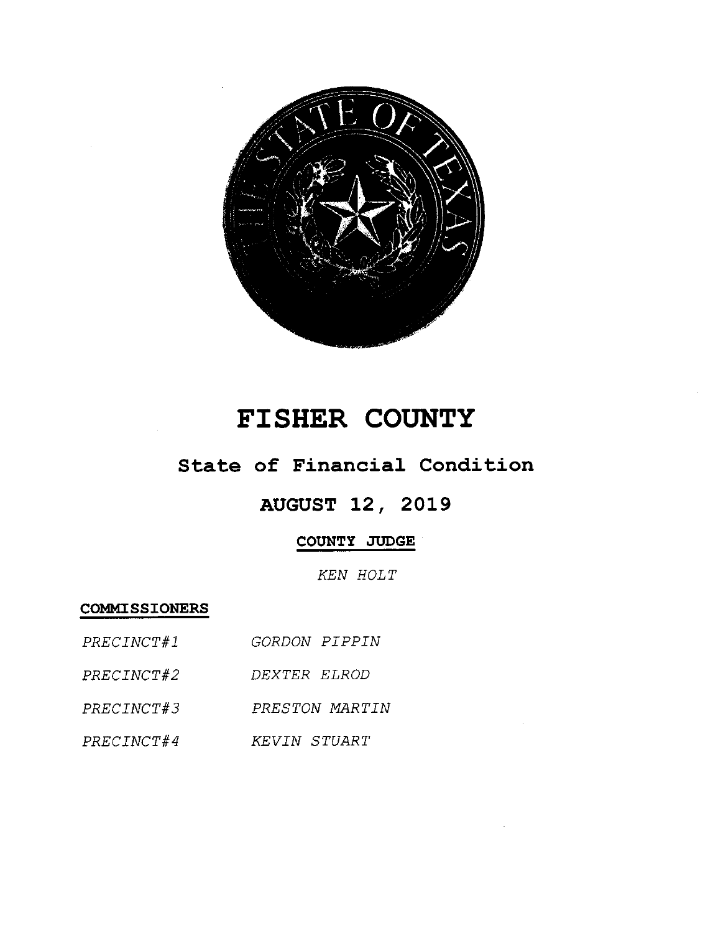

# FISHER COUNTY

### State of Financial Condition

## **AUGUST 12, 2019**

### COUNTY JUDGE

KEN HOLT

**COMMISSIONERS** 

| PRECINCT#1 | GORDON PIPPIN |  |
|------------|---------------|--|
|            |               |  |

- PRECINCT#2 DEXTER ELROD
- PRECINCT#3 PRESTON MARTIN
- PRECINCT#4 KEVIN STUART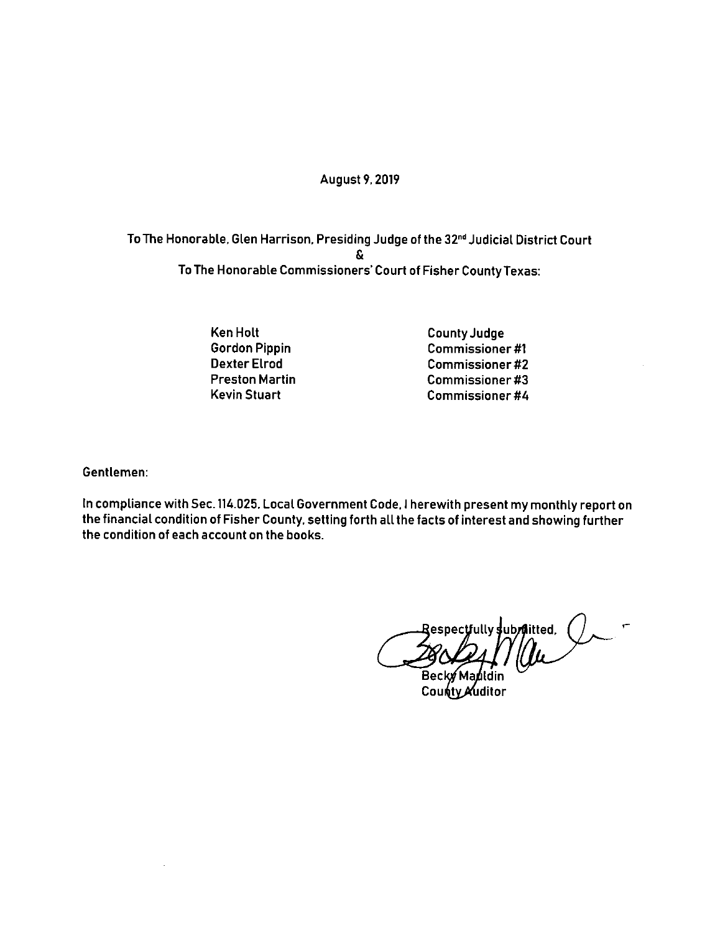#### **August 9, 2019**

To The Honorable, Glen Harrison, Presiding Judge of the 32<sup>nd</sup> Judicial District Court S. To The Honorable Commissioners' Court of Fisher County Texas:

> **Ken Holt Gordon Pippin Dexter Elrod Preston Martin Kevin Stuart**

**County Judge Commissioner#1 Commissioner#2 Commissioner#3 Commissioner#4** 

Gentlemen:

In compliance with Sec. 114.025, Local Government Code, I herewith present my monthly report on the financial condition of Fisher County, setting forth all the facts of interest and showing further the condition of each account on the books.

espectfully subraitted. (

County Muditor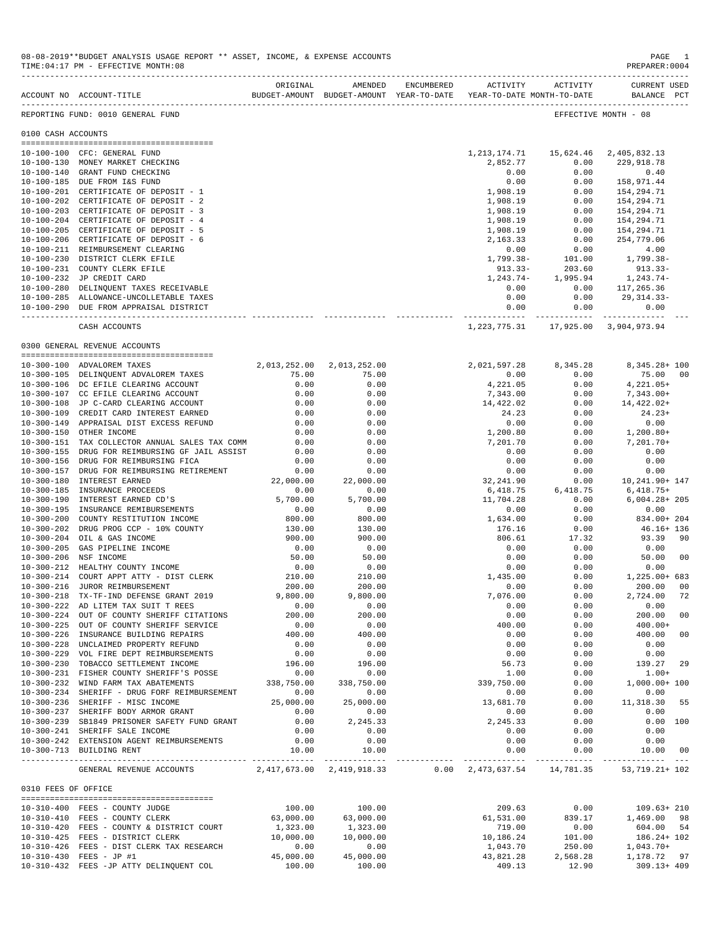|                     | 08-08-2019**BUDGET ANALYSIS USAGE REPORT ** ASSET, INCOME, & EXPENSE ACCOUNTS<br>TIME: 04:17 PM - EFFECTIVE MONTH: 08 |                     |                                            |                    |                         |                                                           | PAGE<br>- 1<br>PREPARER: 0004      |
|---------------------|-----------------------------------------------------------------------------------------------------------------------|---------------------|--------------------------------------------|--------------------|-------------------------|-----------------------------------------------------------|------------------------------------|
|                     | BUDGET-AMOUNT BUDGET-AMOUNT YEAR-TO-DATE YEAR-TO-DATE MONTH-TO-DATE<br>ACCOUNT NO ACCOUNT-TITLE                       | ORIGINAL            |                                            | AMENDED ENCUMBERED |                         | ACTIVITY ACTIVITY                                         | <b>CURRENT USED</b><br>BALANCE PCT |
|                     | REPORTING FUND: 0010 GENERAL FUND                                                                                     |                     |                                            |                    |                         |                                                           | EFFECTIVE MONTH - 08               |
| 0100 CASH ACCOUNTS  |                                                                                                                       |                     |                                            |                    |                         |                                                           |                                    |
|                     |                                                                                                                       |                     |                                            |                    |                         |                                                           |                                    |
|                     | 10-100-100 CFC: GENERAL FUND<br>10-100-130 MONEY MARKET CHECKING                                                      |                     |                                            |                    | 2,852.77                | 1, 213, 174. 71 15, 624. 46 2, 405, 832. 13<br>0.00       | 229,918.78                         |
|                     | 10-100-140 GRANT FUND CHECKING                                                                                        |                     |                                            |                    | 0.00                    | 0.00                                                      | 0.40                               |
|                     | 10-100-185 DUE FROM I&S FUND                                                                                          |                     |                                            |                    | 0.00                    | 0.00                                                      | 158,971.44                         |
|                     | 10-100-201 CERTIFICATE OF DEPOSIT - 1                                                                                 |                     |                                            |                    | 1,908.19                | 0.00                                                      | 154,294.71                         |
|                     | 10-100-202 CERTIFICATE OF DEPOSIT - 2                                                                                 |                     |                                            |                    | 1,908.19                | 0.00                                                      | 154,294.71                         |
|                     | 10-100-203 CERTIFICATE OF DEPOSIT - 3                                                                                 |                     |                                            |                    | 1,908.19                | 0.00                                                      | 154,294.71                         |
|                     | 10-100-204 CERTIFICATE OF DEPOSIT - 4                                                                                 |                     |                                            |                    | 1,908.19                | 0.00                                                      | 154,294.71                         |
|                     | 10-100-205 CERTIFICATE OF DEPOSIT - 5                                                                                 |                     |                                            |                    | 1,908.19                | 0.00                                                      | 154,294.71                         |
|                     | 10-100-206 CERTIFICATE OF DEPOSIT - 6<br>10-100-211 REIMBURSEMENT CLEARING                                            |                     |                                            |                    | 2,163.33<br>0.00        | 0.00<br>0.00                                              | 254,779.06<br>4.00                 |
|                     | 10-100-230 DISTRICT CLERK EFILE                                                                                       |                     |                                            |                    | 1,799.38-               | 101.00                                                    | 1,799.38-                          |
|                     | 10-100-231 COUNTY CLERK EFILE                                                                                         |                     |                                            |                    | $913.33-$               | 203.60                                                    | $913.33-$                          |
|                     | 10-100-232 JP CREDIT CARD                                                                                             |                     |                                            |                    | 1,243.74-               | 1,995.94                                                  | 1,243.74-                          |
|                     | 10-100-280 DELINQUENT TAXES RECEIVABLE                                                                                |                     |                                            |                    | 0.00                    | 0.00                                                      | 117,265.36                         |
|                     | 10-100-285 ALLOWANCE-UNCOLLETABLE TAXES                                                                               |                     |                                            |                    | 0.00                    | 0.00                                                      | 29,314.33-                         |
|                     | 10-100-290 DUE FROM APPRAISAL DISTRICT                                                                                |                     |                                            |                    | 0.00                    | 0.00                                                      | 0.00                               |
|                     | CASH ACCOUNTS                                                                                                         |                     |                                            |                    |                         | 1,223,775.31  17,925.00  3,904,973.94                     |                                    |
|                     |                                                                                                                       |                     |                                            |                    |                         |                                                           |                                    |
|                     | 0300 GENERAL REVENUE ACCOUNTS                                                                                         |                     |                                            |                    |                         |                                                           |                                    |
|                     | 10-300-100 ADVALOREM TAXES                                                                                            | 2,013,252.00        | 2,013,252.00                               |                    |                         | 2,021,597.28 8,345.28                                     | 8,345.28+ 100                      |
|                     | 10-300-105 DELINQUENT ADVALOREM TAXES                                                                                 | 75.00               | 75.00                                      |                    | 0.00                    | 0.00                                                      | 75.00 00                           |
|                     | 10-300-106 DC EFILE CLEARING ACCOUNT                                                                                  | 0.00                | 0.00                                       |                    | 4,221.05                | 0.00                                                      | $4.221.05+$                        |
|                     | 10-300-107 CC EFILE CLEARING ACCOUNT<br>10-300-108 JP C-CARD CLEARING ACCOUNT                                         | 0.00<br>0.00        | 0.00<br>0.00                               |                    | 7,343.00<br>14,422.02   | 0.00<br>0.00                                              | 7,343.00+<br>14,422.02+            |
|                     | 10-300-109 CREDIT CARD INTEREST EARNED                                                                                | 0.00                | 0.00                                       |                    | 24.23                   | 0.00                                                      | $24.23+$                           |
|                     | 10-300-149 APPRAISAL DIST EXCESS REFUND                                                                               | 0.00                | 0.00                                       |                    | 0.00                    | 0.00                                                      | 0.00                               |
|                     | 10-300-150 OTHER INCOME                                                                                               | 0.00                | 0.00                                       |                    | 1,200.80                | 0.00                                                      | $1,200.80+$                        |
|                     | 10-300-151 TAX COLLECTOR ANNUAL SALES TAX COMM                                                                        | 0.00                | 0.00                                       |                    | 7,201.70                | 0.00                                                      | $7,201.70+$                        |
|                     | 10-300-155 DRUG FOR REIMBURSING GF JAIL ASSIST                                                                        | 0.00                | 0.00                                       |                    | 0.00                    | 0.00                                                      | 0.00                               |
|                     | 10-300-156 DRUG FOR REIMBURSING FICA                                                                                  | 0.00                | 0.00                                       |                    | 0.00                    | 0.00                                                      | 0.00                               |
| $10 - 300 - 157$    | DRUG FOR REIMBURSING RETIREMENT<br>10-300-180 INTEREST EARNED                                                         | 0.00<br>22,000.00   | 0.00                                       |                    | 0.00                    | 0.00                                                      | 0.00                               |
|                     | 10-300-185 INSURANCE PROCEEDS                                                                                         | 0.00                | 22,000.00<br>0.00                          |                    | 32,241.90<br>6,418.75   | 0.00<br>6,418.75                                          | 10,241.90+ 147<br>$6,418.75+$      |
|                     | 10-300-190 INTEREST EARNED CD'S                                                                                       | 5,700.00            | 5,700.00                                   |                    | 11,704.28               | 0.00                                                      | $6,004.28 + 205$                   |
| 10-300-195          | INSURANCE REMIBURSEMENTS                                                                                              | 0.00                | 0.00                                       |                    | 0.00                    | 0.00                                                      | 0.00                               |
|                     | 10-300-200 COUNTY RESTITUTION INCOME                                                                                  | 800.00              | 800.00                                     |                    | 1,634.00                | 0.00                                                      | 834.00+ 204                        |
|                     | 10-300-202 DRUG PROG CCP - 10% COUNTY                                                                                 | 130.00              | 130.00                                     |                    | 176.16                  | 0.00                                                      | 46.16+ 136                         |
|                     | 10-300-204 OIL & GAS INCOME                                                                                           | 900.00              | 900.00                                     |                    | 806.61                  | 17.32                                                     | 93.39 90                           |
| $10 - 300 - 205$    | GAS PIPELINE INCOME<br>10-300-206 NSF INCOME                                                                          | 0.00                | 0.00                                       |                    | 0.00                    | 0.00                                                      | 0.00                               |
|                     | 10-300-212 HEALTHY COUNTY INCOME                                                                                      | 50.00<br>0.00       | 50.00<br>0.00                              |                    | 0.00<br>0.00            | 0.00<br>0.00                                              | 50.00<br>- 00<br>0.00              |
| $10 - 300 - 214$    | COURT APPT ATTY - DIST CLERK                                                                                          | 210.00              | 210.00                                     |                    | 1,435.00                | 0.00                                                      | 1,225.00+ 683                      |
|                     | 10-300-216 JUROR REIMBURSEMENT                                                                                        | 200.00              | 200.00                                     |                    | 0.00                    | 0.00                                                      | 200.00<br>00                       |
|                     | 10-300-218 TX-TF-IND DEFENSE GRANT 2019                                                                               | 9,800.00            | 9,800.00                                   |                    | 7,076.00                | 0.00                                                      | 72<br>2,724.00                     |
|                     | 10-300-222 AD LITEM TAX SUIT T REES                                                                                   | 0.00                | 0.00                                       |                    | 0.00                    | 0.00                                                      | 0.00                               |
|                     | 10-300-224 OUT OF COUNTY SHERIFF CITATIONS                                                                            | 200.00              | 200.00                                     |                    | 0.00                    | 0.00                                                      | 200.00<br>00 <sub>o</sub>          |
|                     | 10-300-225 OUT OF COUNTY SHERIFF SERVICE                                                                              | 0.00                | 0.00                                       |                    | 400.00                  | 0.00                                                      | $400.00+$                          |
|                     | 10-300-226 INSURANCE BUILDING REPAIRS<br>10-300-228 UNCLAIMED PROPERTY REFUND                                         | 400.00<br>0.00      | 400.00<br>0.00                             |                    | 0.00<br>0.00            | 0.00<br>0.00                                              | 400.00<br>00<br>0.00               |
|                     | 10-300-229 VOL FIRE DEPT REIMBURSEMENTS                                                                               | 0.00                | 0.00                                       |                    | 0.00                    | 0.00                                                      | 0.00                               |
|                     | 10-300-230 TOBACCO SETTLEMENT INCOME                                                                                  | 196.00              | 196.00                                     |                    | 56.73                   | 0.00                                                      | 139.27<br>29                       |
|                     | 10-300-231 FISHER COUNTY SHERIFF'S POSSE                                                                              | 0.00                | 0.00                                       |                    | 1.00                    | 0.00                                                      | $1.00+$                            |
|                     | 10-300-232 WIND FARM TAX ABATEMENTS                                                                                   | 338,750.00          | 338,750.00                                 |                    | 339,750.00              | 0.00                                                      | 1,000.00+ 100                      |
|                     | 10-300-234 SHERIFF - DRUG FORF REIMBURSEMENT                                                                          | 0.00                | 0.00                                       |                    | 0.00                    | 0.00                                                      | 0.00                               |
|                     | 10-300-236 SHERIFF - MISC INCOME                                                                                      | 25,000.00           | 25,000.00                                  |                    | 13,681.70               | 0.00                                                      | 11,318.30<br>55                    |
|                     | 10-300-237 SHERIFF BODY ARMOR GRANT                                                                                   | 0.00                | 0.00                                       |                    | 0.00                    | 0.00                                                      | 0.00                               |
|                     | 10-300-239 SB1849 PRISONER SAFETY FUND GRANT<br>10-300-241 SHERIFF SALE INCOME                                        | 0.00<br>0.00        | 2,245.33<br>0.00                           |                    | 2, 245.33<br>0.00       | 0.00<br>0.00                                              | 0.00 100<br>0.00                   |
|                     | 10-300-242 EXTENSION AGENT REIMBURSEMENTS                                                                             | 0.00                | 0.00                                       |                    | 0.00                    | 0.00                                                      | 0.00                               |
|                     | 10-300-713 BUILDING RENT                                                                                              | 10.00               | 10.00                                      |                    | 0.00                    | 0.00                                                      | 10.00 00                           |
|                     | GENERAL REVENUE ACCOUNTS                                                                                              |                     | -------------<br>2,417,673.00 2,419,918.33 |                    | . _ _ _ _ _ _ _ _ _ _ _ | ------------<br>$0.00 \quad 2,473,637.54 \quad 14,781.35$ | 53, 719. 21+ 102                   |
| 0310 FEES OF OFFICE |                                                                                                                       |                     |                                            |                    |                         |                                                           |                                    |
|                     |                                                                                                                       |                     |                                            |                    |                         |                                                           |                                    |
|                     | 10-310-400 FEES - COUNTY JUDGE                                                                                        | 100.00<br>63,000.00 | 100.00                                     |                    | 209.63                  | 0.00                                                      | 109.63+ 210<br>1,469.00 98         |
|                     | 10-310-410 FEES - COUNTY CLERK<br>10-310-420 FEES - COUNTY & DISTRICT COURT                                           | 1,323.00            | 63,000.00<br>1,323.00                      |                    | 61,531.00<br>719.00     | 839.17<br>0.00                                            | 604.00 54                          |
|                     | 10-310-425 FEES - DISTRICT CLERK                                                                                      | 10,000.00           | 10,000.00                                  |                    | 10,186.24               | 101.00                                                    | 186.24+ 102                        |
|                     | 10-310-426 FEES - DIST CLERK TAX RESEARCH                                                                             | 0.00                | 0.00                                       |                    | 1,043.70                | 250.00                                                    | 1,043.70+                          |
|                     | 10-310-430 FEES - JP #1                                                                                               | 45,000.00           | 45,000.00                                  |                    | 43,821.28               | 2,568.28                                                  | 1,178.72 97                        |
|                     | 10-310-432 FEES -JP ATTY DELINQUENT COL                                                                               | 100.00              | 100.00                                     |                    | 409.13                  | 12.90                                                     | $309.13 + 409$                     |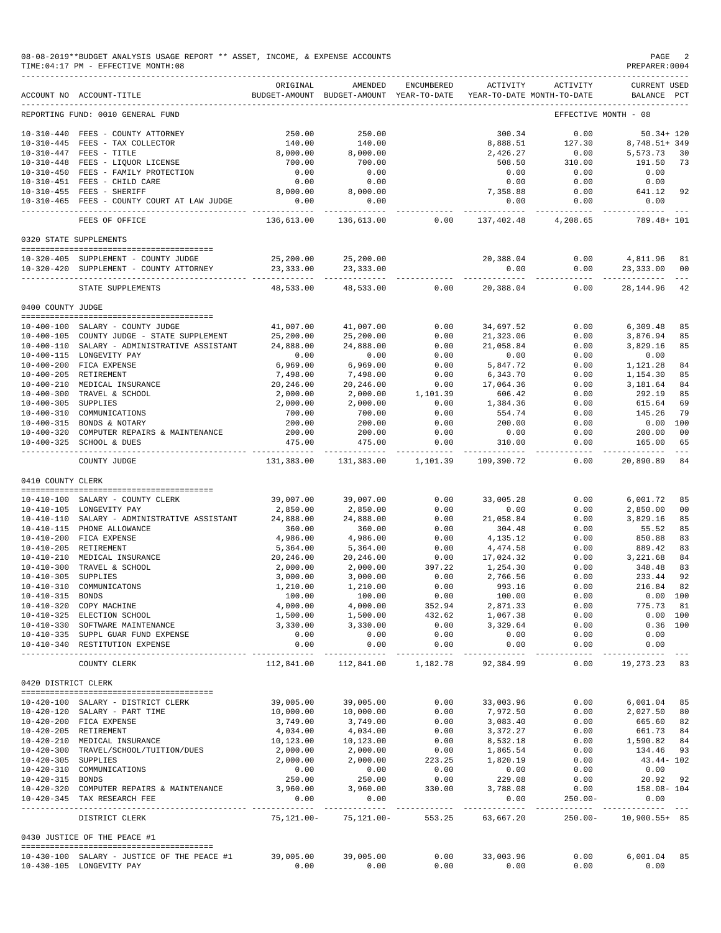|                     | 08-08-2019**BUDGET ANALYSIS USAGE REPORT ** ASSET, INCOME, & EXPENSE ACCOUNTS<br>TIME: 04:17 PM - EFFECTIVE MONTH: 08<br>----------------------------------- |                                             |                                                     |                    |                             |                                        | PAGE 2<br>PREPARER: 0004         |               |
|---------------------|--------------------------------------------------------------------------------------------------------------------------------------------------------------|---------------------------------------------|-----------------------------------------------------|--------------------|-----------------------------|----------------------------------------|----------------------------------|---------------|
|                     | ACCOUNT NO ACCOUNT-TITLE                                                                                                                                     | ORIGINAL                                    | AMENDED<br>BUDGET-AMOUNT BUDGET-AMOUNT YEAR-TO-DATE | ENCUMBERED         | ACTIVITY                    | ACTIVITY<br>YEAR-TO-DATE MONTH-TO-DATE | CURRENT USED<br>BALANCE PCT      |               |
|                     | REPORTING FUND: 0010 GENERAL FUND                                                                                                                            |                                             |                                                     |                    |                             |                                        | EFFECTIVE MONTH - 08             |               |
|                     | 10-310-440 FEES - COUNTY ATTORNEY                                                                                                                            | 250.00                                      | 250.00                                              |                    | 300.34                      | 0.00                                   | $50.34 + 120$                    |               |
|                     | 10-310-445 FEES - TAX COLLECTOR                                                                                                                              | 140.00                                      | 140.00                                              |                    |                             | 8,888.51 127.30                        | 8,748.51+349                     |               |
|                     | 10-310-447 FEES - TITLE                                                                                                                                      | 8,000.00                                    | 8,000.00                                            |                    | 2,426.27                    | 0.00                                   | 5,573.73 30                      |               |
|                     |                                                                                                                                                              | 700.00                                      | 700.00                                              |                    | 508.50                      | 310.00                                 | 191.50 73                        |               |
|                     | 10-310-448 FEES - LIQUOR LICENSE<br>10-310-450 FEES - FAMILY PROTECTION<br>---- CHILD CARE                                                                   | $\begin{array}{c} 0.00 \\ 0.00 \end{array}$ | $\begin{array}{c} 0.00 \\ 0.00 \end{array}$         |                    | 0.00                        | 0.00                                   | 0.00                             |               |
|                     |                                                                                                                                                              |                                             |                                                     |                    | 0.00                        | 0.00                                   | 0.00                             |               |
|                     | 10-310-455 FEES - SHERIFF<br>10-310-465 FEES - COUNTY COURT AT LAW JUDGE                                                                                     | 8,000.00<br>0.00                            | 8,000.00<br>0.00                                    |                    | 7,358.88<br>0.00            | 0.00<br>0.00                           | 641.12 92<br>0.00                |               |
|                     | FEES OF OFFICE                                                                                                                                               | .<br>136,613.00                             | _________________<br>136,613.00 0.00                |                    |                             | 137,402.48 4,208.65                    | 789.48+ 101                      |               |
|                     | 0320 STATE SUPPLEMENTS                                                                                                                                       |                                             |                                                     |                    |                             |                                        |                                  |               |
|                     | 10-320-405 SUPPLEMENT - COUNTY JUDGE                                                                                                                         |                                             | 25,200.00 25,200.00                                 |                    |                             |                                        | 20,388.04   0.00   4,811.96   81 |               |
|                     | 10-320-420 SUPPLEMENT - COUNTY ATTORNEY                                                                                                                      |                                             | 23, 333.00 23, 333.00                               |                    | 0.00                        | 0.00                                   | 23,333.00 00                     |               |
|                     | STATE SUPPLEMENTS                                                                                                                                            | 48,533.00                                   | 48,533.00                                           | 0.00               |                             | 20,388.04 0.00                         | 28,144.96                        | 42            |
| 0400 COUNTY JUDGE   |                                                                                                                                                              |                                             |                                                     |                    |                             |                                        |                                  |               |
|                     | 10-400-100 SALARY - COUNTY JUDGE                                                                                                                             | 41,007.00                                   | 41,007.00                                           | 0.00               | 34,697.52                   | 0.00                                   | 6,309.48                         | 85            |
|                     | 10-400-105 COUNTY JUDGE - STATE SUPPLEMENT                                                                                                                   | 25,200.00                                   | 25,200.00                                           | 0.00               | 21,323.06                   | 0.00                                   | 3,876.94                         | 85            |
|                     | 10-400-110 SALARY - ADMINISTRATIVE ASSISTANT                                                                                                                 | 24,888.00                                   | 24,888.00                                           | 0.00               | 21,058.84                   | 0.00                                   | 3,829.16                         | 85            |
|                     | 10-400-115 LONGEVITY PAY                                                                                                                                     | 0.00                                        | 0.00                                                | 0.00               | 0.00                        | 0.00                                   | 0.00                             |               |
|                     | 10-400-200 FICA EXPENSE                                                                                                                                      | 6,969.00                                    | 6,969.00                                            | 0.00               | 5,847.72                    | 0.00                                   | 1,121.28                         | 84            |
|                     | 10-400-205 RETIREMENT                                                                                                                                        | 7,498.00                                    | 7,498.00                                            | 0.00               | 6,343.70                    | 0.00                                   | 1,154.30                         | 85            |
|                     |                                                                                                                                                              | 20,246.00                                   | 20,246.00                                           | 0.00               | 17,064.36                   | 0.00                                   | 3,181.64                         | 84            |
|                     | 10-400-205 KEILKENEN<br>10-400-210 MEDICAL INSURANCE<br>10-400-300 TRAVEL & SCHOOL                                                                           | 2,000.00                                    | 2,000.00                                            | 1,101.39           | 606.42                      | 0.00                                   | 292.19                           | 85            |
| 10-400-305 SUPPLIES |                                                                                                                                                              | 2,000.00                                    | 2,000.00                                            | 0.00               | 1,384.36                    | 0.00                                   | 615.64                           | 69            |
|                     | 10-400-310 COMMUNICATIONS                                                                                                                                    | 700.00                                      | 700.00                                              | 0.00               | 554.74                      | 0.00                                   | 145.26                           | 79            |
|                     | 10-400-315 BONDS & NOTARY                                                                                                                                    | 200.00                                      | 200.00                                              | 0.00               | 200.00                      | 0.00                                   | 0.00 100                         |               |
|                     | 10-400-320 COMPUTER REPAIRS & MAINTENANCE<br>10-400-325 SCHOOL & DUES                                                                                        | 200.00<br>475.00                            | 200.00<br>475.00                                    | 0.00<br>0.00       | 0.00<br>310.00              | 0.00<br>0.00                           | 200.00<br>165.00                 | 00<br>65      |
|                     | COUNTY JUDGE                                                                                                                                                 | 131,383.00                                  | 131,383.00 1,101.39 109,390.72 0.00                 |                    |                             | ----------                             | .<br>20,890.89                   | $  -$<br>- 84 |
| 0410 COUNTY CLERK   |                                                                                                                                                              |                                             |                                                     |                    |                             |                                        |                                  |               |
|                     | 10-410-100 SALARY - COUNTY CLERK                                                                                                                             | 39,007.00                                   | 39,007.00                                           | 0.00               | 33,005.28                   | 0.00                                   | 6,001.72                         | 85            |
|                     | 10-410-105 LONGEVITY PAY                                                                                                                                     | 2,850.00                                    | 2,850.00                                            | 0.00               | 0.00                        | 0.00                                   | 2,850.00                         | 00            |
|                     | 10-410-110 SALARY - ADMINISTRATIVE ASSISTANT 24,888.00                                                                                                       |                                             | 24,888.00                                           | 0.00               | 21,058.84                   | 0.00                                   | 3,829.16                         | 85            |
|                     | 10-410-115 PHONE ALLOWANCE                                                                                                                                   | 360.00                                      | 360.00                                              | 0.00               | 304.48                      | 0.00                                   | 55.52                            | 85            |
|                     | 10-410-200 FICA EXPENSE                                                                                                                                      | 4,986.00                                    | 4,986.00                                            | 0.00               | 4,135.12                    | 0.00                                   | 850.88                           | 83            |
|                     | 10-410-205 RETIREMENT                                                                                                                                        | 5,364.00                                    | 5,364.00                                            | 0.00               | 4,474.58                    | 0.00                                   | 889.42                           | 83            |
|                     | 10-410-210 MEDICAL INSURANCE                                                                                                                                 | 20,246.00                                   | 20,246.00                                           | 0.00               | 17,024.32                   | 0.00                                   | 3,221.68                         | 84            |
|                     | 10-410-300 TRAVEL & SCHOOL                                                                                                                                   | 2,000.00                                    | 2,000.00                                            | 397.22             | 1,254.30                    | 0.00                                   | 348.48                           | 83            |
| 10-410-305 SUPPLIES |                                                                                                                                                              | 3,000.00                                    | 3,000.00                                            | 0.00               | 2,766.56                    | 0.00                                   | 233.44                           | 92            |
| 10-410-315 BONDS    | 10-410-310 COMMUNICATONS                                                                                                                                     | 1,210.00<br>100.00                          | 1,210.00<br>100.00                                  | 0.00<br>0.00       | 993.16<br>100.00            | 0.00<br>0.00                           | 216.84 82<br>$0.00$ 100          |               |
|                     | 10-410-320 COPY MACHINE                                                                                                                                      | 4,000.00                                    | 4,000.00                                            | 352.94             | 2,871.33                    | 0.00                                   | 775.73                           | 81            |
|                     | 10-410-325 ELECTION SCHOOL                                                                                                                                   | 1,500.00                                    | 1,500.00                                            | 432.62             | 1,067.38                    | 0.00                                   | 0.00 100                         |               |
|                     | 10-410-330 SOFTWARE MAINTENANCE                                                                                                                              | 3,330.00                                    | 3,330.00                                            | 0.00               | 3,329.64                    | 0.00                                   | $0.36$ 100                       |               |
|                     | 10-410-335 SUPPL GUAR FUND EXPENSE                                                                                                                           | 0.00                                        | 0.00                                                | 0.00               | 0.00                        | 0.00                                   | 0.00                             |               |
|                     | 10-410-340 RESTITUTION EXPENSE<br>______________________________________                                                                                     | 0.00                                        | 0.00<br>-----------                                 | 0.00<br>---------- | 0.00                        | 0.00<br>$- - - - -$                    | 0.00<br>-----------              |               |
|                     | COUNTY CLERK                                                                                                                                                 | 112,841.00                                  | 112,841.00                                          | 1,182.78           | 92,384.99                   | 0.00                                   | 19,273.23 83                     |               |
| 0420 DISTRICT CLERK |                                                                                                                                                              |                                             |                                                     |                    |                             |                                        |                                  |               |
|                     | 10-420-100 SALARY - DISTRICT CLERK                                                                                                                           | 39,005.00                                   | 39,005.00                                           | 0.00               | 33,003.96                   | 0.00                                   | 6,001.04 85                      |               |
|                     | 10-420-120 SALARY - PART TIME                                                                                                                                | 10,000.00                                   | 10,000.00                                           | 0.00               | 7,972.50                    | 0.00                                   | 2,027.50 80                      |               |
|                     | 10-420-200 FICA EXPENSE                                                                                                                                      | 3,749.00                                    | 3,749.00                                            | 0.00               | 3,083.40                    | 0.00                                   | 665.60 82                        |               |
|                     | 10-420-205 RETIREMENT                                                                                                                                        | 4,034.00                                    | 4,034.00                                            | 0.00               | 3,372.27                    | 0.00                                   | 661.73 84                        |               |
|                     | 10-420-210 MEDICAL INSURANCE                                                                                                                                 | 10,123.00                                   | 10,123.00                                           | 0.00               | 8,532.18                    | 0.00                                   | 1,590.82 84                      |               |
|                     | 10-420-300 TRAVEL/SCHOOL/TUITION/DUES                                                                                                                        | 2,000.00                                    | 2,000.00                                            | 0.00               | 1,865.54                    | 0.00                                   | 134.46 93                        |               |
| 10-420-305 SUPPLIES |                                                                                                                                                              | 2,000.00                                    | 2,000.00                                            | 223.25             | 1,820.19<br>0.00            | 0.00                                   | $43.44 - 102$                    |               |
| 10-420-315 BONDS    | 10-420-310 COMMUNICATIONS                                                                                                                                    | 0.00<br>250.00                              | 0.00<br>250.00                                      | 0.00<br>0.00       | 229.08                      | 0.00<br>0.00                           | 0.00<br>20.92 92                 |               |
|                     | 10-420-320 COMPUTER REPAIRS & MAINTENANCE                                                                                                                    | 3,960.00                                    | 3,960.00                                            | 330.00             | 3,788.08                    | 0.00                                   | $158.08 - 104$                   |               |
|                     | 10-420-345 TAX RESEARCH FEE                                                                                                                                  | 0.00                                        | 0.00                                                |                    | 0.00                        | $250.00 -$                             | 0.00                             |               |
|                     | DISTRICT CLERK                                                                                                                                               | ----------<br>75,121.00-                    | ------------<br>75,121.00-                          | 553.25             | --------------<br>63,667.20 |                                        | 250.00- 10,900.55+ 85            |               |
|                     | 0430 JUSTICE OF THE PEACE #1                                                                                                                                 |                                             |                                                     |                    |                             |                                        |                                  |               |
|                     |                                                                                                                                                              |                                             |                                                     |                    |                             |                                        |                                  |               |
|                     | 10-430-100 SALARY - JUSTICE OF THE PEACE #1<br>10-430-105 LONGEVITY PAY                                                                                      | 39,005.00<br>0.00                           | 39,005.00<br>0.00                                   | 0.00<br>0.00       | 33,003.96<br>0.00           | 0.00<br>0.00                           | 6,001.04 85<br>0.00              |               |
|                     |                                                                                                                                                              |                                             |                                                     |                    |                             |                                        |                                  |               |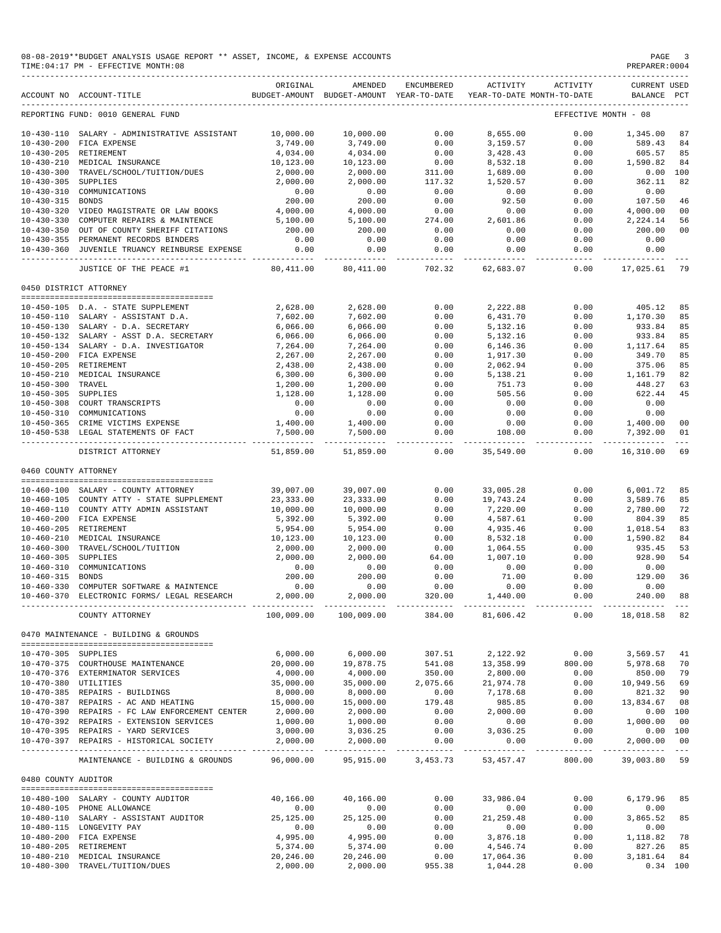|                                      | 08-08-2019**BUDGET ANALYSIS USAGE REPORT ** ASSET, INCOME, & EXPENSE ACCOUNTS<br>TIME: 04:17 PM - EFFECTIVE MONTH: 08 |                          |                                                     |                        |                         |                                        | PAGE<br>PREPARER: 0004         |                                                                                                                                                                                                                                                                                                                                                                                                    |
|--------------------------------------|-----------------------------------------------------------------------------------------------------------------------|--------------------------|-----------------------------------------------------|------------------------|-------------------------|----------------------------------------|--------------------------------|----------------------------------------------------------------------------------------------------------------------------------------------------------------------------------------------------------------------------------------------------------------------------------------------------------------------------------------------------------------------------------------------------|
|                                      | ACCOUNT NO ACCOUNT-TITLE                                                                                              | ORIGINAL                 | AMENDED<br>BUDGET-AMOUNT BUDGET-AMOUNT YEAR-TO-DATE | ENCUMBERED             | ACTIVITY                | ACTIVITY<br>YEAR-TO-DATE MONTH-TO-DATE | <b>CURRENT USED</b><br>BALANCE | $_{\rm PCT}$                                                                                                                                                                                                                                                                                                                                                                                       |
|                                      | REPORTING FUND: 0010 GENERAL FUND                                                                                     |                          |                                                     |                        |                         |                                        | EFFECTIVE MONTH - 08           |                                                                                                                                                                                                                                                                                                                                                                                                    |
|                                      | 10-430-110 SALARY - ADMINISTRATIVE ASSISTANT                                                                          | 10,000.00                | 10,000.00                                           | 0.00                   | 8,655.00                | 0.00                                   | 1,345.00                       | 87                                                                                                                                                                                                                                                                                                                                                                                                 |
| $10 - 430 - 200$                     | FICA EXPENSE                                                                                                          | 3,749.00                 | 3,749.00                                            | 0.00                   | 3,159.57                | 0.00                                   | 589.43                         | 84                                                                                                                                                                                                                                                                                                                                                                                                 |
| $10 - 430 - 205$                     | RETIREMENT                                                                                                            | 4,034.00                 | 4,034.00                                            | 0.00                   | 3,428.43                | 0.00                                   | 605.57                         | 85                                                                                                                                                                                                                                                                                                                                                                                                 |
| $10 - 430 - 210$                     | MEDICAL INSURANCE                                                                                                     | 10,123.00                | 10,123.00                                           | 0.00                   | 8,532.18                | 0.00                                   | 1,590.82                       | 84                                                                                                                                                                                                                                                                                                                                                                                                 |
| $10 - 430 - 300$                     | TRAVEL/SCHOOL/TUITION/DUES                                                                                            | 2,000.00                 | 2,000.00                                            | 311.00                 | 1,689.00                | 0.00                                   | 0.00                           | 100                                                                                                                                                                                                                                                                                                                                                                                                |
| $10 - 430 - 305$                     | SUPPLIES                                                                                                              | 2,000.00                 | 2,000.00                                            | 117.32                 | 1,520.57                | 0.00                                   | 362.11                         | 82                                                                                                                                                                                                                                                                                                                                                                                                 |
| $10 - 430 - 310$                     | COMMUNICATIONS                                                                                                        | 0.00                     | 0.00                                                | 0.00                   | 0.00                    | 0.00                                   | 0.00                           |                                                                                                                                                                                                                                                                                                                                                                                                    |
| $10 - 430 - 315$                     | <b>BONDS</b>                                                                                                          | 200.00                   | 200.00                                              | 0.00                   | 92.50                   | 0.00                                   | 107.50                         | 46                                                                                                                                                                                                                                                                                                                                                                                                 |
| $10 - 430 - 320$<br>$10 - 430 - 330$ | VIDEO MAGISTRATE OR LAW BOOKS<br>COMPUTER REPAIRS & MAINTENCE                                                         | 4,000.00<br>5,100.00     | 4,000.00<br>5,100.00                                | 0.00<br>274.00         | 0.00<br>2,601.86        | 0.00<br>0.00                           | 4,000.00<br>2,224.14           | 00<br>56                                                                                                                                                                                                                                                                                                                                                                                           |
| $10 - 430 - 350$                     | OUT OF COUNTY SHERIFF CITATIONS                                                                                       | 200.00                   | 200.00                                              | 0.00                   | 0.00                    | 0.00                                   | 200.00                         | 00                                                                                                                                                                                                                                                                                                                                                                                                 |
|                                      | 10-430-355 PERMANENT RECORDS BINDERS                                                                                  | 0.00                     | 0.00                                                | 0.00                   | 0.00                    | 0.00                                   | 0.00                           |                                                                                                                                                                                                                                                                                                                                                                                                    |
| $10 - 430 - 360$                     | JUVENILE TRUANCY REINBURSE EXPENSE                                                                                    | 0.00                     | 0.00<br>-----------                                 | 0.00<br>----------     | 0.00<br>-----------     | 0.00<br>------------                   | 0.00<br>-----------            |                                                                                                                                                                                                                                                                                                                                                                                                    |
|                                      | JUSTICE OF THE PEACE #1                                                                                               | 80,411.00                | 80,411.00                                           | 702.32                 | 62,683.07               | 0.00                                   | 17,025.61                      | 79                                                                                                                                                                                                                                                                                                                                                                                                 |
|                                      | 0450 DISTRICT ATTORNEY                                                                                                |                          |                                                     |                        |                         |                                        |                                |                                                                                                                                                                                                                                                                                                                                                                                                    |
|                                      |                                                                                                                       |                          |                                                     |                        |                         |                                        |                                |                                                                                                                                                                                                                                                                                                                                                                                                    |
|                                      | 10-450-105 D.A. - STATE SUPPLEMENT<br>10-450-110 SALARY - ASSISTANT D.A.                                              | 2,628.00<br>7,602.00     | 2,628.00<br>7,602.00                                | 0.00<br>0.00           | 2,222.88<br>6,431.70    | 0.00<br>0.00                           | 405.12<br>1,170.30             | 85<br>85                                                                                                                                                                                                                                                                                                                                                                                           |
|                                      | 10-450-130 SALARY - D.A. SECRETARY                                                                                    | 6,066.00                 | 6,066.00                                            | 0.00                   | 5,132.16                | 0.00                                   | 933.84                         | 85                                                                                                                                                                                                                                                                                                                                                                                                 |
|                                      | 10-450-132 SALARY - ASST D.A. SECRETARY                                                                               | 6,066.00                 | 6.066.00                                            | 0.00                   | 5,132.16                | 0.00                                   | 933.84                         | 85                                                                                                                                                                                                                                                                                                                                                                                                 |
|                                      | 10-450-134 SALARY - D.A. INVESTIGATOR                                                                                 | 7,264.00                 | 7,264.00                                            | 0.00                   | 6,146.36                | 0.00                                   | 1,117.64                       | 85                                                                                                                                                                                                                                                                                                                                                                                                 |
|                                      | 10-450-200 FICA EXPENSE                                                                                               | 2,267.00                 | 2,267.00                                            | 0.00                   | 1,917.30                | 0.00                                   | 349.70                         | 85                                                                                                                                                                                                                                                                                                                                                                                                 |
|                                      | 10-450-205 RETIREMENT                                                                                                 | 2,438.00                 | 2,438.00                                            | 0.00                   | 2,062.94                | 0.00                                   | 375.06                         | 85                                                                                                                                                                                                                                                                                                                                                                                                 |
|                                      | 10-450-210 MEDICAL INSURANCE                                                                                          | 6,300.00                 | 6,300.00                                            | 0.00                   | 5,138.21                | 0.00                                   | 1,161.79                       | 82                                                                                                                                                                                                                                                                                                                                                                                                 |
| 10-450-300 TRAVEL                    |                                                                                                                       | 1,200.00                 | 1,200.00                                            | 0.00                   | 751.73                  | 0.00                                   | 448.27                         | 63                                                                                                                                                                                                                                                                                                                                                                                                 |
| 10-450-305 SUPPLIES                  |                                                                                                                       | 1,128.00                 | 1,128.00                                            | 0.00                   | 505.56                  | 0.00                                   | 622.44                         | 45                                                                                                                                                                                                                                                                                                                                                                                                 |
|                                      | 10-450-308 COURT TRANSCRIPTS                                                                                          | 0.00                     | 0.00                                                | 0.00                   | 0.00                    | 0.00                                   | 0.00                           |                                                                                                                                                                                                                                                                                                                                                                                                    |
|                                      | 10-450-310 COMMUNICATIONS                                                                                             | 0.00                     | 0.00                                                | 0.00                   | 0.00                    | 0.00                                   | 0.00                           |                                                                                                                                                                                                                                                                                                                                                                                                    |
|                                      | 10-450-365 CRIME VICTIMS EXPENSE<br>10-450-538 LEGAL STATEMENTS OF FACT                                               | 1,400.00<br>7,500.00     | 1,400.00<br>7,500.00                                | 0.00<br>0.00           | 0.00<br>108.00          | 0.00<br>0.00                           | 1,400.00<br>7,392.00           | 0 <sup>0</sup><br>01                                                                                                                                                                                                                                                                                                                                                                               |
|                                      | DISTRICT ATTORNEY                                                                                                     | ----------<br>51,859.00  | 51,859.00                                           | $- - - - -$<br>0.00    | 35,549.00               | $- - - - -$<br>0.00                    | 16,310.00                      | 69                                                                                                                                                                                                                                                                                                                                                                                                 |
| 0460 COUNTY ATTORNEY                 |                                                                                                                       |                          |                                                     |                        |                         |                                        |                                |                                                                                                                                                                                                                                                                                                                                                                                                    |
|                                      |                                                                                                                       |                          |                                                     |                        |                         |                                        |                                |                                                                                                                                                                                                                                                                                                                                                                                                    |
|                                      | 10-460-100 SALARY - COUNTY ATTORNEY                                                                                   | 39,007.00                | 39,007.00                                           | 0.00                   | 33,005.28               | 0.00                                   | 6,001.72                       | 85                                                                                                                                                                                                                                                                                                                                                                                                 |
|                                      | 10-460-105 COUNTY ATTY - STATE SUPPLEMENT<br>10-460-110 COUNTY ATTY ADMIN ASSISTANT                                   | 23, 333.00<br>10,000.00  | 23, 333.00<br>10,000.00                             | 0.00<br>0.00           | 19,743.24<br>7,220.00   | 0.00<br>0.00                           | 3,589.76<br>2,780.00           | 85<br>72                                                                                                                                                                                                                                                                                                                                                                                           |
|                                      | 10-460-200 FICA EXPENSE                                                                                               | 5,392.00                 | 5,392.00                                            | 0.00                   | 4,587.61                | 0.00                                   | 804.39                         | 85                                                                                                                                                                                                                                                                                                                                                                                                 |
| $10 - 460 - 205$                     | RETIREMENT                                                                                                            | 5,954.00                 | 5,954.00                                            | 0.00                   | 4,935.46                | 0.00                                   | 1,018.54                       | 83                                                                                                                                                                                                                                                                                                                                                                                                 |
| $10 - 460 - 210$                     | MEDICAL INSURANCE                                                                                                     | 10,123.00                | 10,123.00                                           | 0.00                   | 8,532.18                | 0.00                                   | 1,590.82                       | 84                                                                                                                                                                                                                                                                                                                                                                                                 |
| $10 - 460 - 300$                     | TRAVEL/SCHOOL/TUITION                                                                                                 | 2,000.00                 | 2,000.00                                            | 0.00                   | 1,064.55                | 0.00                                   | 935.45                         | 53                                                                                                                                                                                                                                                                                                                                                                                                 |
| $10 - 460 - 305$                     | SUPPLIES                                                                                                              | 2,000.00                 | 2,000.00                                            | 64.00                  | 1,007.10                | 0.00                                   | 928.90                         | 54                                                                                                                                                                                                                                                                                                                                                                                                 |
| $10 - 460 - 310$                     | COMMUNICATIONS                                                                                                        | 0.00                     | 0.00                                                | 0.00                   | 0.00                    | 0.00                                   | 0.00                           |                                                                                                                                                                                                                                                                                                                                                                                                    |
| $10 - 460 - 315$                     | <b>BONDS</b>                                                                                                          | 200.00                   | 200.00                                              | 0.00                   | 71.00                   | 0.00                                   | 129.00                         | 36                                                                                                                                                                                                                                                                                                                                                                                                 |
|                                      | 10-460-330 COMPUTER SOFTWARE & MAINTENCE                                                                              | 0.00                     | 0.00                                                | 0.00                   | 0.00                    | 0.00                                   | 0.00                           |                                                                                                                                                                                                                                                                                                                                                                                                    |
|                                      | 10-460-370 ELECTRONIC FORMS/ LEGAL RESEARCH                                                                           | 2,000.00<br>------------ | 2,000.00                                            | 320.00<br>-------      | 1,440.00                | 0.00                                   | 240.00<br>---------            | 88<br>$\frac{1}{2}$                                                                                                                                                                                                                                                                                                                                                                                |
|                                      | COUNTY ATTORNEY                                                                                                       | 100,009.00               | 100,009.00                                          | 384.00                 | 81,606.42               | 0.00                                   | 18,018.58 82                   |                                                                                                                                                                                                                                                                                                                                                                                                    |
|                                      | 0470 MAINTENANCE - BUILDING & GROUNDS                                                                                 |                          |                                                     |                        |                         |                                        |                                |                                                                                                                                                                                                                                                                                                                                                                                                    |
| 10-470-305 SUPPLIES                  |                                                                                                                       | 6,000.00                 | 6,000.00                                            | 307.51                 | 2,122.92                | 0.00                                   | 3,569.57                       | 41                                                                                                                                                                                                                                                                                                                                                                                                 |
|                                      | 10-470-375 COURTHOUSE MAINTENANCE                                                                                     | 20,000.00                | 19,878.75                                           | 541.08                 | 13,358.99               | 800.00                                 | 5,978.68                       | 70                                                                                                                                                                                                                                                                                                                                                                                                 |
|                                      | 10-470-376 EXTERMINATOR SERVICES                                                                                      | 4,000.00                 | 4,000.00                                            | 350.00                 | 2,800.00                | 0.00                                   | 850.00                         | 79                                                                                                                                                                                                                                                                                                                                                                                                 |
| 10-470-380 UTILITIES                 |                                                                                                                       | 35,000.00                | 35,000.00                                           | 2,075.66               | 21,974.78               | 0.00                                   | 10,949.56                      | 69                                                                                                                                                                                                                                                                                                                                                                                                 |
|                                      | 10-470-385 REPAIRS - BUILDINGS                                                                                        | 8,000.00                 | 8,000.00                                            | 0.00                   | 7,178.68                | 0.00                                   | 821.32                         | 90                                                                                                                                                                                                                                                                                                                                                                                                 |
|                                      | 10-470-387 REPAIRS - AC AND HEATING                                                                                   | 15,000.00                | 15,000.00                                           | 179.48                 | 985.85                  | 0.00                                   | 13,834.67                      | 08                                                                                                                                                                                                                                                                                                                                                                                                 |
|                                      | 10-470-390 REPAIRS - FC LAW ENFORCEMENT CENTER                                                                        | 2,000.00                 | 2,000.00                                            | 0.00                   | 2,000.00                | 0.00                                   | 0.00 100                       |                                                                                                                                                                                                                                                                                                                                                                                                    |
|                                      | 10-470-392 REPAIRS - EXTENSION SERVICES                                                                               | 1,000.00                 | 1,000.00                                            | 0.00                   | 0.00                    | 0.00                                   | 1,000.00                       | 00                                                                                                                                                                                                                                                                                                                                                                                                 |
|                                      | 10-470-395 REPAIRS - YARD SERVICES<br>10-470-397 REPAIRS - HISTORICAL SOCIETY                                         | 3,000.00<br>2,000.00     | 3,036.25<br>2,000.00                                | 0.00<br>0.00           | 3,036.25<br>0.00        | 0.00<br>0.00                           | 0.00 100<br>2,000.00           | 00                                                                                                                                                                                                                                                                                                                                                                                                 |
|                                      | MAINTENANCE - BUILDING & GROUNDS                                                                                      | __________<br>96,000.00  | -----------<br>95,915.00                            | ----------<br>3,453.73 | ----------<br>53,457.47 | .<br>800.00                            | 39,003.80                      | $\frac{1}{2} \frac{1}{2} \frac{1}{2} \frac{1}{2} \frac{1}{2} \frac{1}{2} \frac{1}{2} \frac{1}{2} \frac{1}{2} \frac{1}{2} \frac{1}{2} \frac{1}{2} \frac{1}{2} \frac{1}{2} \frac{1}{2} \frac{1}{2} \frac{1}{2} \frac{1}{2} \frac{1}{2} \frac{1}{2} \frac{1}{2} \frac{1}{2} \frac{1}{2} \frac{1}{2} \frac{1}{2} \frac{1}{2} \frac{1}{2} \frac{1}{2} \frac{1}{2} \frac{1}{2} \frac{1}{2} \frac{$<br>59 |
|                                      |                                                                                                                       |                          |                                                     |                        |                         |                                        |                                |                                                                                                                                                                                                                                                                                                                                                                                                    |
| 0480 COUNTY AUDITOR                  |                                                                                                                       |                          |                                                     |                        |                         |                                        |                                |                                                                                                                                                                                                                                                                                                                                                                                                    |
|                                      | 10-480-100 SALARY - COUNTY AUDITOR                                                                                    | 40,166.00                | 40,166.00                                           | 0.00                   | 33,986.04               | 0.00                                   | 6,179.96                       | 85                                                                                                                                                                                                                                                                                                                                                                                                 |
|                                      | 10-480-105 PHONE ALLOWANCE                                                                                            | 0.00                     | 0.00                                                | 0.00                   | 0.00                    | 0.00                                   | 0.00                           |                                                                                                                                                                                                                                                                                                                                                                                                    |
|                                      | 10-480-110 SALARY - ASSISTANT AUDITOR                                                                                 | 25,125.00                | 25,125.00                                           | 0.00                   | 21, 259.48              | 0.00                                   | 3,865.52                       | 85                                                                                                                                                                                                                                                                                                                                                                                                 |
|                                      | 10-480-115 LONGEVITY PAY                                                                                              | 0.00                     | 0.00                                                | 0.00                   | 0.00                    | 0.00                                   | 0.00                           |                                                                                                                                                                                                                                                                                                                                                                                                    |
|                                      | 10-480-200 FICA EXPENSE<br>10-480-205 RETIREMENT                                                                      | 4,995.00<br>5,374.00     | 4,995.00<br>5,374.00                                | 0.00<br>0.00           | 3,876.18<br>4,546.74    | 0.00<br>0.00                           | 1,118.82<br>827.26             | 78<br>85                                                                                                                                                                                                                                                                                                                                                                                           |
| $10 - 480 - 210$                     | MEDICAL INSURANCE                                                                                                     | 20,246.00                | 20,246.00                                           | 0.00                   | 17,064.36               | 0.00                                   | 3,181.64                       | 84                                                                                                                                                                                                                                                                                                                                                                                                 |
| $10 - 480 - 300$                     | TRAVEL/TUITION/DUES                                                                                                   | 2,000.00                 | 2,000.00                                            | 955.38                 | 1,044.28                | 0.00                                   |                                | $0.34$ 100                                                                                                                                                                                                                                                                                                                                                                                         |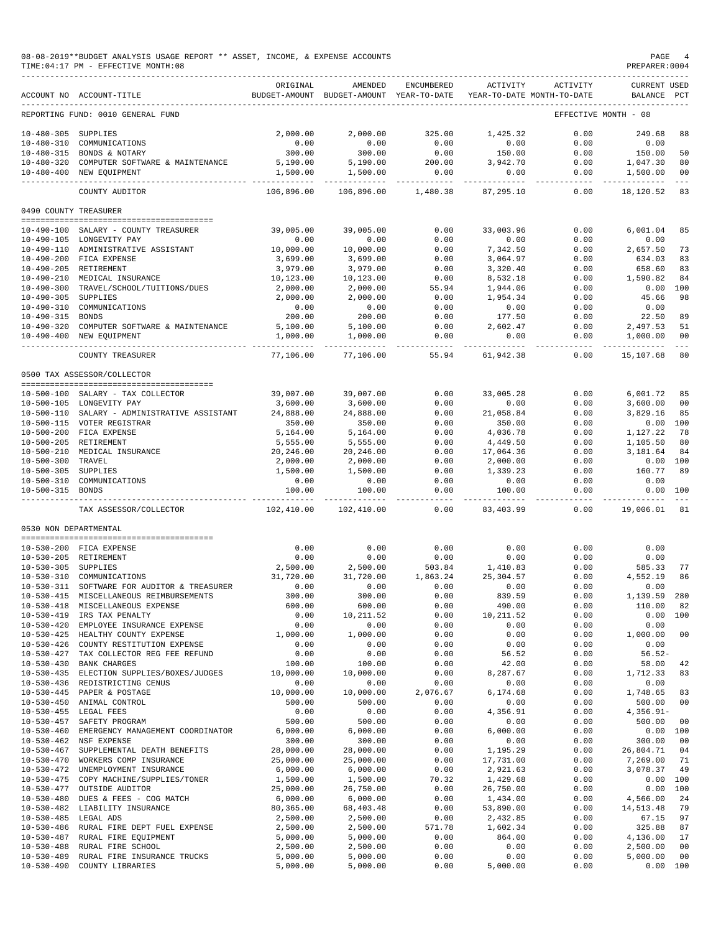|                       | 08-08-2019**BUDGET ANALYSIS USAGE REPORT ** ASSET, INCOME, & EXPENSE ACCOUNTS<br>TIME: 04:17 PM - EFFECTIVE MONTH: 08 |                                         |                                                     |                  |                         |                                        | PAGE<br>PREPARER: 0004             | 4                   |
|-----------------------|-----------------------------------------------------------------------------------------------------------------------|-----------------------------------------|-----------------------------------------------------|------------------|-------------------------|----------------------------------------|------------------------------------|---------------------|
|                       | ACCOUNT NO ACCOUNT-TITLE                                                                                              | ORIGINAL                                | AMENDED<br>BUDGET-AMOUNT BUDGET-AMOUNT YEAR-TO-DATE | ENCUMBERED       | ACTIVITY                | ACTIVITY<br>YEAR-TO-DATE MONTH-TO-DATE | <b>CURRENT USED</b><br>BALANCE PCT |                     |
|                       | REPORTING FUND: 0010 GENERAL FUND                                                                                     |                                         |                                                     |                  |                         |                                        | EFFECTIVE MONTH - 08               |                     |
| 10-480-305 SUPPLIES   |                                                                                                                       | 2.000.00                                | 2,000.00                                            | 325.00           | 1,425.32                | 0.00                                   | 249.68                             | 88                  |
| $10 - 480 - 310$      | COMMUNICATIONS                                                                                                        | 0.00                                    | 0.00                                                | 0.00             | 0.00                    | 0.00                                   | 0.00                               |                     |
|                       | 10-480-315 BONDS & NOTARY                                                                                             | 300.00                                  | 300.00                                              | 0.00             | 150.00                  | 0.00                                   | 150.00                             | 50                  |
|                       | 10-480-320 COMPUTER SOFTWARE & MAINTENANCE<br>10-480-400 NEW EQUIPMENT                                                | 5,190.00<br>1,500.00                    | 5,190.00<br>1,500.00                                | 200.00<br>0.00   | 3,942.70<br>0.00        | 0.00<br>0.00                           | 1,047.30<br>1,500.00               | 80<br>00            |
|                       |                                                                                                                       |                                         | -------------                                       | -------------    | ------------            | ------------                           | ______________                     | $\sim$ $ \sim$      |
|                       | COUNTY AUDITOR                                                                                                        | 106,896.00                              | 106,896.00                                          | 1,480.38         | 87,295.10               | 0.00                                   | 18,120.52                          | 83                  |
| 0490 COUNTY TREASURER |                                                                                                                       |                                         |                                                     |                  |                         |                                        |                                    |                     |
|                       | 10-490-100 SALARY - COUNTY TREASURER                                                                                  | 39,005.00                               | 39,005.00                                           | 0.00             | 33,003.96               | 0.00                                   | 6,001.04                           | 85                  |
|                       | 10-490-105 LONGEVITY PAY                                                                                              | 0.00                                    | 0.00                                                | 0.00             | 0.00                    | 0.00                                   | 0.00                               |                     |
|                       | 10-490-110 ADMINISTRATIVE ASSISTANT                                                                                   | 10,000.00                               | 10,000.00                                           | 0.00             | 7,342.50                | 0.00                                   | 2,657.50                           | 73                  |
|                       | 10-490-200 FICA EXPENSE<br>10-490-205 RETIREMENT                                                                      | 3,699.00<br>3,979.00                    | 3,699.00<br>3,979.00                                | 0.00<br>0.00     | 3,064.97<br>3,320.40    | 0.00<br>0.00                           | 634.03<br>658.60                   | 83<br>83            |
|                       | 10-490-210 MEDICAL INSURANCE                                                                                          | 10,123.00                               | 10,123.00                                           | 0.00             | 8,532.18                | 0.00                                   | 1,590.82                           | 84                  |
|                       | 10-490-300 TRAVEL/SCHOOL/TUITIONS/DUES                                                                                | 2,000.00                                | 2,000.00                                            | 55.94            | 1,944.06                | 0.00                                   | 0.00 100                           |                     |
| $10 - 490 - 305$      | SUPPLIES                                                                                                              | 2,000.00                                | 2,000.00                                            | 0.00             | 1,954.34                | 0.00                                   | 45.66                              | 98                  |
|                       | 10-490-310 COMMUNICATIONS                                                                                             | 0.00                                    | 0.00                                                | 0.00             | 0.00                    | 0.00                                   | 0.00                               |                     |
| 10-490-315 BONDS      |                                                                                                                       | 200.00                                  | 200.00                                              | 0.00             | 177.50                  | 0.00                                   | 22.50                              | 89                  |
| $10 - 490 - 320$      | COMPUTER SOFTWARE & MAINTENANCE                                                                                       | 5,100.00                                | 5,100.00                                            | 0.00             | 2,602.47                | 0.00                                   | 2,497.53                           | 51                  |
|                       | 10-490-400 NEW EQUIPMENT                                                                                              | 1,000.00                                | 1,000.00                                            | 0.00<br>$------$ | 0.00                    | 0.00<br>$- - - - - - -$                | 1,000.00                           | 00<br>$\frac{1}{2}$ |
|                       | COUNTY TREASURER                                                                                                      | 77,106.00                               | 77,106.00                                           | 55.94            | 61,942.38               | 0.00                                   | 15,107.68                          | 80                  |
|                       | 0500 TAX ASSESSOR/COLLECTOR                                                                                           |                                         |                                                     |                  |                         |                                        |                                    |                     |
|                       | 10-500-100 SALARY - TAX COLLECTOR                                                                                     | 39,007.00                               | 39,007.00                                           | 0.00             | 33,005.28               | 0.00                                   | 6,001.72                           | 85                  |
|                       | 10-500-105 LONGEVITY PAY                                                                                              | 3,600.00                                | 3,600.00                                            | 0.00             | 0.00                    | 0.00                                   | 3,600.00                           | 00                  |
|                       | 10-500-110 SALARY - ADMINISTRATIVE ASSISTANT                                                                          | 24,888.00                               | 24,888.00                                           | 0.00             | 21,058.84               | 0.00                                   | 3,829.16                           | 85                  |
|                       | 10-500-115 VOTER REGISTRAR                                                                                            | 350.00                                  | 350.00                                              | 0.00             | 350.00                  | 0.00                                   | 0.00 100                           |                     |
|                       | 10-500-200 FICA EXPENSE                                                                                               | 5,164.00                                | 5,164.00                                            | 0.00             | 4,036.78                | 0.00                                   | 1,127.22                           | 78                  |
|                       | 10-500-205 RETIREMENT                                                                                                 | 5,555.00                                | 5,555.00                                            | 0.00             | 4,449.50                | 0.00                                   | 1,105.50                           | 80                  |
|                       | 10-500-210 MEDICAL INSURANCE                                                                                          | 20,246.00                               | 20,246.00                                           | 0.00             | 17,064.36               | 0.00                                   | 3,181.64                           | 84                  |
| 10-500-300 TRAVEL     |                                                                                                                       | 2,000.00                                | 2,000.00                                            | 0.00             | 2,000.00                | 0.00                                   | 0.00 100                           |                     |
| 10-500-305 SUPPLIES   |                                                                                                                       | 1,500.00                                | 1,500.00                                            | 0.00             | 1,339.23                | 0.00                                   | 160.77                             | 89                  |
| 10-500-315 BONDS      | 10-500-310 COMMUNICATIONS                                                                                             | 0.00<br>100.00                          | 0.00<br>100.00                                      | 0.00<br>0.00     | 0.00<br>100.00          | 0.00<br>0.00                           | 0.00<br>0.00 100                   |                     |
|                       | TAX ASSESSOR/COLLECTOR                                                                                                | . _ _ _ _ _ _ _ _ _ _ _ _<br>102,410.00 | ----------<br>102,410.00                            | ------<br>0.00   | ----------<br>83,403.99 | -------<br>0.00                        | ----------<br>19,006.01            | $\frac{1}{2}$<br>81 |
| 0530 NON DEPARTMENTAL |                                                                                                                       |                                         |                                                     |                  |                         |                                        |                                    |                     |
|                       |                                                                                                                       |                                         |                                                     |                  |                         |                                        |                                    |                     |
|                       | 10-530-200 FICA EXPENSE                                                                                               | 0.00                                    | 0.00                                                | 0.00             | 0.00                    | 0.00                                   | 0.00                               |                     |
|                       | 10-530-205 RETIREMENT                                                                                                 | 0.00                                    | 0.00                                                | 0.00             | 0.00                    | 0.00                                   | 0.00                               |                     |
| 10-530-305 SUPPLIES   |                                                                                                                       | 2,500.00                                | 2,500.00                                            | 503.84           | 1,410.83                | 0.00                                   | 585.33                             | 77                  |
| $10 - 530 - 310$      | COMMUNICATIONS                                                                                                        | 31,720.00                               | 31,720.00                                           | 1,863.24         | 25, 304.57              | 0.00                                   | 4,552.19                           | 86                  |
| 10-530-311            | SOFTWARE FOR AUDITOR & TREASURER                                                                                      | 0.00                                    | 0.00                                                | 0.00             | 0.00                    | 0.00                                   | 0.00                               |                     |
| $10 - 530 - 415$      | MISCELLANEOUS REIMBURSEMENTS<br>10-530-418 MISCELLANEOUS EXPENSE                                                      | 300.00<br>600.00                        | 300.00<br>600.00                                    | 0.00<br>0.00     | 839.59<br>490.00        | 0.00<br>0.00                           | 1,139.59<br>110.00                 | 280<br>82           |
| $10 - 530 - 419$      | IRS TAX PENALTY                                                                                                       | 0.00                                    | 10, 211.52                                          | 0.00             | 10, 211.52              | 0.00                                   | 0.00                               | 100                 |
| $10 - 530 - 420$      | EMPLOYEE INSURANCE EXPENSE                                                                                            | 0.00                                    | 0.00                                                | 0.00             | 0.00                    | 0.00                                   | 0.00                               |                     |
| $10 - 530 - 425$      | HEALTHY COUNTY EXPENSE                                                                                                | 1,000.00                                | 1,000.00                                            | 0.00             | 0.00                    | 0.00                                   | 1,000.00                           | 00                  |
| $10 - 530 - 426$      | COUNTY RESTITUTION EXPENSE                                                                                            | 0.00                                    | 0.00                                                | 0.00             | 0.00                    | 0.00                                   | 0.00                               |                     |
| $10 - 530 - 427$      | TAX COLLECTOR REG FEE REFUND                                                                                          | 0.00                                    | 0.00                                                | 0.00             | 56.52                   | 0.00                                   | $56.52-$                           |                     |
| $10 - 530 - 430$      | <b>BANK CHARGES</b>                                                                                                   | 100.00                                  | 100.00                                              | 0.00             | 42.00                   | 0.00                                   | 58.00                              | 42                  |
| $10 - 530 - 435$      | ELECTION SUPPLIES/BOXES/JUDGES                                                                                        | 10,000.00                               | 10,000.00                                           | 0.00             | 8,287.67                | 0.00                                   | 1,712.33                           | 83                  |
|                       | 10-530-436 REDISTRICTING CENUS                                                                                        | 0.00                                    | 0.00                                                | 0.00             | 0.00                    | 0.00                                   | 0.00                               |                     |
| $10 - 530 - 450$      | 10-530-445 PAPER & POSTAGE<br>ANIMAL CONTROL                                                                          | 10,000.00<br>500.00                     | 10,000.00<br>500.00                                 | 2,076.67<br>0.00 | 6,174.68<br>0.00        | 0.00<br>0.00                           | 1,748.65<br>500.00                 | 83<br>00            |
|                       | 10-530-455 LEGAL FEES                                                                                                 | 0.00                                    | 0.00                                                | 0.00             | 4,356.91                | 0.00                                   | $4,356.91-$                        |                     |
| $10 - 530 - 457$      | SAFETY PROGRAM                                                                                                        | 500.00                                  | 500.00                                              | 0.00             | 0.00                    | 0.00                                   | 500.00                             | 00                  |
| $10 - 530 - 460$      | EMERGENCY MANAGEMENT COORDINATOR                                                                                      | 6,000.00                                | 6,000.00                                            | 0.00             | 6,000.00                | 0.00                                   | 0.00 100                           |                     |
| $10 - 530 - 462$      | NSF EXPENSE                                                                                                           | 300.00                                  | 300.00                                              | 0.00             | 0.00                    | 0.00                                   | 300.00                             | 00                  |
| $10 - 530 - 467$      | SUPPLEMENTAL DEATH BENEFITS                                                                                           | 28,000.00                               | 28,000.00                                           | 0.00             | 1,195.29                | 0.00                                   | 26,804.71                          | 04                  |
| $10 - 530 - 470$      | WORKERS COMP INSURANCE                                                                                                | 25,000.00                               | 25,000.00                                           | 0.00             | 17,731.00               | 0.00                                   | 7,269.00                           | 71                  |
|                       | 10-530-472 UNEMPLOYMENT INSURANCE                                                                                     | 6,000.00                                | 6,000.00                                            | 0.00             | 2,921.63                | 0.00                                   | 3,078.37                           | 49                  |
| $10 - 530 - 475$      | COPY MACHINE/SUPPLIES/TONER                                                                                           | 1,500.00                                | 1,500.00                                            | 70.32            | 1,429.68                | 0.00                                   | 0.00 100                           |                     |
| $10 - 530 - 477$      | OUTSIDE AUDITOR                                                                                                       | 25,000.00                               | 26,750.00                                           | 0.00             | 26,750.00               | 0.00                                   | 0.00 100                           |                     |
|                       | 10-530-480 DUES & FEES - COG MATCH                                                                                    | 6,000.00                                | 6,000.00                                            | 0.00             | 1,434.00                | 0.00                                   | 4,566.00                           | 24<br>79            |
| 10-530-485 LEGAL ADS  | 10-530-482 LIABILITY INSURANCE                                                                                        | 80,365.00<br>2,500.00                   | 68, 403. 48<br>2,500.00                             | 0.00<br>0.00     | 53,890.00<br>2,432.85   | 0.00<br>0.00                           | 14,513.48<br>67.15                 | 97                  |
| $10 - 530 - 486$      | RURAL FIRE DEPT FUEL EXPENSE                                                                                          | 2,500.00                                | 2,500.00                                            | 571.78           | 1,602.34                | 0.00                                   | 325.88                             | 87                  |
| $10 - 530 - 487$      | RURAL FIRE EQUIPMENT                                                                                                  | 5,000.00                                | 5,000.00                                            | 0.00             | 864.00                  | 0.00                                   | 4,136.00                           | 17                  |
| $10 - 530 - 488$      | RURAL FIRE SCHOOL                                                                                                     | 2,500.00                                | 2,500.00                                            | 0.00             | 0.00                    | 0.00                                   | 2,500.00                           | 00                  |
| $10 - 530 - 489$      | RURAL FIRE INSURANCE TRUCKS                                                                                           | 5,000.00                                | 5,000.00                                            | 0.00             | 0.00                    | 0.00                                   | 5,000.00                           | 00                  |
| $10 - 530 - 490$      | COUNTY LIBRARIES                                                                                                      | 5,000.00                                | 5,000.00                                            | 0.00             | 5,000.00                | 0.00                                   | 0.00 100                           |                     |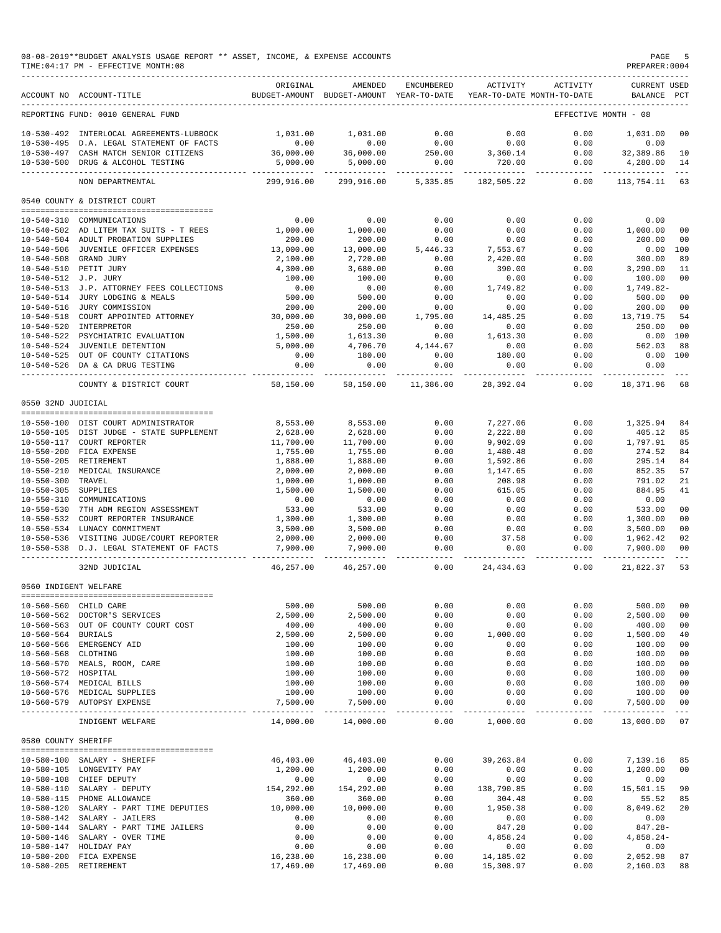|                                         | 08-08-2019**BUDGET ANALYSIS USAGE REPORT ** ASSET, INCOME, & EXPENSE ACCOUNTS<br>TIME: 04:17 PM - EFFECTIVE MONTH: 08 |                        |                                                     |                          |                                |                                        | PAGE<br>PREPARER: 0004               | -5              |
|-----------------------------------------|-----------------------------------------------------------------------------------------------------------------------|------------------------|-----------------------------------------------------|--------------------------|--------------------------------|----------------------------------------|--------------------------------------|-----------------|
|                                         | ACCOUNT NO ACCOUNT-TITLE                                                                                              | ORIGINAL               | AMENDED<br>BUDGET-AMOUNT BUDGET-AMOUNT YEAR-TO-DATE | ENCUMBERED               | ACTIVITY                       | ACTIVITY<br>YEAR-TO-DATE MONTH-TO-DATE | CURRENT USED<br>BALANCE PCT          |                 |
|                                         | REPORTING FUND: 0010 GENERAL FUND                                                                                     |                        |                                                     |                          |                                |                                        | EFFECTIVE MONTH - 08                 |                 |
|                                         | 10-530-492 INTERLOCAL AGREEMENTS-LUBBOCK                                                                              | 1,031.00               | 1,031.00                                            | 0.00                     | 0.00                           | 0.00                                   | 1,031.00                             | 00              |
|                                         | 10-530-495 D.A. LEGAL STATEMENT OF FACTS                                                                              | 0.00                   | 0.00                                                | 0.00                     | 0.00                           | 0.00                                   | 0.00                                 |                 |
|                                         | 10-530-497 CASH MATCH SENIOR CITIZENS                                                                                 | 36,000.00              | 36,000.00                                           | 250.00                   | 3,360.14                       | 0.00                                   | 32,389.86                            | 10              |
|                                         | 10-530-500 DRUG & ALCOHOL TESTING                                                                                     | 5,000.00               | 5,000.00<br>---------- --------------               | 0.00<br>________________ | 720.00<br>----------- <b>.</b> | 0.00<br>-----------                    | 4,280.00<br>------------             | 14<br>$  -$     |
|                                         | NON DEPARTMENTAL                                                                                                      |                        | 299,916.00 299,916.00                               | 5,335.85                 | 182,505.22                     | 0.00                                   | 113,754.11 63                        |                 |
|                                         | 0540 COUNTY & DISTRICT COURT                                                                                          |                        |                                                     |                          |                                |                                        |                                      |                 |
|                                         | 10-540-310 COMMUNICATIONS                                                                                             | 0.00                   | 0.00                                                | 0.00                     | 0.00                           | 0.00                                   | 0.00                                 |                 |
|                                         | 10-540-502 AD LITEM TAX SUITS - T REES                                                                                | 1,000.00               | 1,000.00                                            | 0.00                     | 0.00                           | 0.00                                   | 1,000.00                             | 00              |
|                                         | 10-540-504 ADULT PROBATION SUPPLIES                                                                                   | 200.00                 | 200.00                                              | 0.00                     | 0.00                           | 0.00                                   | 200.00                               | 00              |
|                                         | 10-540-506 JUVENILE OFFICER EXPENSES                                                                                  | 13,000.00              | 13,000.00                                           | 5,446.33                 | 7,553.67                       | 0.00                                   | 0.00                                 | 100             |
|                                         | 10-540-508 GRAND JURY                                                                                                 | 2,100.00               | 2,720.00                                            | 0.00                     | 2,420.00                       | 0.00                                   | 300.00                               | 89              |
|                                         | 10-540-510 PETIT JURY                                                                                                 | 4,300.00               | 3,680.00                                            | 0.00                     | 390.00                         | 0.00                                   | 3,290.00                             | 11              |
| 10-540-512 J.P. JURY                    |                                                                                                                       | 100.00                 | 100.00                                              | 0.00                     | 0.00                           | 0.00                                   | 100.00                               | 0 <sub>0</sub>  |
|                                         | 10-540-513 J.P. ATTORNEY FEES COLLECTIONS<br>10-540-514 JURY LODGING & MEALS                                          | 0.00<br>500.00         | 0.00<br>500.00                                      | 0.00<br>0.00             | 1,749.82<br>0.00               | 0.00<br>0.00                           | 1,749.82-<br>500.00                  | 00              |
|                                         | 10-540-516 JURY COMMISSION                                                                                            | 200.00                 | 200.00                                              | 0.00                     | 0.00                           | 0.00                                   | 200.00                               | 00              |
|                                         | 10-540-518 COURT APPOINTED ATTORNEY                                                                                   | 30,000.00              | 30,000.00                                           | 1,795.00                 | 14,485.25                      | 0.00                                   | 13,719.75                            | 54              |
|                                         | 10-540-520 INTERPRETOR                                                                                                | 250.00                 | 250.00                                              | 0.00                     | 0.00                           | 0.00                                   | 250.00                               | 00              |
|                                         | 10-540-522 PSYCHIATRIC EVALUATION                                                                                     | 1,500.00               | 1,613.30                                            | 0.00                     | 1,613.30                       | 0.00                                   | $0.00$ 100                           |                 |
|                                         | 10-540-524 JUVENILE DETENTION                                                                                         | 5,000.00               | 4,706.70                                            | 4,144.67                 | 0.00                           | 0.00                                   | 562.03                               | 88              |
|                                         | 10-540-525 OUT OF COUNTY CITATIONS                                                                                    | 0.00                   | 180.00                                              | 0.00                     | 180.00                         | 0.00                                   | 0.00                                 | 100             |
|                                         | 10-540-526 DA & CA DRUG TESTING                                                                                       | 0.00                   | 0.00                                                | 0.00                     | 0.00                           | 0.00<br>--------                       | 0.00                                 |                 |
|                                         | COUNTY & DISTRICT COURT                                                                                               | 58,150.00              | 58,150.00                                           | 11,386.00                | 28,392.04                      | 0.00                                   | 18,371.96                            | 68              |
| 0550 32ND JUDICIAL                      |                                                                                                                       |                        |                                                     |                          |                                |                                        |                                      |                 |
|                                         | 10-550-100 DIST COURT ADMINISTRATOR                                                                                   | 8,553.00               | 8,553.00                                            | 0.00                     | 7,227.06                       | 0.00                                   | 1,325.94                             | 84              |
|                                         | 10-550-105 DIST JUDGE - STATE SUPPLEMENT                                                                              | 2,628.00               | 2,628.00                                            | 0.00                     | 2,222.88                       | 0.00                                   | 405.12                               | 85              |
|                                         | 10-550-117 COURT REPORTER                                                                                             | 11,700.00              | 11,700.00                                           | 0.00                     | 9,902.09                       | 0.00                                   | 1,797.91                             | 85              |
|                                         | 10-550-200 FICA EXPENSE                                                                                               | 1,755.00               | 1,755.00                                            | 0.00                     | 1,480.48                       | 0.00                                   | 274.52                               | 84              |
|                                         | 10-550-205 RETIREMENT                                                                                                 | 1,888.00               | 1,888.00                                            | 0.00                     | 1,592.86                       | 0.00                                   | 295.14                               | 84              |
|                                         | 10-550-210 MEDICAL INSURANCE<br>TRAVEL                                                                                | 2,000.00               | 2,000.00                                            | 0.00<br>0.00             | 1,147.65                       | 0.00                                   | 852.35                               | 57<br>21        |
| $10 - 550 - 300$<br>10-550-305 SUPPLIES |                                                                                                                       | 1,000.00<br>1,500.00   | 1,000.00<br>1,500.00                                | 0.00                     | 208.98<br>615.05               | 0.00<br>0.00                           | 791.02<br>884.95                     | 41              |
|                                         | 10-550-310 COMMUNICATIONS                                                                                             | 0.00                   | 0.00                                                | 0.00                     | 0.00                           | 0.00                                   | 0.00                                 |                 |
|                                         | 10-550-530 7TH ADM REGION ASSESSMENT                                                                                  | 533.00                 | 533.00                                              | 0.00                     | 0.00                           | 0.00                                   | 533.00                               | 00              |
|                                         | 10-550-532 COURT REPORTER INSURANCE                                                                                   | 1,300.00               | 1,300.00                                            | 0.00                     | 0.00                           | 0.00                                   | 1,300.00                             | 00              |
|                                         | 10-550-534 LUNACY COMMITMENT                                                                                          | 3,500.00               | 3,500.00                                            | 0.00                     | 0.00                           | 0.00                                   | 3,500.00                             | 00              |
|                                         | 10-550-536 VISITING JUDGE/COURT REPORTER                                                                              | 2,000.00               | 2,000.00                                            | 0.00                     | 37.58                          | 0.00                                   | 1,962.42                             | 02              |
|                                         | 10-550-538 D.J. LEGAL STATEMENT OF FACTS                                                                              | 7,900.00<br>---------- | 7,900.00<br>------------                            | 0.00<br>----------       | 0.00<br>-------                | 0.00<br>-------                        | 7,900.00<br>-----------              | 00<br>$  -$     |
|                                         | 32ND JUDICIAL                                                                                                         | 46,257.00              | 46,257.00                                           | 0.00                     | 24,434.63                      | 0.00                                   | 21,822.37                            | 53              |
| 0560 INDIGENT WELFARE                   |                                                                                                                       |                        |                                                     |                          |                                |                                        |                                      |                 |
|                                         | 10-560-560 CHILD CARE                                                                                                 | 500.00                 | 500.00                                              | 0.00                     | 0.00                           | 0.00                                   | 500.00                               | 00              |
|                                         | 10-560-562 DOCTOR'S SERVICES                                                                                          | 2,500.00               | 2,500.00                                            | 0.00                     | 0.00                           | 0.00                                   | 2,500.00                             | 00              |
|                                         | 10-560-563 OUT OF COUNTY COURT COST                                                                                   | 400.00                 | 400.00                                              | 0.00                     | 0.00                           | 0.00                                   | 400.00                               | 00              |
| 10-560-564 BURIALS                      |                                                                                                                       | 2,500.00               | 2,500.00                                            | 0.00                     | 1,000.00                       | 0.00                                   | 1,500.00<br>100.00                   | 40              |
| 10-560-568 CLOTHING                     | 10-560-566 EMERGENCY AID                                                                                              | 100.00<br>100.00       | 100.00<br>100.00                                    | 0.00<br>0.00             | 0.00<br>0.00                   | 0.00<br>0.00                           | 100.00                               | 00<br>00        |
|                                         | 10-560-570 MEALS, ROOM, CARE                                                                                          | 100.00                 | 100.00                                              | 0.00                     | 0.00                           | 0.00                                   | 100.00                               | 00              |
| 10-560-572 HOSPITAL                     |                                                                                                                       | 100.00                 | 100.00                                              | 0.00                     | 0.00                           | 0.00                                   | 100.00                               | 00              |
|                                         | 10-560-574 MEDICAL BILLS                                                                                              | 100.00                 | 100.00                                              | 0.00                     | 0.00                           | 0.00                                   | 100.00                               | 00              |
|                                         | 10-560-576 MEDICAL SUPPLIES                                                                                           | 100.00                 | 100.00                                              | 0.00                     | 0.00                           | 0.00                                   | 100.00                               | 00              |
|                                         | 10-560-579 AUTOPSY EXPENSE                                                                                            | 7,500.00<br>---------- | 7,500.00                                            | 0.00<br>________________ | 0.00                           | 0.00                                   | 7,500.00<br>---------- ------------- | 00<br>$- - - -$ |
|                                         | INDIGENT WELFARE                                                                                                      | 14,000.00              | 14,000.00                                           | 0.00                     | 1,000.00                       | 0.00                                   | 13,000.00                            | 07              |
| 0580 COUNTY SHERIFF                     |                                                                                                                       |                        |                                                     |                          |                                |                                        |                                      |                 |
|                                         | <br>10-580-100 SALARY - SHERIFF                                                                                       | 46,403.00              | 46,403.00                                           | 0.00                     | 39, 263.84                     | 0.00                                   | 7,139.16                             | 85              |
|                                         | 10-580-105 LONGEVITY PAY                                                                                              | 1,200.00               | 1,200.00                                            | 0.00                     | 0.00                           | 0.00                                   | 1,200.00                             | 00              |
|                                         | 10-580-108 CHIEF DEPUTY                                                                                               | 0.00                   | 0.00                                                | 0.00                     | 0.00                           | 0.00                                   | 0.00                                 |                 |
|                                         | 10-580-110 SALARY - DEPUTY                                                                                            | 154,292.00             | 154,292.00                                          | 0.00                     | 138,790.85                     | 0.00                                   | 15,501.15                            | 90              |
|                                         | 10-580-115 PHONE ALLOWANCE                                                                                            | 360.00                 | 360.00                                              | 0.00                     | 304.48                         | 0.00                                   | 55.52                                | 85              |
|                                         | 10-580-120 SALARY - PART TIME DEPUTIES                                                                                | 10,000.00              | 10,000.00                                           | 0.00                     | 1,950.38                       | 0.00                                   | 8,049.62                             | 20              |
|                                         | 10-580-142 SALARY - JAILERS                                                                                           | 0.00                   | 0.00                                                | 0.00                     | 0.00                           | 0.00                                   | 0.00                                 |                 |
|                                         | 10-580-144 SALARY - PART TIME JAILERS<br>10-580-146 SALARY - OVER TIME                                                | 0.00<br>0.00           | 0.00<br>0.00                                        | 0.00<br>0.00             | 847.28<br>4,858.24             | 0.00<br>0.00                           | 847.28-<br>$4,858.24-$               |                 |
|                                         | 10-580-147 HOLIDAY PAY                                                                                                | 0.00                   | 0.00                                                | 0.00                     | 0.00                           | 0.00                                   | 0.00                                 |                 |
|                                         | 10-580-200 FICA EXPENSE                                                                                               | 16,238.00              | 16,238.00                                           | 0.00                     | 14,185.02                      | 0.00                                   | 2,052.98                             | 87              |
|                                         | 10-580-205 RETIREMENT                                                                                                 | 17,469.00              | 17,469.00                                           | 0.00                     | 15,308.97                      | 0.00                                   | 2,160.03                             | 88              |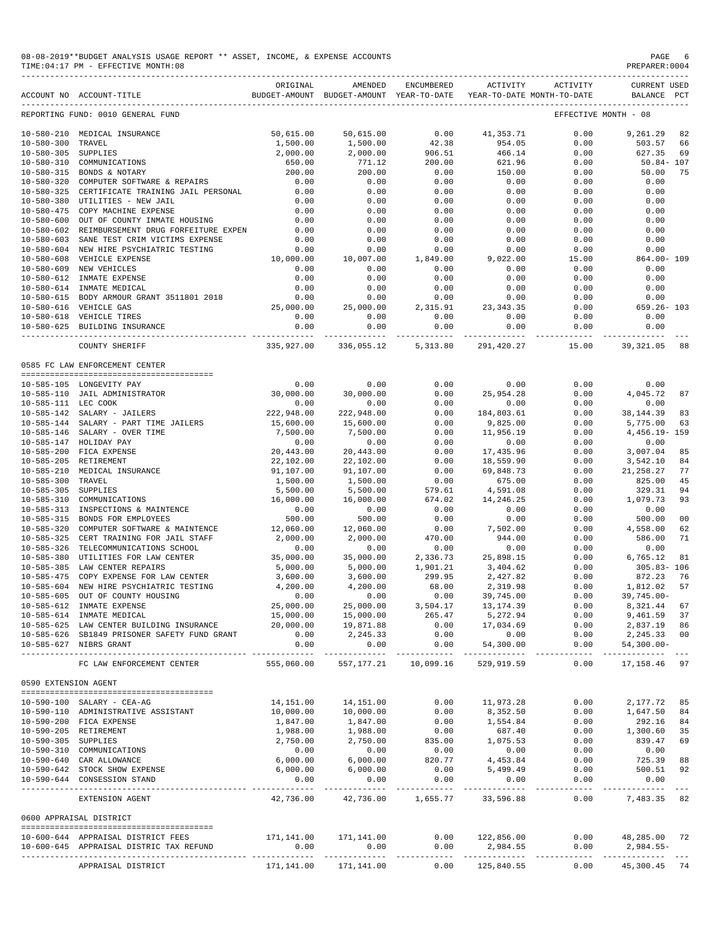| 08-08-2019**BUDGET ANALYSIS USAGE REPORT ** ASSET, INCOME, | PAGE           |
|------------------------------------------------------------|----------------|
| & EXPENSE ACCOUNTS                                         |                |
| TIME: 04:17 PM - EFFECTIVE MONTH: 08                       | PREPARER: 0004 |
|                                                            |                |

|                      | ACCOUNT NO ACCOUNT-TITLE                                       | ORIGINAL          | AMENDED<br>BUDGET-AMOUNT BUDGET-AMOUNT YEAR-TO-DATE | ENCUMBERED                 | ACTIVITY                   | ACTIVITY<br>YEAR-TO-DATE MONTH-TO-DATE | <b>CURRENT USED</b><br>BALANCE          | PCT            |
|----------------------|----------------------------------------------------------------|-------------------|-----------------------------------------------------|----------------------------|----------------------------|----------------------------------------|-----------------------------------------|----------------|
|                      |                                                                |                   |                                                     |                            |                            |                                        |                                         |                |
|                      | REPORTING FUND: 0010 GENERAL FUND                              |                   |                                                     |                            |                            |                                        | EFFECTIVE MONTH - 08                    |                |
| $10 - 580 - 210$     | MEDICAL INSURANCE                                              | 50,615.00         | 50,615.00                                           | 0.00                       | 41, 353.71                 | 0.00                                   | 9,261.29                                | 82             |
| $10 - 580 - 300$     | TRAVEL                                                         | 1,500.00          | 1,500.00                                            | 42.38                      | 954.05                     | 0.00                                   | 503.57                                  | 66             |
| $10 - 580 - 305$     | SUPPLIES                                                       | 2,000.00          | 2,000.00                                            | 906.51                     | 466.14                     | 0.00                                   | 627.35                                  | 69             |
| $10 - 580 - 310$     | COMMUNICATIONS                                                 | 650.00            | 771.12                                              | 200.00                     | 621.96                     | 0.00                                   | $50.84 - 107$                           |                |
| $10 - 580 - 315$     | BONDS & NOTARY                                                 | 200.00            | 200.00                                              | 0.00                       | 150.00                     | 0.00                                   | 50.00                                   | 75             |
| $10 - 580 - 320$     | COMPUTER SOFTWARE & REPAIRS                                    | 0.00              | 0.00                                                | 0.00                       | 0.00                       | 0.00                                   | 0.00                                    |                |
| $10 - 580 - 325$     | CERTIFICATE TRAINING JAIL PERSONAL                             | 0.00              | 0.00                                                | 0.00                       | 0.00                       | 0.00                                   | 0.00                                    |                |
| $10 - 580 - 380$     | UTILITIES - NEW JAIL                                           | 0.00              | 0.00                                                | 0.00                       | 0.00                       | 0.00                                   | 0.00                                    |                |
| $10 - 580 - 475$     | COPY MACHINE EXPENSE                                           | 0.00              | 0.00                                                | 0.00                       | 0.00                       | 0.00                                   | 0.00                                    |                |
| $10 - 580 - 600$     | OUT OF COUNTY INMATE HOUSING                                   | 0.00              | 0.00                                                | 0.00                       | 0.00                       | 0.00                                   | 0.00                                    |                |
| $10 - 580 - 602$     | REIMBURSEMENT DRUG FORFEITURE EXPEN                            | 0.00              | 0.00                                                | 0.00                       | 0.00                       | 0.00                                   | 0.00                                    |                |
| $10 - 580 - 603$     | SANE TEST CRIM VICTIMS EXPENSE                                 | 0.00              | 0.00                                                | 0.00                       | 0.00                       | 0.00                                   | 0.00                                    |                |
| $10 - 580 - 604$     | NEW HIRE PSYCHIATRIC TESTING                                   | 0.00              | 0.00                                                | 0.00                       | 0.00                       | 0.00                                   | 0.00                                    |                |
| $10 - 580 - 608$     | VEHICLE EXPENSE                                                | 10,000.00         | 10,007.00                                           | 1,849.00                   | 9,022.00                   | 15.00                                  | $864.00 - 109$                          |                |
| $10 - 580 - 609$     | NEW VEHICLES                                                   | 0.00              | 0.00                                                | 0.00                       | 0.00                       | 0.00                                   | 0.00                                    |                |
|                      |                                                                |                   |                                                     |                            |                            |                                        |                                         |                |
| $10 - 580 - 612$     | INMATE EXPENSE                                                 | 0.00              | 0.00                                                | 0.00                       | 0.00                       | 0.00                                   | 0.00                                    |                |
| $10 - 580 - 614$     | INMATE MEDICAL                                                 | 0.00              | 0.00                                                | 0.00                       | 0.00                       | 0.00                                   | 0.00                                    |                |
| $10 - 580 - 615$     | BODY ARMOUR GRANT 3511801 2018                                 | 0.00              | 0.00                                                | 0.00                       | 0.00                       | 0.00                                   | 0.00                                    |                |
| $10 - 580 - 616$     | VEHICLE GAS                                                    | 25,000.00         | 25,000.00                                           | 2,315.91                   | 23, 343.35                 | 0.00                                   | $659.26 - 103$                          |                |
| $10 - 580 - 618$     | VEHICLE TIRES                                                  | 0.00              | 0.00                                                | 0.00                       | 0.00                       | 0.00                                   | 0.00                                    |                |
| $10 - 580 - 625$     | BUILDING INSURANCE                                             | 0.00              | 0.00                                                | 0.00                       | 0.00                       | 0.00                                   | 0.00                                    |                |
|                      | COUNTY SHERIFF                                                 | 335,927.00        | 336,055.12                                          | 5, 313.80                  | 291,420.27                 | 15.00                                  | 39, 321.05                              | 88             |
|                      |                                                                |                   |                                                     |                            |                            |                                        |                                         |                |
|                      | 0585 FC LAW ENFORCEMENT CENTER                                 |                   |                                                     |                            |                            |                                        |                                         |                |
|                      | 10-585-105 LONGEVITY PAY                                       | 0.00              | 0.00                                                | 0.00                       | 0.00                       | 0.00                                   | 0.00                                    |                |
| $10 - 585 - 110$     | JAIL ADMINISTRATOR                                             | 30,000.00         | 30,000.00                                           | 0.00                       | 25,954.28                  | 0.00                                   | 4,045.72                                | 87             |
| 10-585-111 LEC COOK  |                                                                | 0.00              | 0.00                                                | 0.00                       | 0.00                       | 0.00                                   | 0.00                                    |                |
| $10 - 585 - 142$     | SALARY - JAILERS                                               | 222,948.00        | 222,948.00                                          | 0.00                       | 184,803.61                 | 0.00                                   | 38, 144.39                              | 83             |
| $10 - 585 - 144$     | SALARY - PART TIME JAILERS                                     | 15,600.00         | 15,600.00                                           | 0.00                       | 9,825.00                   | 0.00                                   | 5,775.00                                | 63             |
| $10 - 585 - 146$     | SALARY - OVER TIME                                             | 7,500.00          | 7,500.00                                            | 0.00                       | 11,956.19                  | 0.00                                   | 4, 456.19- 159                          |                |
| $10 - 585 - 147$     |                                                                |                   |                                                     | 0.00                       |                            |                                        | 0.00                                    |                |
|                      | HOLIDAY PAY                                                    | 0.00<br>20,443.00 | 0.00                                                | 0.00                       | 0.00                       | 0.00                                   |                                         | 85             |
| $10 - 585 - 200$     | FICA EXPENSE                                                   |                   | 20,443.00                                           |                            | 17,435.96                  | 0.00                                   | 3,007.04                                |                |
| $10 - 585 - 205$     | RETIREMENT                                                     | 22,102.00         | 22,102.00                                           | 0.00                       | 18,559.90                  | 0.00                                   | 3,542.10                                | 84             |
| $10 - 585 - 210$     | MEDICAL INSURANCE                                              | 91,107.00         | 91,107.00                                           | 0.00                       | 69,848.73                  | 0.00                                   | 21, 258.27                              | 77             |
| $10 - 585 - 300$     | TRAVEL                                                         | 1,500.00          | 1,500.00                                            | 0.00                       | 675.00                     | 0.00                                   | 825.00                                  | 45             |
| $10 - 585 - 305$     | SUPPLIES                                                       | 5,500.00          | 5,500.00                                            | 579.61                     | 4,591.08                   | 0.00                                   | 329.31                                  | 94             |
| $10 - 585 - 310$     | COMMUNICATIONS                                                 | 16,000.00         | 16,000.00                                           | 674.02                     | 14,246.25                  | 0.00                                   | 1,079.73                                | 93             |
| $10 - 585 - 313$     | INSPECTIONS & MAINTENCE                                        | 0.00              | 0.00                                                | 0.00                       | 0.00                       | 0.00                                   | 0.00                                    |                |
| $10 - 585 - 315$     | BONDS FOR EMPLOYEES                                            | 500.00            | 500.00                                              | 0.00                       | 0.00                       | 0.00                                   | 500.00                                  | 0 <sub>0</sub> |
| $10 - 585 - 320$     | COMPUTER SOFTWARE & MAINTENCE                                  | 12,060.00         | 12,060.00                                           | 0.00                       | 7,502.00                   | 0.00                                   | 4,558.00                                | 62             |
| $10 - 585 - 325$     | CERT TRAINING FOR JAIL STAFF                                   | 2,000.00          | 2,000.00                                            | 470.00                     | 944.00                     | 0.00                                   | 586.00                                  | 71             |
| $10 - 585 - 326$     | TELECOMMUNICATIONS SCHOOL                                      | 0.00              | 0.00                                                | 0.00                       | 0.00                       | 0.00                                   | 0.00                                    |                |
| $10 - 585 - 380$     | UTILITIES FOR LAW CENTER                                       | 35,000.00         | 35,000.00                                           | 2,336.73                   | 25,898.15                  | 0.00                                   | 6,765.12                                | 81             |
| $10 - 585 - 385$     | LAW CENTER REPAIRS                                             | 5,000.00          | 5,000.00                                            | 1,901.21                   | 3,404.62                   | 0.00                                   | $305.83 - 106$                          |                |
| $10 - 585 - 475$     | COPY EXPENSE FOR LAW CENTER                                    | 3,600.00          | 3,600.00                                            | 299.95                     | 2,427.82                   | 0.00                                   | 872.23                                  | 76             |
| $10 - 585 - 604$     | NEW HIRE PSYCHIATRIC TESTING                                   | 4,200.00          | 4,200.00                                            | 68.00                      | 2,319.98                   | 0.00                                   | 1,812.02                                | 57             |
| $10 - 585 - 605$     | OUT OF COUNTY HOUSING                                          | 0.00              | 0.00                                                | 0.00                       | 39,745.00                  | 0.00                                   | $39,745.00 -$                           |                |
|                      | 10-585-612 INMATE EXPENSE                                      | 25,000.00         | 25,000.00                                           | 3,504.17                   | 13,174.39                  | 0.00                                   | 8,321.44                                | 67             |
|                      | 10-585-614 INMATE MEDICAL                                      | 15,000.00         | 15,000.00                                           | 265.47                     | 5,272.94                   | 0.00                                   | 9,461.59 37                             |                |
|                      | 10-585-625 LAW CENTER BUILDING INSURANCE                       | 20,000.00         | 19,871.88                                           | 0.00                       | 17,034.69                  | 0.00                                   | 2,837.19 86                             |                |
|                      | 10-585-626 SB1849 PRISONER SAFETY FUND GRANT                   | 0.00              | 2, 245.33                                           | 0.00                       | 0.00                       | 0.00                                   | 2,245.33 00                             |                |
|                      | 10-585-627 NIBRS GRANT                                         | 0.00              | 0.00                                                | 0.00                       | 54,300.00                  | 0.00                                   | $54,300.00 -$                           |                |
|                      | ---------------------------------<br>FC LAW ENFORCEMENT CENTER | .<br>555,060.00   | ---------- -<br>557,177.21                          | ----------- -<br>10,099.16 | ------------<br>529,919.59 | 0.00                                   | _____________________<br>17, 158. 46 97 |                |
|                      |                                                                |                   |                                                     |                            |                            |                                        |                                         |                |
| 0590 EXTENSION AGENT |                                                                |                   |                                                     |                            |                            |                                        |                                         |                |
|                      |                                                                |                   |                                                     |                            |                            |                                        |                                         |                |
|                      | 10-590-100 SALARY - CEA-AG                                     | 14,151.00         | 14,151.00                                           | 0.00                       | 11,973.28                  | 0.00                                   | 2,177.72 85                             |                |
|                      | 10-590-110 ADMINISTRATIVE ASSISTANT                            | 10,000.00         | 10,000.00                                           | 0.00                       | 8,352.50                   | 0.00                                   | 1,647.50                                | 84             |
|                      | 10-590-200 FICA EXPENSE                                        | 1,847.00          | 1,847.00                                            | 0.00                       | 1,554.84                   | 0.00                                   | 292.16 84                               |                |
|                      | 10-590-205 RETIREMENT                                          | 1,988.00          | 1,988.00                                            | 0.00                       | 687.40                     | 0.00                                   | 1,300.60 35                             |                |
| 10-590-305 SUPPLIES  |                                                                | 2,750.00          | 2,750.00                                            | 835.00                     | 1,075.53                   | 0.00                                   | 839.47                                  | 69             |
|                      | 10-590-310 COMMUNICATIONS                                      | 0.00              | 0.00                                                | 0.00                       | 0.00                       | 0.00                                   | 0.00                                    |                |
|                      | 10-590-640 CAR ALLOWANCE                                       | 6,000.00          | 6,000.00                                            | 820.77                     | 4,453.84                   | 0.00                                   | 725.39 88                               |                |
|                      | 10-590-642 STOCK SHOW EXPENSE                                  | 6,000.00          | 6,000.00                                            | 0.00                       | 5,499.49                   | 0.00                                   | 500.51                                  | 92             |
|                      | 10-590-644 CONSESSION STAND                                    | 0.00              | 0.00                                                | 0.00                       | 0.00                       | 0.00                                   | 0.00                                    |                |
|                      | EXTENSION AGENT                                                | .<br>42,736.00    | --------------<br>42,736.00                         | ----------- -<br>1,655.77  | ----------- -<br>33,596.88 | .<br>0.00                              | -----------<br>7,483.35 82              |                |
|                      |                                                                |                   |                                                     |                            |                            |                                        |                                         |                |
|                      | 0600 APPRAISAL DISTRICT                                        |                   |                                                     |                            |                            |                                        |                                         |                |
|                      | 10-600-644 APPRAISAL DISTRICT FEES                             |                   | 171, 141.00 171, 141.00                             |                            | $0.00$ 122,856.00          | 0.00                                   | 48,285.00 72                            |                |
|                      | 10-600-645 APPRAISAL DISTRIC TAX REFUND                        | 0.00              | 0.00                                                | 0.00                       | 2,984.55                   | 0.00                                   | 2,984.55-                               |                |
|                      |                                                                |                   |                                                     |                            |                            |                                        |                                         |                |
|                      | APPRAISAL DISTRICT                                             | 171,141.00        | 171,141.00                                          | 0.00                       | 125,840.55                 | 0.00                                   | 45,300.45 74                            |                |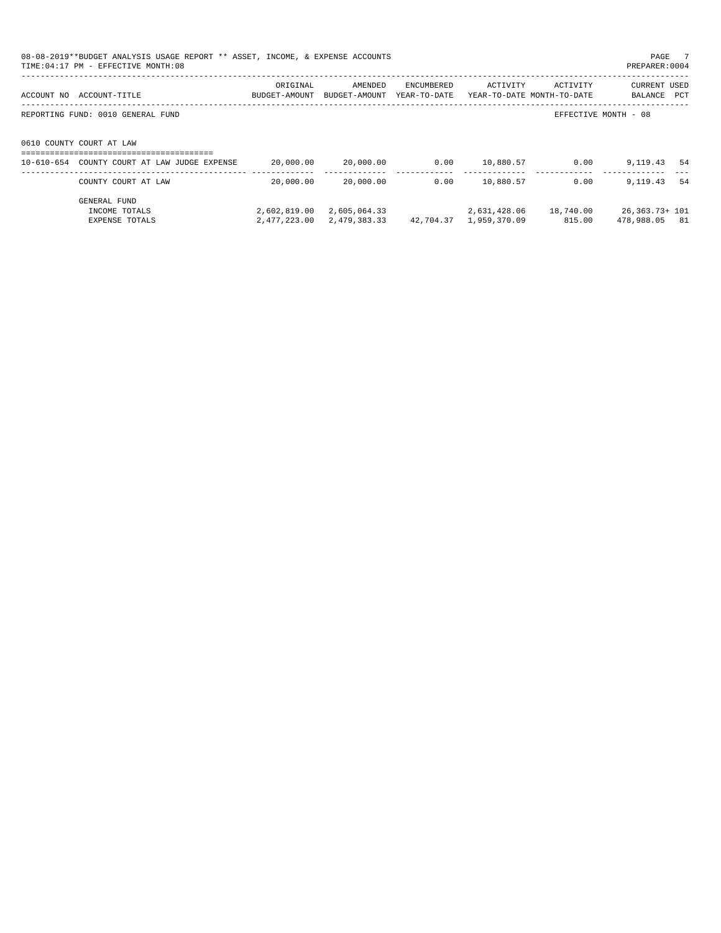|            | 08-08-2019**BUDGET ANALYSIS USAGE REPORT ** ASSET, INCOME, & EXPENSE ACCOUNTS<br>TIME: 04:17 PM - EFFECTIVE MONTH: 08 |                           |                          |                            |              |                                        | PAGE 7<br>PREPARER: 0004              |  |
|------------|-----------------------------------------------------------------------------------------------------------------------|---------------------------|--------------------------|----------------------------|--------------|----------------------------------------|---------------------------------------|--|
| ACCOUNT NO | ACCOUNT-TITLE                                                                                                         | ORIGINAL<br>BUDGET-AMOUNT | AMENDED<br>BUDGET-AMOUNT | ENCUMBERED<br>YEAR-TO-DATE | ACTIVITY     | ACTIVITY<br>YEAR-TO-DATE MONTH-TO-DATE | <b>CURRENT USED</b><br>BALANCE<br>PCT |  |
|            | REPORTING FUND: 0010 GENERAL FUND                                                                                     |                           |                          |                            |              |                                        | EFFECTIVE MONTH - 08                  |  |
|            | 0610 COUNTY COURT AT LAW                                                                                              |                           |                          |                            |              |                                        |                                       |  |
|            | 10-610-654 COUNTY COURT AT LAW JUDGE EXPENSE                                                                          | 20,000.00                 | 20,000.00                | 0.00                       | 10,880.57    | 0.00                                   | 9,119.43<br>-54                       |  |
|            | COUNTY COURT AT LAW                                                                                                   | 20,000.00                 | 20,000.00                | 0.00                       | 10,880.57    | 0.00                                   | 9,119.43<br>-54                       |  |
|            | GENERAL FUND<br>INCOME TOTALS                                                                                         | 2,602,819.00              | 2,605,064.33             |                            | 2,631,428.06 | 18,740.00                              | 26,363.73+ 101                        |  |

EXPENSE TOTALS 2,477,223.00 2,479,383.33 42,704.37 1,959,370.09 815.00 478,988.05 81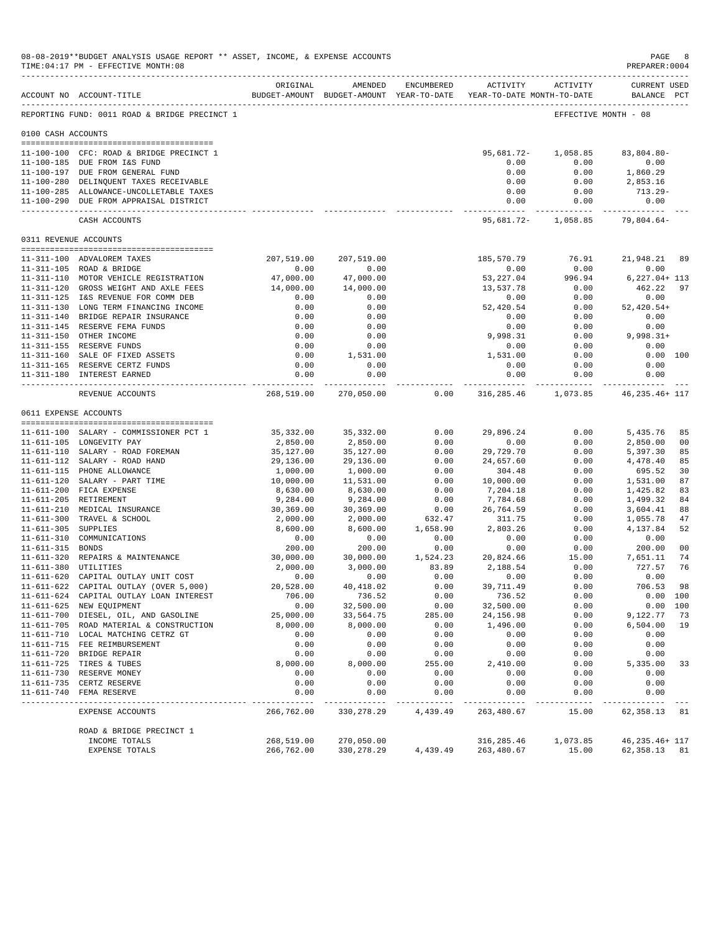|                       | 08-08-2019**BUDGET ANALYSIS USAGE REPORT ** ASSET, INCOME, & EXPENSE ACCOUNTS<br>TIME: 04:17 PM - EFFECTIVE MONTH: 08 |                          |                                |                     |                                                                     |                                           | PAGE<br>PREPARER: 0004             | 8              |
|-----------------------|-----------------------------------------------------------------------------------------------------------------------|--------------------------|--------------------------------|---------------------|---------------------------------------------------------------------|-------------------------------------------|------------------------------------|----------------|
|                       | ACCOUNT NO ACCOUNT-TITLE                                                                                              | ORIGINAL                 | AMENDED                        | ENCUMBERED          | BUDGET-AMOUNT BUDGET-AMOUNT YEAR-TO-DATE YEAR-TO-DATE MONTH-TO-DATE | ACTIVITY ACTIVITY                         | <b>CURRENT USED</b><br>BALANCE PCT |                |
|                       | REPORTING FUND: 0011 ROAD & BRIDGE PRECINCT 1                                                                         |                          |                                |                     |                                                                     | EFFECTIVE MONTH - 08                      |                                    |                |
| 0100 CASH ACCOUNTS    |                                                                                                                       |                          |                                |                     |                                                                     |                                           |                                    |                |
|                       |                                                                                                                       |                          |                                |                     | 95,681.72-                                                          | 1,058.85                                  | $83,804.80 -$                      |                |
|                       | 11-100-100 CFC: ROAD & BRIDGE PRECINCT 1<br>11-100-185 DUE FROM I&S FUND                                              |                          |                                |                     | 0.00                                                                | 0.00                                      | 0.00                               |                |
|                       | 11-100-197 DUE FROM GENERAL FUND                                                                                      |                          |                                |                     | 0.00                                                                | 0.00                                      | 1,860.29                           |                |
|                       | 11-100-280 DELINQUENT TAXES RECEIVABLE                                                                                |                          |                                |                     | 0.00                                                                | 0.00                                      | 2,853.16                           |                |
|                       | 11-100-285 ALLOWANCE-UNCOLLETABLE TAXES                                                                               |                          |                                |                     | 0.00                                                                | 0.00                                      | 713.29-                            |                |
|                       | 11-100-290 DUE FROM APPRAISAL DISTRICT                                                                                |                          |                                |                     | 0.00                                                                | 0.00                                      | 0.00<br>-------------              |                |
|                       | CASH ACCOUNTS                                                                                                         |                          |                                |                     |                                                                     | 95,681.72- 1,058.85 79,804.64-            |                                    |                |
| 0311 REVENUE ACCOUNTS |                                                                                                                       |                          |                                |                     |                                                                     |                                           |                                    |                |
|                       | 11-311-100 ADVALOREM TAXES                                                                                            | 207,519.00               | 207,519.00                     |                     | 185,570.79                                                          | 76.91                                     | 21,948.21 89                       |                |
|                       | 11-311-105 ROAD & BRIDGE                                                                                              | 0.00                     | 0.00                           |                     | 0.00                                                                | 0.00                                      | 0.00                               |                |
|                       | 11-311-110 MOTOR VEHICLE REGISTRATION                                                                                 | 47,000.00                | 47,000.00                      |                     | 53,227.04                                                           | 996.94                                    | 6,227.04+ 113                      |                |
|                       | 11-311-120 GROSS WEIGHT AND AXLE FEES                                                                                 | 14,000.00                | 14,000.00                      |                     | 13,537.78                                                           | 0.00                                      | 462.22                             | 97             |
|                       | 11-311-125 I&S REVENUE FOR COMM DEB                                                                                   | 0.00                     | 0.00                           |                     | 0.00                                                                | 0.00                                      | 0.00                               |                |
|                       | 11-311-130 LONG TERM FINANCING INCOME<br>11-311-140 BRIDGE REPAIR INSURANCE                                           | 0.00<br>0.00             | 0.00<br>0.00                   |                     | 52,420.54<br>0.00                                                   | 0.00<br>0.00                              | $52,420.54+$<br>0.00               |                |
|                       | 11-311-145 RESERVE FEMA FUNDS                                                                                         | 0.00                     | 0.00                           |                     | 0.00                                                                | 0.00                                      | 0.00                               |                |
|                       | 11-311-150 OTHER INCOME                                                                                               | 0.00                     | 0.00                           |                     | 9,998.31                                                            | 0.00                                      | 9,998.31+                          |                |
|                       | 11-311-155 RESERVE FUNDS                                                                                              | 0.00                     | 0.00                           |                     | 0.00                                                                | 0.00                                      | 0.00                               |                |
|                       | 11-311-160 SALE OF FIXED ASSETS                                                                                       | 0.00                     | 1,531.00                       |                     | 1,531.00                                                            | 0.00                                      | 0.00 100                           |                |
|                       | 11-311-165 RESERVE CERTZ FUNDS                                                                                        | 0.00                     | 0.00                           |                     | 0.00                                                                | 0.00                                      | 0.00                               |                |
|                       | 11-311-180 INTEREST EARNED<br>------------------------------                                                          | 0.00<br>------------     | 0.00                           |                     | 0.00<br>------------                                                | 0.00<br>-----------                       | 0.00<br>-----------                |                |
|                       | REVENUE ACCOUNTS                                                                                                      | 268,519.00               | 270,050.00                     | 0.00                |                                                                     | 316, 285. 46 1, 073. 85 46, 235. 46 + 117 |                                    |                |
| 0611 EXPENSE ACCOUNTS |                                                                                                                       |                          |                                |                     |                                                                     |                                           |                                    |                |
|                       | 11-611-100 SALARY - COMMISSIONER PCT 1                                                                                | 35,332.00                | 35,332.00                      | 0.00                | 29,896.24                                                           | 0.00                                      | 5,435.76                           | 85             |
|                       | 11-611-105 LONGEVITY PAY                                                                                              | 2,850.00                 | 2,850.00                       | 0.00                | 0.00                                                                | 0.00                                      | 2,850.00                           | 00             |
|                       | 11-611-110 SALARY - ROAD FOREMAN                                                                                      | 35,127.00                | 35,127.00                      | 0.00                | 29,729.70                                                           | 0.00                                      | 5,397.30                           | 85             |
|                       | 11-611-112 SALARY - ROAD HAND                                                                                         | 29,136.00                | 29,136.00                      | 0.00                | 24,657.60                                                           | 0.00                                      | 4,478.40                           | 85             |
|                       | 11-611-115 PHONE ALLOWANCE                                                                                            | 1,000.00                 | 1,000.00                       | 0.00                | 304.48                                                              | 0.00                                      | 695.52                             | 30             |
|                       | 11-611-120 SALARY - PART TIME                                                                                         | 10,000.00                | 11,531.00                      | 0.00                | 10,000.00                                                           | 0.00                                      | 1,531.00                           | 87             |
|                       | 11-611-200 FICA EXPENSE                                                                                               | 8,630.00                 | 8,630.00                       | 0.00                | 7,204.18                                                            | 0.00                                      | 1,425.82                           | 83             |
|                       | 11-611-205 RETIREMENT<br>11-611-210 MEDICAL INSURANCE                                                                 | 9,284.00<br>30,369.00    | 9,284.00<br>30,369.00          | 0.00<br>0.00        | 7,784.68<br>26,764.59                                               | 0.00<br>0.00                              | 1,499.32<br>3,604.41               | 84<br>88       |
|                       | 11-611-300 TRAVEL & SCHOOL                                                                                            | 2,000.00                 | 2,000.00                       | 632.47              | 311.75                                                              | 0.00                                      | 1,055.78                           | 47             |
| 11-611-305 SUPPLIES   |                                                                                                                       | 8,600.00                 | 8,600.00                       | 1,658.90            | 2,803.26                                                            | 0.00                                      | 4,137.84                           | 52             |
|                       | 11-611-310 COMMUNICATIONS                                                                                             | 0.00                     | 0.00                           | 0.00                | 0.00                                                                | 0.00                                      | 0.00                               |                |
| 11-611-315 BONDS      |                                                                                                                       | 200.00                   | 200.00                         | 0.00                | 0.00                                                                | 0.00                                      | 200.00                             | 0 <sup>0</sup> |
|                       | 11-611-320 REPAIRS & MAINTENANCE                                                                                      | 30,000.00                | 30,000.00                      | 1,524.23            | 20,824.66                                                           | 15.00                                     | 7,651.11                           | 74             |
| 11-611-380 UTILITIES  |                                                                                                                       | 2,000.00                 | 3,000.00                       | 83.89               | 2,188.54                                                            | 0.00                                      | 727.57                             | 76             |
|                       | 11-611-620 CAPITAL OUTLAY UNIT COST<br>11-611-622 CAPITAL OUTLAY (OVER 5,000)                                         | 0.00<br>20,528.00        | 0.00<br>40, 418.02             | 0.00                | 0.00                                                                | 0.00<br>0.00                              | 0.00<br>706.53                     | 98             |
|                       | 11-611-624 CAPITAL OUTLAY LOAN INTEREST                                                                               | 706.00                   | 736.52                         | 0.00<br>0.00        | 39,711.49<br>736.52                                                 | 0.00                                      | 0.00 100                           |                |
|                       | 11-611-625 NEW EQUIPMENT                                                                                              | 0.00                     | 32,500.00                      | 0.00                | 32,500.00                                                           | 0.00                                      | 0.00 100                           |                |
|                       | 11-611-700 DIESEL, OIL, AND GASOLINE                                                                                  | 25,000.00                | 33,564.75                      | 285.00              | 24, 156.98                                                          | 0.00                                      | 9,122.77                           | 73             |
|                       | 11-611-705 ROAD MATERIAL & CONSTRUCTION                                                                               | 8,000.00                 | 8,000.00                       | 0.00                | 1,496.00                                                            | 0.00                                      | 6,504.00                           | 19             |
|                       | 11-611-710 LOCAL MATCHING CETRZ GT                                                                                    | 0.00                     | 0.00                           | 0.00                | 0.00                                                                | 0.00                                      | 0.00                               |                |
|                       | 11-611-715 FEE REIMBURSEMENT                                                                                          | 0.00                     | 0.00                           | 0.00                | 0.00                                                                | 0.00                                      | 0.00                               |                |
|                       | 11-611-720 BRIDGE REPAIR                                                                                              | 0.00                     | 0.00                           | 0.00                | 0.00                                                                | 0.00                                      | 0.00                               |                |
|                       | 11-611-725 TIRES & TUBES<br>11-611-730 RESERVE MONEY                                                                  | 8,000.00<br>0.00         | 8,000.00<br>0.00               | 255.00<br>0.00      | 2,410.00<br>0.00                                                    | 0.00<br>0.00                              | 5,335.00<br>0.00                   | 33             |
|                       | 11-611-735 CERTZ RESERVE                                                                                              | 0.00                     | 0.00                           | 0.00                | 0.00                                                                | 0.00                                      | 0.00                               |                |
|                       | 11-611-740 FEMA RESERVE                                                                                               | 0.00                     | 0.00                           | 0.00                | 0.00                                                                | 0.00                                      | 0.00                               |                |
|                       | ---------------------------<br>EXPENSE ACCOUNTS                                                                       | ----------<br>266,762.00 | $- - - - - - -$<br>330, 278.29 | -------<br>4,439.49 | $- - - - -$<br>263,480.67                                           | -----<br>15.00                            | ------<br>62,358.13                | 81             |
|                       | ROAD & BRIDGE PRECINCT 1                                                                                              |                          |                                |                     |                                                                     |                                           |                                    |                |
|                       | INCOME TOTALS                                                                                                         | 268,519.00               | 270,050.00                     |                     | 316,285.46                                                          | 1,073.85                                  | 46, 235. 46+ 117                   |                |
|                       | EXPENSE TOTALS                                                                                                        | 266,762.00               | 330,278.29                     | 4,439.49            | 263,480.67                                                          | 15.00                                     | 62, 358. 13 81                     |                |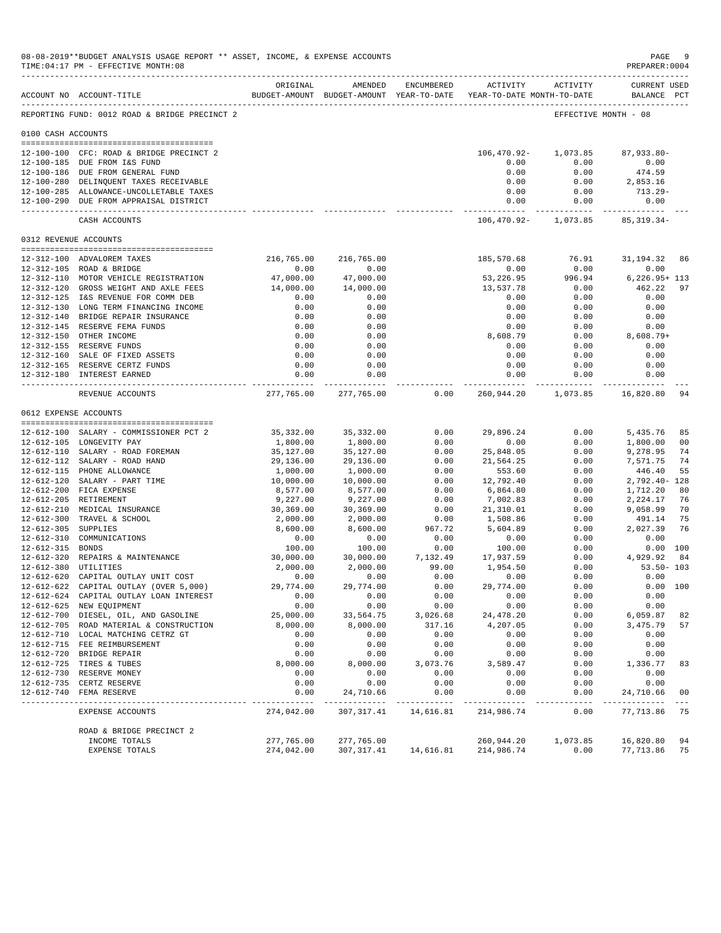|                       | 08-08-2019**BUDGET ANALYSIS USAGE REPORT ** ASSET, INCOME, & EXPENSE ACCOUNTS<br>TIME: 04:17 PM - EFFECTIVE MONTH: 08 |                        |                                                                                |                            |                       |                                       | $\mathop{\mathtt{PAGE}}$<br>PREPARER:0004 | -9             |
|-----------------------|-----------------------------------------------------------------------------------------------------------------------|------------------------|--------------------------------------------------------------------------------|----------------------------|-----------------------|---------------------------------------|-------------------------------------------|----------------|
|                       | ACCOUNT NO ACCOUNT-TITLE<br>--------------------------------------                                                    | ORIGINAL               | AMENDED<br>BUDGET-AMOUNT BUDGET-AMOUNT YEAR-TO-DATE YEAR-TO-DATE MONTH-TO-DATE | ENCUMBERED                 |                       | ACTIVITY ACTIVITY                     | CURRENT USED<br>BALANCE PCT               |                |
|                       | REPORTING FUND: 0012 ROAD & BRIDGE PRECINCT 2                                                                         |                        |                                                                                |                            |                       | EFFECTIVE MONTH - 08                  |                                           |                |
| 0100 CASH ACCOUNTS    |                                                                                                                       |                        |                                                                                |                            |                       |                                       |                                           |                |
|                       | 12-100-100 CFC: ROAD & BRIDGE PRECINCT 2                                                                              |                        |                                                                                |                            |                       | 106,470.92- 1,073.85                  | 87,933.80-                                |                |
|                       | 12-100-185 DUE FROM I&S FUND                                                                                          |                        |                                                                                |                            | 0.00                  | 0.00                                  | 0.00                                      |                |
|                       | 12-100-186 DUE FROM GENERAL FUND                                                                                      |                        |                                                                                |                            | 0.00                  | 0.00                                  | 474.59                                    |                |
|                       | 12-100-280 DELINQUENT TAXES RECEIVABLE                                                                                |                        |                                                                                |                            | 0.00                  | 0.00                                  | 2,853.16                                  |                |
|                       | 12-100-285 ALLOWANCE-UNCOLLETABLE TAXES                                                                               |                        |                                                                                |                            | 0.00                  | 0.00                                  | 713.29-                                   |                |
|                       | 12-100-290 DUE FROM APPRAISAL DISTRICT                                                                                |                        |                                                                                |                            | 0.00                  | 0.00<br>------------- --------------- | 0.00<br>-------------                     |                |
|                       | CASH ACCOUNTS                                                                                                         |                        |                                                                                |                            |                       | 106,470.92- 1,073.85 85,319.34-       |                                           |                |
| 0312 REVENUE ACCOUNTS |                                                                                                                       |                        |                                                                                |                            |                       |                                       |                                           |                |
|                       | 12-312-100 ADVALOREM TAXES                                                                                            | 216,765.00             | 216,765.00                                                                     |                            | 185,570.68            | 76.91                                 | 31,194.32 86                              |                |
|                       | 12-312-105 ROAD & BRIDGE                                                                                              | 0.00                   | 0.00                                                                           |                            | 0.00                  | 0.00                                  | 0.00                                      |                |
|                       | 12-312-110 MOTOR VEHICLE REGISTRATION                                                                                 | 47,000.00              | 47,000.00                                                                      |                            | 53,226.95             | 996.94                                | 6,226.95+ 113                             |                |
|                       | 12-312-120 GROSS WEIGHT AND AXLE FEES<br>12-312-125 I&S REVENUE FOR COMM DEB                                          | 14,000.00<br>0.00      | 14,000.00<br>0.00                                                              |                            | 13,537.78<br>0.00     | 0.00<br>0.00                          | 462.22<br>0.00                            | 97             |
|                       | 12-312-130 LONG TERM FINANCING INCOME                                                                                 | 0.00                   | 0.00                                                                           |                            | 0.00                  | 0.00                                  | 0.00                                      |                |
|                       | 12-312-140 BRIDGE REPAIR INSURANCE                                                                                    | 0.00                   | 0.00                                                                           |                            | 0.00                  | 0.00                                  | 0.00                                      |                |
|                       | 12-312-145 RESERVE FEMA FUNDS                                                                                         | 0.00                   | 0.00                                                                           |                            | 0.00                  | 0.00                                  | 0.00                                      |                |
|                       | 12-312-150 OTHER INCOME                                                                                               | 0.00                   | 0.00                                                                           |                            | 8,608.79              | 0.00                                  | 8,608.79+                                 |                |
|                       | 12-312-155 RESERVE FUNDS                                                                                              | 0.00                   | 0.00                                                                           |                            | 0.00                  | 0.00                                  | 0.00                                      |                |
|                       | 12-312-160 SALE OF FIXED ASSETS                                                                                       | 0.00                   | 0.00                                                                           |                            | 0.00                  | 0.00                                  | 0.00                                      |                |
|                       | 12-312-165 RESERVE CERTZ FUNDS                                                                                        | 0.00                   | 0.00                                                                           |                            | 0.00                  | 0.00                                  | 0.00                                      |                |
|                       | 12-312-180 INTEREST EARNED<br>--------------------------------                                                        | 0.00<br>.              | 0.00<br>------------                                                           |                            | 0.00<br>.             | 0.00<br>------------                  | 0.00                                      |                |
|                       | REVENUE ACCOUNTS                                                                                                      |                        | 277,765.00 277,765.00                                                          | 0.00                       |                       | 260,944.20 1,073.85 16,820.80         |                                           | 94             |
|                       | 0612 EXPENSE ACCOUNTS                                                                                                 |                        |                                                                                |                            |                       |                                       |                                           |                |
|                       | 12-612-100 SALARY - COMMISSIONER PCT 2                                                                                | 35,332.00              | 35,332.00                                                                      | 0.00                       | 29,896.24             | 0.00                                  | 5,435.76                                  | 85             |
|                       | 12-612-105 LONGEVITY PAY                                                                                              | 1,800.00               | 1,800.00                                                                       | 0.00                       | 0.00                  | 0.00                                  | 1,800.00                                  | 0 <sub>0</sub> |
|                       | 12-612-110 SALARY - ROAD FOREMAN                                                                                      | 35,127.00              | 35,127.00                                                                      | 0.00                       | 25,848.05             | 0.00                                  | 9,278.95                                  | 74             |
|                       | 12-612-112 SALARY - ROAD HAND                                                                                         | 29,136.00              | 29,136.00                                                                      | 0.00                       | 21,564.25             | 0.00                                  | 7,571.75                                  | 74             |
|                       | 12-612-115 PHONE ALLOWANCE                                                                                            | 1,000.00               | 1,000.00                                                                       | 0.00                       | 553.60                | 0.00                                  | 446.40                                    | 55             |
|                       | 12-612-120 SALARY - PART TIME                                                                                         | 10,000.00              | 10,000.00                                                                      | 0.00                       | 12,792.40             | 0.00                                  | 2,792.40- 128                             |                |
|                       | 12-612-200 FICA EXPENSE                                                                                               | 8,577.00               | 8,577.00                                                                       | 0.00                       | 6,864.80              | 0.00                                  | 1,712.20                                  | 80             |
|                       | 12-612-205 RETIREMENT                                                                                                 | 9,227.00               | 9,227.00                                                                       | 0.00<br>0.00               | 7,002.83<br>21,310.01 | 0.00<br>0.00                          | 2,224.17                                  | 76<br>70       |
|                       | 12-612-210 MEDICAL INSURANCE<br>12-612-300 TRAVEL & SCHOOL                                                            | 30,369.00<br>2,000.00  | 30,369.00<br>2,000.00                                                          | 0.00                       | 1,508.86              | 0.00                                  | 9,058.99<br>491.14                        | 75             |
| 12-612-305 SUPPLIES   |                                                                                                                       | 8,600.00               | 8,600.00                                                                       | 967.72                     | 5,604.89              | 0.00                                  | 2,027.39                                  | 76             |
|                       | 12-612-310 COMMUNICATIONS                                                                                             | 0.00                   | 0.00                                                                           | 0.00                       | 0.00                  | 0.00                                  | 0.00                                      |                |
| 12-612-315 BONDS      |                                                                                                                       | 100.00                 | 100.00                                                                         | 0.00                       | 100.00                | 0.00                                  | 0.00 100                                  |                |
|                       | 12-612-320 REPAIRS & MAINTENANCE                                                                                      | 30,000.00              | 30,000.00                                                                      | 7,132.49                   | 17,937.59             | 0.00                                  | 4,929.92                                  | 84             |
|                       | 12-612-380 UTILITIES                                                                                                  | 2,000.00               | 2,000.00                                                                       | 99.00                      | 1,954.50              | 0.00                                  | $53.50 - 103$                             |                |
|                       | 12-612-620 CAPITAL OUTLAY UNIT COST                                                                                   | 0.00                   | 0.00                                                                           | 0.00                       | 0.00                  | 0.00                                  | 0.00                                      |                |
|                       | 12-612-622 CAPITAL OUTLAY (OVER 5,000)                                                                                | 29,774.00              | 29,774.00                                                                      | 0.00                       | 29,774.00             | 0.00                                  | 0.00 100                                  |                |
|                       | 12-612-624 CAPITAL OUTLAY LOAN INTEREST<br>12-612-625 NEW EQUIPMENT                                                   | 0.00<br>0.00           | 0.00<br>0.00                                                                   | 0.00<br>0.00               | 0.00<br>0.00          | 0.00<br>0.00                          | 0.00<br>0.00                              |                |
|                       | 12-612-700 DIESEL, OIL, AND GASOLINE                                                                                  | 25,000.00              | 33,564.75                                                                      | 3,026.68                   | 24, 478.20            | 0.00                                  | 6,059.87                                  | 82             |
|                       | 12-612-705 ROAD MATERIAL & CONSTRUCTION                                                                               | 8,000.00               | 8,000.00                                                                       | 317.16                     | 4,207.05              | 0.00                                  | 3,475.79                                  | 57             |
|                       | 12-612-710 LOCAL MATCHING CETRZ GT                                                                                    | 0.00                   | 0.00                                                                           | 0.00                       | 0.00                  | 0.00                                  | 0.00                                      |                |
|                       | 12-612-715 FEE REIMBURSEMENT                                                                                          | 0.00                   | 0.00                                                                           | 0.00                       | 0.00                  | 0.00                                  | 0.00                                      |                |
| 12-612-720            | BRIDGE REPAIR                                                                                                         | 0.00                   | 0.00                                                                           | 0.00                       | 0.00                  | 0.00                                  | 0.00                                      |                |
|                       | 12-612-725 TIRES & TUBES                                                                                              | 8,000.00               | 8,000.00                                                                       | 3,073.76                   | 3,589.47              | 0.00                                  | 1,336.77                                  | 83             |
|                       | 12-612-730 RESERVE MONEY                                                                                              | 0.00                   | 0.00                                                                           | 0.00                       | 0.00                  | 0.00                                  | 0.00                                      |                |
| $12 - 612 - 740$      | 12-612-735 CERTZ RESERVE<br>FEMA RESERVE                                                                              | 0.00<br>0.00           | 0.00<br>24,710.66                                                              | 0.00<br>0.00               | 0.00<br>0.00          | 0.00<br>0.00                          | 0.00<br>24,710.66                         | 0 <sub>0</sub> |
| -----------           | --------------<br>EXPENSE ACCOUNTS                                                                                    | --------<br>274,042.00 | ----------<br>307, 317.41                                                      | $- - - - - -$<br>14,616.81 | -----<br>214,986.74   | -----<br>0.00                         | ---------<br>77, 713.86                   | 75             |
|                       | ROAD & BRIDGE PRECINCT 2                                                                                              |                        |                                                                                |                            |                       |                                       |                                           |                |
|                       | INCOME TOTALS                                                                                                         | 277,765.00             | 277,765.00                                                                     |                            | 260,944.20            | 1,073.85                              | 16,820.80                                 | 94             |
|                       | EXPENSE TOTALS                                                                                                        | 274,042.00             | 307, 317.41                                                                    | 14,616.81                  | 214,986.74            | 0.00                                  | 77,713.86                                 | 75             |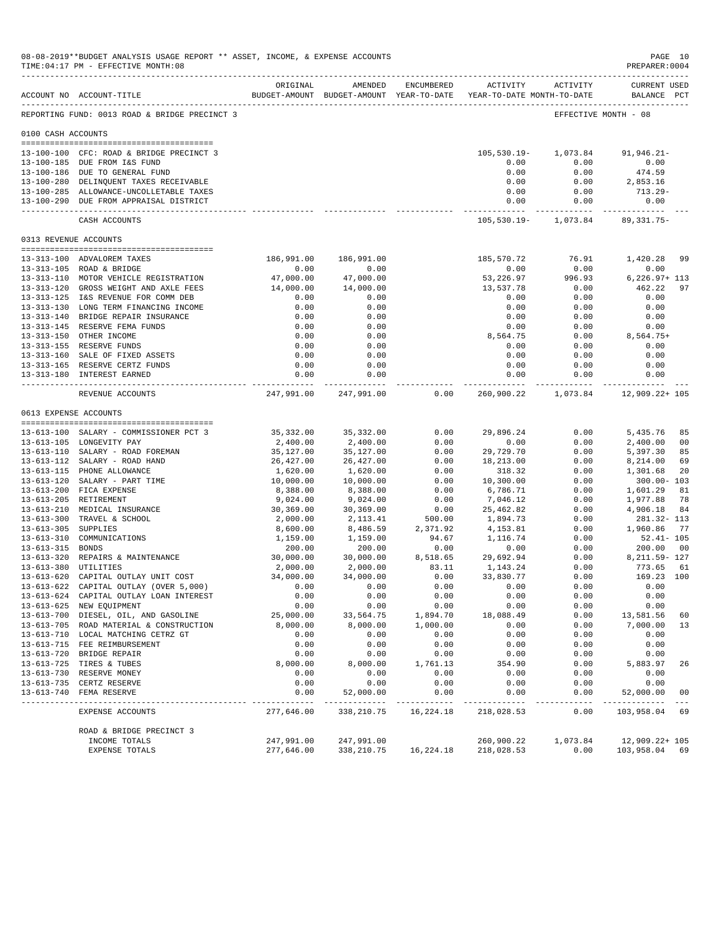|                                          | 08-08-2019**BUDGET ANALYSIS USAGE REPORT ** ASSET, INCOME, & EXPENSE ACCOUNTS<br>TIME: 04:17 PM - EFFECTIVE MONTH: 08                                                                           |                                                |                                                         |                                      |                                                                                          |                                          | PAGE 10<br>PREPARER: 0004                                            |
|------------------------------------------|-------------------------------------------------------------------------------------------------------------------------------------------------------------------------------------------------|------------------------------------------------|---------------------------------------------------------|--------------------------------------|------------------------------------------------------------------------------------------|------------------------------------------|----------------------------------------------------------------------|
|                                          | ACCOUNT NO ACCOUNT-TITLE                                                                                                                                                                        | ORIGINAL                                       | AMENDED                                                 | ENCUMBERED                           | ACTIVITY ACTIVITY<br>BUDGET-AMOUNT BUDGET-AMOUNT YEAR-TO-DATE YEAR-TO-DATE MONTH-TO-DATE |                                          | <b>CURRENT USED</b><br>BALANCE PCT                                   |
|                                          | REPORTING FUND: 0013 ROAD & BRIDGE PRECINCT 3                                                                                                                                                   |                                                |                                                         |                                      |                                                                                          | EFFECTIVE MONTH - 08                     |                                                                      |
| 0100 CASH ACCOUNTS                       |                                                                                                                                                                                                 |                                                |                                                         |                                      |                                                                                          |                                          |                                                                      |
|                                          | 13-100-100 CFC: ROAD & BRIDGE PRECINCT 3<br>13-100-185 DUE FROM I&S FUND<br>13-100-186 DUE TO GENERAL FUND<br>13-100-280 DELINQUENT TAXES RECEIVABLE<br>13-100-285 ALLOWANCE-UNCOLLETABLE TAXES |                                                |                                                         |                                      | 105,530.19-<br>0.00<br>0.00<br>0.00<br>0.00                                              | 1,073.84<br>0.00<br>0.00<br>0.00<br>0.00 | $91, 946.21 -$<br>0.00<br>474.59<br>2,853.16<br>713.29-              |
|                                          | 13-100-290 DUE FROM APPRAISAL DISTRICT                                                                                                                                                          |                                                |                                                         |                                      | 0.00                                                                                     | 0.00                                     | 0.00<br>--------------                                               |
|                                          | CASH ACCOUNTS                                                                                                                                                                                   |                                                |                                                         |                                      |                                                                                          | 105,530.19- 1,073.84 89,331.75-          |                                                                      |
| 0313 REVENUE ACCOUNTS                    |                                                                                                                                                                                                 |                                                |                                                         |                                      |                                                                                          |                                          |                                                                      |
|                                          | 13-313-100 ADVALOREM TAXES<br>13-313-105 ROAD & BRIDGE<br>13-313-110 MOTOR VEHICLE REGISTRATION<br>13-313-120 GROSS WEIGHT AND AXLE FEES                                                        | 0.00<br>47,000.00<br>14,000.00                 | 186,991.00 186,991.00<br>0.00<br>47,000.00<br>14,000.00 |                                      | 185,570.72<br>0.00<br>53,226.97<br>13,537.78                                             | 76.91<br>0.00<br>996.93<br>0.00          | 1,420.28<br>99<br>0.00<br>$6,226.97+113$<br>462.22<br>97             |
|                                          | 13-313-125 I&S REVENUE FOR COMM DEB<br>13-313-130 LONG TERM FINANCING INCOME<br>13-313-140 BRIDGE REPAIR INSURANCE<br>13-313-145 RESERVE FEMA FUNDS                                             | 0.00<br>0.00<br>0.00<br>0.00                   | 0.00<br>0.00<br>0.00<br>0.00                            |                                      | 0.00<br>0.00<br>0.00<br>0.00                                                             | 0.00<br>0.00<br>0.00<br>0.00             | 0.00<br>0.00<br>0.00<br>0.00                                         |
|                                          | 13-313-150 OTHER INCOME<br>13-313-155 RESERVE FUNDS<br>13-313-160 SALE OF FIXED ASSETS<br>13-313-165 RESERVE CERTZ FUNDS                                                                        | 0.00<br>0.00<br>0.00<br>0.00                   | 0.00<br>0.00<br>0.00<br>0.00                            |                                      | 8,564.75<br>0.00<br>0.00<br>0.00                                                         | 0.00<br>0.00<br>0.00<br>0.00             | $8,564.75+$<br>0.00<br>0.00<br>0.00                                  |
|                                          | 13-313-180 INTEREST EARNED<br>------------------------------<br>REVENUE ACCOUNTS                                                                                                                | 0.00<br>------------                           | 0.00<br>247,991.00 247,991.00                           | 0.00                                 | 0.00<br>------------                                                                     | 0.00<br>------------                     | 0.00<br>.<br>260,900.22 1,073.84 12,909.22+105                       |
| 0613 EXPENSE ACCOUNTS                    |                                                                                                                                                                                                 |                                                |                                                         |                                      |                                                                                          |                                          |                                                                      |
|                                          | 13-613-100 SALARY - COMMISSIONER PCT 3                                                                                                                                                          | 35,332.00                                      | 35,332.00                                               | 0.00                                 | 29,896.24                                                                                | 0.00                                     | 5,435.76<br>85                                                       |
|                                          | 13-613-105 LONGEVITY PAY<br>13-613-110 SALARY - ROAD FOREMAN<br>13-613-112 SALARY - ROAD HAND<br>13-613-115 PHONE ALLOWANCE                                                                     | 2,400.00<br>35,127.00<br>26,427.00<br>1,620.00 | 2,400.00<br>35,127.00<br>26,427.00                      | 0.00<br>0.00<br>0.00<br>0.00         | 0.00<br>29,729.70<br>18,213.00<br>318.32                                                 | 0.00<br>0.00<br>0.00<br>0.00             | 2,400.00<br>00<br>85<br>5,397.30<br>8,214.00<br>69<br>1,301.68<br>20 |
|                                          | 13-613-120 SALARY - PART TIME<br>13-613-200 FICA EXPENSE<br>13-613-205 RETIREMENT                                                                                                               | 10,000.00<br>8,388.00<br>9,024.00              | 1,620.00<br>10,000.00<br>8,388.00<br>9,024.00           | 0.00<br>0.00<br>0.00                 | 10,300.00<br>6,786.71<br>7,046.12                                                        | 0.00<br>0.00<br>0.00                     | $300.00 - 103$<br>1,601.29<br>81<br>1,977.88<br>78                   |
| 13-613-305 SUPPLIES                      | 13-613-210 MEDICAL INSURANCE<br>13-613-300 TRAVEL & SCHOOL<br>13-613-310 COMMUNICATIONS                                                                                                         | 30,369.00<br>2,000.00<br>8,600.00<br>1,159.00  | 30,369.00<br>2,113.41<br>8,486.59<br>1,159.00           | 0.00<br>500.00<br>2,371.92<br>94.67  | 25,462.82<br>1,894.73<br>4,153.81<br>1,116.74                                            | 0.00<br>0.00<br>0.00<br>0.00             | 4,906.18<br>84<br>281.32- 113<br>1,960.86<br>77<br>$52.41 - 105$     |
| 13-613-315 BONDS<br>13-613-380 UTILITIES | 13-613-320 REPAIRS & MAINTENANCE<br>13-613-620 CAPITAL OUTLAY UNIT COST                                                                                                                         | 200.00<br>30,000.00<br>2,000.00<br>34,000.00   | 200.00<br>30,000.00<br>2,000.00<br>34,000.00            | 0.00<br>8,518.65<br>83.11<br>0.00    | 0.00<br>29,692.94<br>1,143.24<br>33,830.77                                               | 0.00<br>0.00<br>0.00<br>0.00             | 200.00<br>00<br>8,211.59- 127<br>773.65 61<br>169.23 100             |
|                                          | 13-613-622 CAPITAL OUTLAY (OVER 5,000)<br>13-613-624 CAPITAL OUTLAY LOAN INTEREST<br>13-613-625 NEW EQUIPMENT                                                                                   | 0.00<br>0.00<br>0.00                           | 0.00<br>0.00<br>0.00                                    | 0.00<br>0.00<br>0.00                 | 0.00<br>0.00<br>0.00                                                                     | 0.00<br>0.00<br>0.00                     | 0.00<br>0.00<br>0.00                                                 |
|                                          | 13-613-700 DIESEL, OIL, AND GASOLINE<br>13-613-705 ROAD MATERIAL & CONSTRUCTION<br>13-613-710 LOCAL MATCHING CETRZ GT<br>13-613-715 FEE REIMBURSEMENT                                           | 25,000.00<br>8,000.00<br>0.00<br>0.00          | 33, 564. 75<br>8,000.00<br>0.00<br>0.00                 | 1,894.70<br>1,000.00<br>0.00<br>0.00 | 18,088.49<br>0.00<br>0.00<br>0.00                                                        | 0.00<br>0.00<br>0.00<br>0.00             | 13,581.56<br>60<br>7,000.00<br>13<br>0.00<br>0.00                    |
|                                          | 13-613-720 BRIDGE REPAIR<br>13-613-725 TIRES & TUBES<br>13-613-730 RESERVE MONEY                                                                                                                | 0.00<br>8,000.00<br>0.00                       | 0.00<br>8,000.00<br>0.00                                | 0.00<br>1,761.13<br>0.00             | 0.00<br>354.90<br>0.00                                                                   | 0.00<br>0.00<br>0.00                     | 0.00<br>5,883.97<br>26<br>0.00                                       |
|                                          | 13-613-735 CERTZ RESERVE<br>13-613-740 FEMA RESERVE                                                                                                                                             | 0.00<br>0.00                                   | 0.00<br>52,000.00                                       | 0.00<br>0.00                         | 0.00<br>0.00                                                                             | 0.00<br>0.00                             | 0.00<br>52,000.00<br>0 <sub>0</sub>                                  |
|                                          | EXPENSE ACCOUNTS                                                                                                                                                                                | ---------<br>277,646.00                        | 338,210.75                                              | $- - - - - -$<br>16,224.18           | -----<br>218,028.53                                                                      | -----<br>0.00                            | -----------<br>69<br>103,958.04                                      |
|                                          | ROAD & BRIDGE PRECINCT 3<br>INCOME TOTALS<br>EXPENSE TOTALS                                                                                                                                     | 247,991.00<br>277,646.00                       | 247,991.00<br>338,210.75                                | 16,224.18                            | 260,900.22<br>218,028.53                                                                 | 1,073.84<br>0.00                         | 12,909.22+ 105<br>103,958.04 69                                      |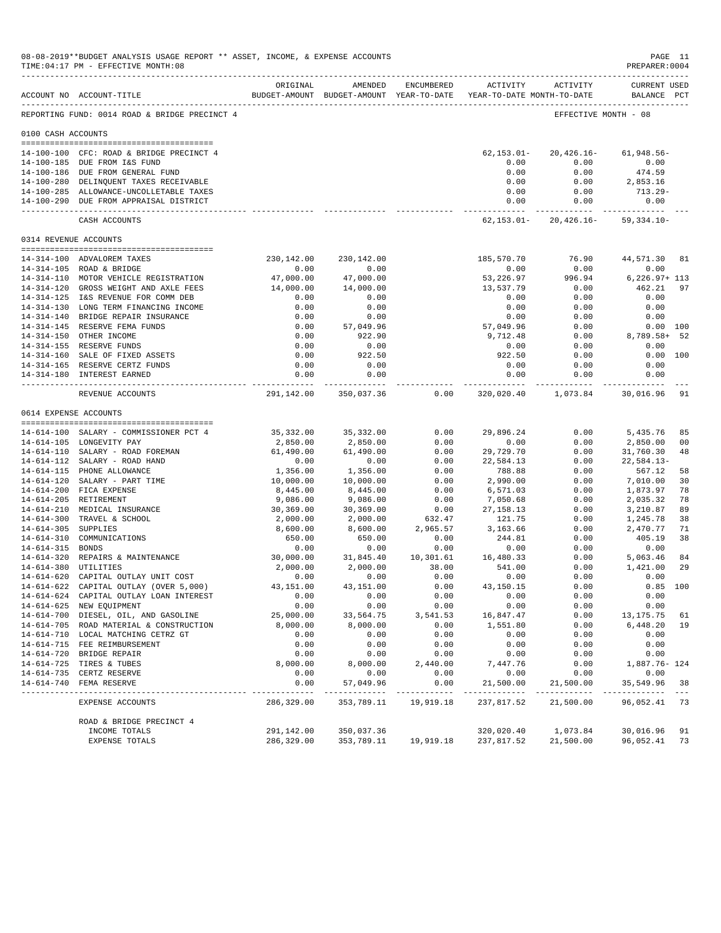|                     | 08-08-2019**BUDGET ANALYSIS USAGE REPORT ** ASSET, INCOME, & EXPENSE ACCOUNTS<br>TIME: 04:17 PM - EFFECTIVE MONTH: 08 |                       |                                                                                |                       |                            |                      | PREPARER: 0004                     | PAGE 11        |
|---------------------|-----------------------------------------------------------------------------------------------------------------------|-----------------------|--------------------------------------------------------------------------------|-----------------------|----------------------------|----------------------|------------------------------------|----------------|
|                     | ACCOUNT NO ACCOUNT-TITLE                                                                                              | ORIGINAL              | AMENDED<br>BUDGET-AMOUNT BUDGET-AMOUNT YEAR-TO-DATE YEAR-TO-DATE MONTH-TO-DATE | ENCUMBERED            | <b>ACTIVITY</b>            | ACTIVITY             | <b>CURRENT USED</b><br>BALANCE PCT |                |
|                     | REPORTING FUND: 0014 ROAD & BRIDGE PRECINCT 4                                                                         |                       |                                                                                |                       |                            | EFFECTIVE MONTH - 08 |                                    |                |
| 0100 CASH ACCOUNTS  |                                                                                                                       |                       |                                                                                |                       |                            |                      |                                    |                |
|                     |                                                                                                                       |                       |                                                                                |                       |                            |                      |                                    |                |
|                     | 14-100-100 CFC: ROAD & BRIDGE PRECINCT 4<br>14-100-185 DUE FROM I&S FUND                                              |                       |                                                                                |                       | $62, 153.01 -$<br>0.00     | 20,426.16-<br>0.00   | $61,948.56 -$<br>0.00              |                |
|                     | 14-100-186 DUE FROM GENERAL FUND                                                                                      |                       |                                                                                |                       | 0.00                       | 0.00                 | 474.59                             |                |
|                     | 14-100-280 DELINQUENT TAXES RECEIVABLE                                                                                |                       |                                                                                |                       | 0.00                       | 0.00                 | 2,853.16                           |                |
|                     | 14-100-285 ALLOWANCE-UNCOLLETABLE TAXES                                                                               |                       |                                                                                |                       | 0.00                       | 0.00                 | $713.29-$                          |                |
|                     | 14-100-290 DUE FROM APPRAISAL DISTRICT                                                                                |                       |                                                                                |                       | 0.00                       | 0.00                 | 0.00                               |                |
|                     | CASH ACCOUNTS                                                                                                         |                       |                                                                                |                       | ------------<br>62,153.01- | $20,426.16-$         | $59,334.10 -$                      |                |
|                     | 0314 REVENUE ACCOUNTS                                                                                                 |                       |                                                                                |                       |                            |                      |                                    |                |
|                     | 14-314-100 ADVALOREM TAXES                                                                                            | 230,142.00            | 230,142.00                                                                     |                       | 185,570.70                 | 76.90                | 44,571.30 81                       |                |
|                     | 14-314-105 ROAD & BRIDGE                                                                                              | 0.00                  | 0.00                                                                           |                       | 0.00                       | 0.00                 | 0.00                               |                |
|                     | 14-314-110 MOTOR VEHICLE REGISTRATION                                                                                 | 47,000.00             | 47,000.00                                                                      |                       | 53,226.97                  | 996.94               | $6,226.97+113$                     |                |
|                     | 14-314-120 GROSS WEIGHT AND AXLE FEES                                                                                 | 14,000.00             | 14,000.00                                                                      |                       | 13,537.79                  | 0.00                 | 462.21                             | 97             |
|                     | 14-314-125 I&S REVENUE FOR COMM DEB                                                                                   | 0.00                  | 0.00                                                                           |                       | 0.00                       | 0.00                 | 0.00                               |                |
|                     | 14-314-130 LONG TERM FINANCING INCOME                                                                                 | 0.00                  | 0.00                                                                           |                       | 0.00                       | 0.00                 | 0.00                               |                |
|                     | 14-314-140 BRIDGE REPAIR INSURANCE                                                                                    | 0.00                  | 0.00                                                                           |                       | 0.00                       | 0.00                 | 0.00                               |                |
|                     | 14-314-145 RESERVE FEMA FUNDS                                                                                         | 0.00                  | 57,049.96                                                                      |                       | 57,049.96                  | 0.00                 | 0.00 100                           |                |
|                     | 14-314-150 OTHER INCOME                                                                                               | 0.00                  | 922.90                                                                         |                       | 9,712.48                   | 0.00                 | $8,789.58+$                        | -52            |
|                     | 14-314-155 RESERVE FUNDS                                                                                              | 0.00                  | 0.00                                                                           |                       | 0.00                       | 0.00                 | 0.00                               |                |
|                     | 14-314-160 SALE OF FIXED ASSETS                                                                                       | 0.00                  | 922.50                                                                         |                       | 922.50                     | 0.00                 | 0.00 100                           |                |
|                     | 14-314-165 RESERVE CERTZ FUNDS                                                                                        | 0.00                  | 0.00                                                                           |                       | 0.00                       | 0.00                 | 0.00                               |                |
|                     | 14-314-180 INTEREST EARNED                                                                                            | 0.00<br>------------  | 0.00<br>-----------                                                            |                       | 0.00<br>.                  | 0.00<br>----------   | 0.00                               |                |
|                     | REVENUE ACCOUNTS                                                                                                      | 291,142.00            | 350,037.36                                                                     | 0.00                  |                            | 320,020.40 1,073.84  | 30,016.96                          | 91             |
|                     | 0614 EXPENSE ACCOUNTS                                                                                                 |                       |                                                                                |                       |                            |                      |                                    |                |
|                     | 14-614-100 SALARY - COMMISSIONER PCT 4                                                                                | 35,332.00             | 35, 332.00                                                                     | 0.00                  | 29,896.24                  | 0.00                 | 5,435.76                           | 85             |
|                     | 14-614-105 LONGEVITY PAY                                                                                              | 2,850.00              | 2,850.00                                                                       | 0.00                  | 0.00                       | 0.00                 | 2,850.00                           | 0 <sub>0</sub> |
|                     | 14-614-110 SALARY - ROAD FOREMAN                                                                                      | 61,490.00             | 61,490.00                                                                      | 0.00                  | 29,729.70                  | 0.00                 | 31,760.30                          | 48             |
|                     | 14-614-112 SALARY - ROAD HAND                                                                                         | 0.00                  | 0.00                                                                           | 0.00                  | 22,584.13                  | 0.00                 | $22,584.13-$                       |                |
|                     | 14-614-115 PHONE ALLOWANCE                                                                                            | 1,356.00              | 1,356.00                                                                       | 0.00                  | 788.88                     | 0.00                 | 567.12                             | 58             |
|                     | 14-614-120 SALARY - PART TIME                                                                                         | 10,000.00             | 10,000.00                                                                      | 0.00                  | 2,990.00                   | 0.00                 | 7,010.00                           | 30             |
|                     | 14-614-200 FICA EXPENSE                                                                                               | 8,445.00              | 8,445.00                                                                       | 0.00                  | 6,571.03                   | 0.00                 | 1,873.97                           | 78             |
|                     | 14-614-205 RETIREMENT                                                                                                 | 9,086.00              | 9,086.00                                                                       | 0.00                  | 7,050.68                   | 0.00                 | 2,035.32                           | 78             |
|                     | 14-614-210 MEDICAL INSURANCE                                                                                          | 30,369.00             | 30,369.00                                                                      | 0.00                  | 27, 158. 13                | 0.00                 | 3,210.87                           | 89             |
|                     | 14-614-300 TRAVEL & SCHOOL                                                                                            | 2,000.00              | 2,000.00                                                                       | 632.47                | 121.75                     | 0.00                 | 1,245.78                           | 38             |
| 14-614-305 SUPPLIES |                                                                                                                       | 8,600.00              | 8,600.00                                                                       | 2,965.57              | 3,163.66                   | 0.00                 | 2,470.77                           | 71             |
|                     | 14-614-310 COMMUNICATIONS                                                                                             | 650.00                | 650.00                                                                         | 0.00                  | 244.81                     | 0.00                 | 405.19                             | 38             |
| 14-614-315 BONDS    |                                                                                                                       | 0.00                  | 0.00                                                                           | 0.00                  | 0.00                       | 0.00                 | 0.00                               |                |
|                     | 14-614-320 REPAIRS & MAINTENANCE<br>14-614-380 UTILITIES                                                              | 30,000.00<br>2,000.00 | 31,845.40                                                                      | 10,301.61<br>38.00    | 16,480.33                  | 0.00                 | 5,063.46                           | 84             |
|                     | 14-614-620 CAPITAL OUTLAY UNIT COST                                                                                   | 0.00                  | 2,000.00<br>0.00                                                               | 0.00                  | 541.00<br>0.00             | 0.00<br>0.00         | 1,421.00<br>0.00                   | 29             |
|                     |                                                                                                                       | $43\,, 151\,. \,00$   | 43,151.00                                                                      | 0.00                  | $43\,, 150\,.15$           | 0.00                 | $0.85$ 100                         |                |
|                     | 14-614-622 CAPITAL OUTLAY (OVER 5,000)<br>14-614-624 CAPITAL OUTLAY LOAN INTEREST                                     | 0.00                  | 0.00                                                                           | 0.00                  | 0.00                       | 0.00                 | 0.00                               |                |
|                     | 14-614-625 NEW EQUIPMENT                                                                                              | 0.00                  | 0.00                                                                           | 0.00                  | 0.00                       | 0.00                 | 0.00                               |                |
|                     | 14-614-700 DIESEL, OIL, AND GASOLINE                                                                                  | 25,000.00             | 33,564.75                                                                      | 3,541.53              | 16,847.47                  | 0.00                 | 13,175.75                          | 61             |
|                     | 14-614-705 ROAD MATERIAL & CONSTRUCTION                                                                               | 8,000.00              | 8,000.00                                                                       | 0.00                  | 1,551.80                   | 0.00                 | 6,448.20                           | 19             |
|                     | 14-614-710 LOCAL MATCHING CETRZ GT                                                                                    | 0.00                  | 0.00                                                                           | 0.00                  | 0.00                       | 0.00                 | 0.00                               |                |
|                     | 14-614-715 FEE REIMBURSEMENT                                                                                          | 0.00                  | 0.00                                                                           | 0.00                  | 0.00                       | 0.00                 | 0.00                               |                |
|                     | 14-614-720 BRIDGE REPAIR                                                                                              | 0.00                  | 0.00                                                                           | 0.00                  | 0.00                       | 0.00                 | 0.00                               |                |
|                     | 14-614-725 TIRES & TUBES                                                                                              | 8,000.00              | 8,000.00                                                                       | 2,440.00              | 7,447.76                   | 0.00                 | 1,887.76- 124                      |                |
|                     | 14-614-735 CERTZ RESERVE                                                                                              | 0.00                  | 0.00                                                                           | 0.00                  | 0.00                       | 0.00                 | 0.00                               |                |
|                     | 14-614-740 FEMA RESERVE<br>---------------------                                                                      | 0.00                  | 57,049.96<br>___________                                                       | 0.00<br>$- - - - - -$ | 21,500.00<br>-----------   | 21,500.00            | 35,549.96                          | 38             |
|                     | EXPENSE ACCOUNTS                                                                                                      | 286,329.00            | 353,789.11                                                                     | 19,919.18             | 237,817.52                 | 21,500.00            | 96,052.41                          | 73             |
|                     | ROAD & BRIDGE PRECINCT 4                                                                                              |                       |                                                                                |                       |                            |                      |                                    |                |
|                     | INCOME TOTALS                                                                                                         | 291,142.00            | 350,037.36                                                                     |                       | 320,020.40                 | 1,073.84             | 30,016.96                          | 91             |
|                     | EXPENSE TOTALS                                                                                                        | 286,329.00            | 353,789.11                                                                     | 19,919.18             | 237,817.52                 | 21,500.00            | 96,052.41                          | 73             |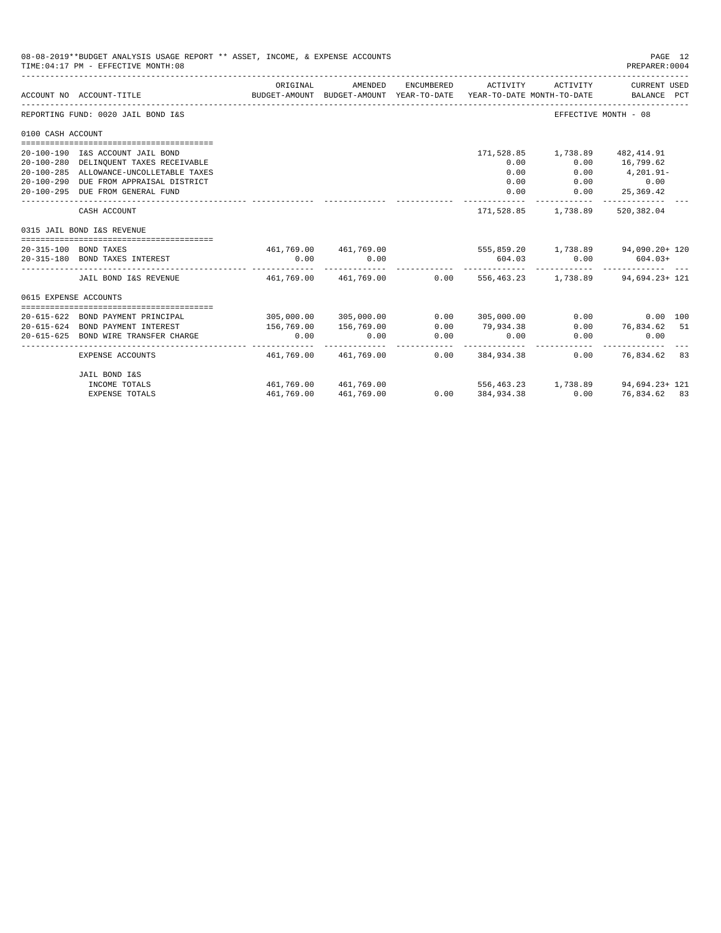|                                  | 08-08-2019**BUDGET ANALYSIS USAGE REPORT ** ASSET, INCOME, & EXPENSE ACCOUNTS<br>TIME: 04:17 PM - EFFECTIVE MONTH: 08 |                                                              |                       |                     |                   |                                | PAGE 12<br>PREPARER: 0004                                                                       |  |
|----------------------------------|-----------------------------------------------------------------------------------------------------------------------|--------------------------------------------------------------|-----------------------|---------------------|-------------------|--------------------------------|-------------------------------------------------------------------------------------------------|--|
|                                  | ACCOUNT NO ACCOUNT-TITLE                                                                                              | ORIGINAL                                                     | AMENDED               | ENCUMBERED          | ACTIVITY          | ACTIVITY                       | CURRENT USED<br>BUDGET-AMOUNT BUDGET-AMOUNT YEAR-TO-DATE YEAR-TO-DATE MONTH-TO-DATE BALANCE PCT |  |
|                                  | REPORTING FUND: 0020 JAIL BOND I&S                                                                                    |                                                              |                       |                     |                   | EFFECTIVE MONTH - 08           |                                                                                                 |  |
| 0100 CASH ACCOUNT                |                                                                                                                       |                                                              |                       |                     |                   |                                |                                                                                                 |  |
|                                  |                                                                                                                       |                                                              |                       |                     |                   |                                |                                                                                                 |  |
|                                  | 20-100-190 I&S ACCOUNT JAIL BOND                                                                                      |                                                              |                       |                     |                   | 171,528.85 1,738.89 482,414.91 |                                                                                                 |  |
|                                  | 20-100-280 DELINQUENT TAXES RECEIVABLE                                                                                |                                                              |                       |                     | 0.00              | 0.00                           | 16,799.62                                                                                       |  |
|                                  | 20-100-285 ALLOWANCE-UNCOLLETABLE TAXES                                                                               |                                                              |                       |                     | 0.00              | 0.00                           | $4,201.91-$                                                                                     |  |
|                                  | 20-100-290 DUE FROM APPRAISAL DISTRICT                                                                                |                                                              |                       |                     | 0.00              |                                | $0.00$ 0.00                                                                                     |  |
| 20-100-295 DUE FROM GENERAL FUND |                                                                                                                       |                                                              |                       |                     | 0.00              | 0.00                           | 25,369.42                                                                                       |  |
|                                  | CASH ACCOUNT                                                                                                          |                                                              |                       |                     |                   | 171,528.85 1,738.89 520,382.04 |                                                                                                 |  |
|                                  | 0315 JAIL BOND I&S REVENUE                                                                                            |                                                              |                       |                     |                   |                                |                                                                                                 |  |
|                                  | 20-315-100 BOND TAXES                                                                                                 |                                                              |                       |                     |                   |                                | 461,769.00 461,769.00 555,859.20 1,738.89 94,090.20+ 120                                        |  |
|                                  | 20-315-180 BOND TAXES INTEREST                                                                                        | 0.00                                                         | 0.00<br>------------- |                     | 604.03            |                                | $0.00$ 604.03+                                                                                  |  |
|                                  | JAIL BOND I&S REVENUE                                                                                                 | 461.769.00 461.769.00 0.00 556.463.23 1.738.89 94.694.23+121 |                       |                     |                   |                                |                                                                                                 |  |
| 0615 EXPENSE ACCOUNTS            |                                                                                                                       |                                                              |                       |                     |                   |                                |                                                                                                 |  |
|                                  |                                                                                                                       |                                                              |                       |                     |                   |                                |                                                                                                 |  |
|                                  | 20-615-622 BOND PAYMENT PRINCIPAL                                                                                     |                                                              | 305,000.00 305,000.00 |                     | 0.0000305,000.00  |                                | $0.00$ $0.00$ $100$                                                                             |  |
|                                  | 20-615-624 BOND PAYMENT INTEREST                                                                                      | 156,769.00                                                   | 156,769.00            | 0.00                | 79,934.38         |                                | $0.00$ 76,834.62 51                                                                             |  |
|                                  | 20-615-625 BOND WIRE TRANSFER CHARGE                                                                                  | 0.00                                                         | 0.00                  | 0.00<br>----------- | 0.00              | 0.00                           | 0.00                                                                                            |  |
|                                  | EXPENSE ACCOUNTS                                                                                                      |                                                              | 461,769.00 461,769.00 |                     | $0.00$ 384,934,38 |                                | $0.00$ 76.834.62 83                                                                             |  |
|                                  | JAIL BOND I&S                                                                                                         |                                                              |                       |                     |                   |                                |                                                                                                 |  |
|                                  | INCOME TOTALS                                                                                                         |                                                              | 461,769.00 461,769.00 |                     |                   |                                | $556, 463, 23$ 1, 738.89 94, 694.23+ 121                                                        |  |
|                                  | <b>EXPENSE TOTALS</b>                                                                                                 | 461,769.00                                                   | 461,769.00            |                     | 0.000384,934.38   | 0.00                           | 76,834.62 83                                                                                    |  |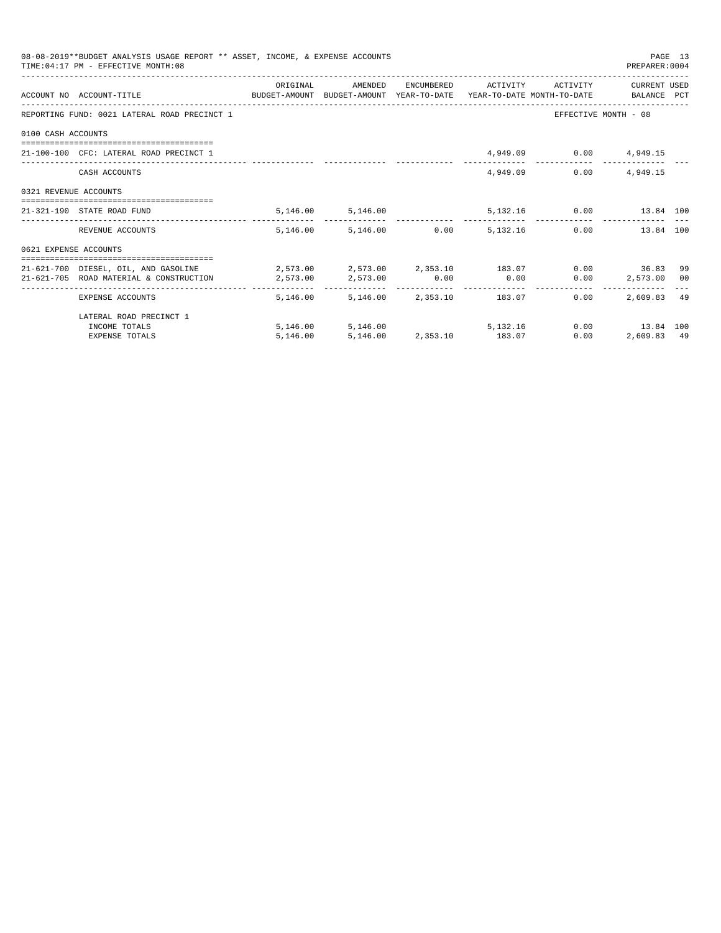|                       | 08-08-2019**BUDGET ANALYSIS USAGE REPORT ** ASSET, INCOME, & EXPENSE ACCOUNTS<br>TIME: 04:17 PM - EFFECTIVE MONTH: 08 |          |                                          |  |                               | PREPARER: 0004                                | PAGE 13 |
|-----------------------|-----------------------------------------------------------------------------------------------------------------------|----------|------------------------------------------|--|-------------------------------|-----------------------------------------------|---------|
|                       | ACCOUNT NO ACCOUNT-TITLE COMPUTE SUDGET-AMOUNT BUDGET-AMOUNT YEAR-TO-DATE YEAR-TO-DATE MONTH-TO-DATE BALANCE PCT      | ORIGINAL | AMENDED                                  |  | ENCUMBERED ACTIVITY ACTIVITY  | CURRENT USED                                  |         |
|                       | REPORTING FUND: 0021 LATERAL ROAD PRECINCT 1                                                                          |          |                                          |  |                               | EFFECTIVE MONTH - 08                          |         |
| 0100 CASH ACCOUNTS    |                                                                                                                       |          |                                          |  |                               |                                               |         |
|                       | 21-100-100 CFC: LATERAL ROAD PRECINCT 1                                                                               |          |                                          |  | 4,949.09 0.00 4,949.15        |                                               |         |
|                       | CASH ACCOUNTS                                                                                                         |          |                                          |  | 4,949,09                      | $0.00$ 4,949.15                               |         |
| 0321 REVENUE ACCOUNTS |                                                                                                                       |          |                                          |  |                               |                                               |         |
|                       | 21-321-190 STATE ROAD FUND                                                                                            |          | 5,146.00 5,146.00                        |  | 5,132.16   0.00   13.84   100 |                                               |         |
|                       | REVENUE ACCOUNTS                                                                                                      |          | 5,146.00 5,146.00 0.00 5,132.16          |  |                               | 0.00<br>13.84 100                             |         |
| 0621 EXPENSE ACCOUNTS |                                                                                                                       |          |                                          |  |                               |                                               |         |
|                       | 21-621-700 DIESEL, OIL, AND GASOLINE 2,573.00 2,573.00 2,353.10 183.07                                                |          |                                          |  |                               | $0.00$ 36.83                                  | 99      |
|                       | $21-621-705$ ROAD MATERIAL & CONSTRUCTION $2,573.00$ $2,573.00$ $0.00$ $0.00$                                         |          |                                          |  |                               | $0.00$ 2,573.00 00                            |         |
|                       | EXPENSE ACCOUNTS                                                                                                      |          | 5, 146, 00 5, 146, 00 2, 353, 10 183, 07 |  | $0.00 -$                      | ------------------------------<br>2,609.83 49 |         |
|                       | LATERAL ROAD PRECINCT 1                                                                                               |          |                                          |  |                               |                                               |         |
|                       | INCOME TOTALS                                                                                                         |          | 5, 146.00 5, 146.00 5, 132.16            |  |                               | 0.00 13.84 100                                |         |
|                       | <b>EXPENSE TOTALS</b>                                                                                                 | 5,146.00 | 5,146.00 2,353.10 183.07                 |  | 0.00                          | 2,609.83 49                                   |         |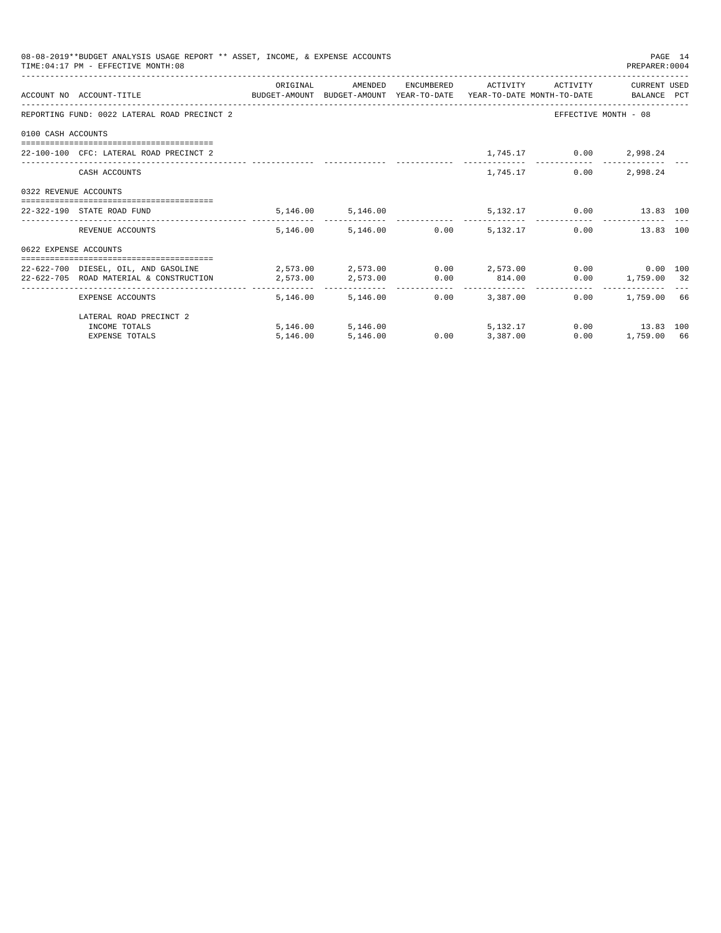|                       | 08-08-2019**BUDGET ANALYSIS USAGE REPORT ** ASSET, INCOME, & EXPENSE ACCOUNTS<br>TIME: 04:17 PM - EFFECTIVE MONTH: 08 |          |                                 |                 |                 |                              | PREPARER: 0004       | PAGE 14 |
|-----------------------|-----------------------------------------------------------------------------------------------------------------------|----------|---------------------------------|-----------------|-----------------|------------------------------|----------------------|---------|
|                       |                                                                                                                       | ORIGINAL | AMENDED                         |                 |                 | ENCUMBERED ACTIVITY ACTIVITY | CURRENT USED         |         |
|                       | ACCOUNT NO ACCOUNT-TITLE CONTROL SUDGET-AMOUNT BUDGET-AMOUNT YEAR-TO-DATE YEAR-TO-DATE MONTH-TO-DATE BALANCE PCT      |          |                                 |                 |                 |                              |                      |         |
|                       | REPORTING FUND: 0022 LATERAL ROAD PRECINCT 2                                                                          |          |                                 |                 |                 |                              | EFFECTIVE MONTH - 08 |         |
| 0100 CASH ACCOUNTS    |                                                                                                                       |          |                                 |                 |                 |                              |                      |         |
|                       | 22-100-100 CFC: LATERAL ROAD PRECINCT 2                                                                               |          |                                 |                 |                 | 1,745.17 0.00 2,998.24       |                      |         |
|                       | CASH ACCOUNTS                                                                                                         |          |                                 |                 | 1,745.17        | 0.00                         | 2,998.24             |         |
| 0322 REVENUE ACCOUNTS |                                                                                                                       |          |                                 |                 |                 |                              |                      |         |
|                       | 22-322-190 STATE ROAD FUND                                                                                            |          | 5,146.00 5,146.00               |                 |                 | 5,132.17 0.00 13.83 100      |                      |         |
|                       | REVENUE ACCOUNTS                                                                                                      |          | 5.146.00 5.146.00 0.00 5.132.17 |                 |                 |                              | 0.00<br>13.83 100    |         |
| 0622 EXPENSE ACCOUNTS |                                                                                                                       |          |                                 |                 |                 |                              |                      |         |
|                       | 22-622-700 DIESEL. OIL. AND GASOLINE $2.573.00$ $2.573.00$ $0.00$ $2.573.00$ $0.00$ $0.00$ $0.00$ $0.00$              |          |                                 |                 |                 |                              |                      |         |
|                       | 22-622-705 ROAD MATERIAL & CONSTRUCTION 2.573.00                                                                      |          | 2,573.00 0.00 814.00            |                 |                 |                              | $0.00$ 1,759.00 32   |         |
|                       | EXPENSE ACCOUNTS                                                                                                      |          | 5,146.00 5,146.00               |                 | $0.00$ 3.387.00 |                              | $0.00$ 1,759.00 66   |         |
|                       | LATERAL ROAD PRECINCT 2                                                                                               |          |                                 |                 |                 |                              |                      |         |
|                       | INCOME TOTALS                                                                                                         |          | 5,146.00 5,146.00               |                 | 5, 132, 17      |                              | $0.00$ 13.83 100     |         |
|                       | <b>EXPENSE TOTALS</b>                                                                                                 | 5,146.00 | 5,146.00                        | $0.00$ 3,387.00 |                 | 0.00                         | 1,759.00 66          |         |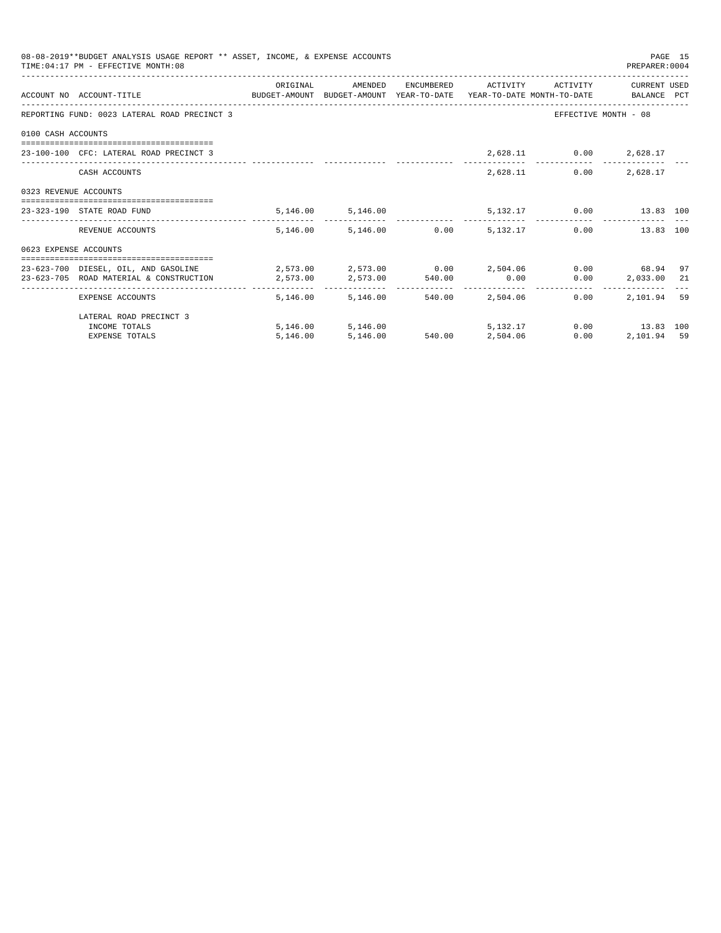|                       | 08-08-2019**BUDGET ANALYSIS USAGE REPORT ** ASSET, INCOME, & EXPENSE ACCOUNTS<br>TIME: 04:17 PM - EFFECTIVE MONTH: 08 |                                                        |                                 |                                  |                         | PREPARER: 0004       | PAGE 15 |
|-----------------------|-----------------------------------------------------------------------------------------------------------------------|--------------------------------------------------------|---------------------------------|----------------------------------|-------------------------|----------------------|---------|
|                       |                                                                                                                       | ORIGINAL                                               | AMENDED                         | ENCUMBERED ACTIVITY              | ACTIVITY                | CURRENT USED         |         |
|                       | ACCOUNT NO ACCOUNT-TITLE CONTROL SUDGET-AMOUNT BUDGET-AMOUNT YEAR-TO-DATE YEAR-TO-DATE MONTH-TO-DATE BALANCE PCT      |                                                        |                                 |                                  |                         |                      |         |
|                       | REPORTING FUND: 0023 LATERAL ROAD PRECINCT 3                                                                          |                                                        |                                 |                                  |                         | EFFECTIVE MONTH - 08 |         |
| 0100 CASH ACCOUNTS    |                                                                                                                       |                                                        |                                 |                                  |                         |                      |         |
|                       | 23-100-100 CFC: LATERAL ROAD PRECINCT 3                                                                               |                                                        |                                 |                                  | 2,628.11 0.00 2,628.17  |                      |         |
|                       | CASH ACCOUNTS                                                                                                         |                                                        |                                 |                                  | 2,628.11                | $0.00$ 2,628.17      |         |
| 0323 REVENUE ACCOUNTS |                                                                                                                       |                                                        |                                 |                                  |                         |                      |         |
|                       | 23-323-190 STATE ROAD FUND                                                                                            |                                                        | 5, 146.00 5, 146.00             |                                  | 5,132.17 0.00 13.83 100 |                      |         |
|                       | REVENUE ACCOUNTS                                                                                                      |                                                        | 5.146.00 5.146.00 0.00 5.132.17 |                                  |                         | 0.00<br>13.83 100    |         |
| 0623 EXPENSE ACCOUNTS |                                                                                                                       |                                                        |                                 |                                  |                         |                      |         |
|                       | 23-623-700 DIESEL, OIL, AND GASOLINE                                                                                  | $2,573.00$ $2,573.00$ $0.00$ $2,504.06$ $0.00$ $68.94$ |                                 |                                  |                         |                      | 97      |
|                       | 23-623-705 ROAD MATERIAL & CONSTRUCTION 2.573.00                                                                      |                                                        | 2,573.00 540.00 0.00            |                                  |                         | 0.00<br>2,033.00 21  |         |
|                       | EXPENSE ACCOUNTS                                                                                                      | -------- -                                             | 5, 146, 00 5, 146, 00           | -------------<br>540.00 2.504.06 | 0.00                    | 2,101.94             | 59      |
|                       | LATERAL ROAD PRECINCT 3                                                                                               |                                                        |                                 |                                  |                         |                      |         |
|                       | INCOME TOTALS                                                                                                         |                                                        | 5,146.00 5,146.00               | 5, 132, 17                       |                         | $0.00$ 13.83 100     |         |
|                       | <b>EXPENSE TOTALS</b>                                                                                                 | 5,146.00                                               | 5,146.00                        | 540.00 2.504.06                  | 0.00                    | 2,101.94 59          |         |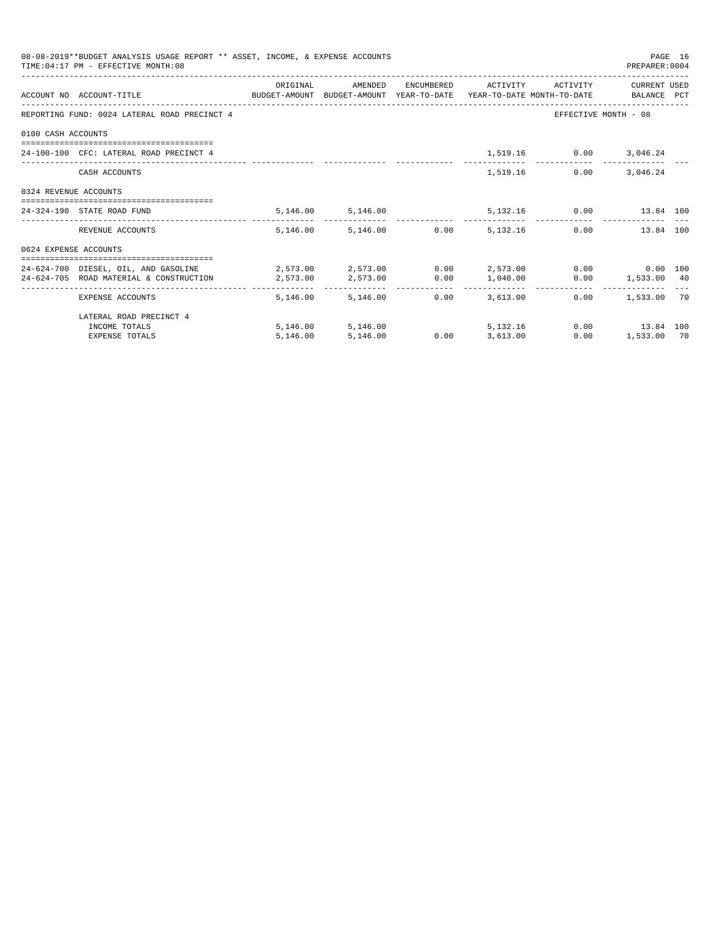|                       | 08-08-2019**BUDGET ANALYSIS USAGE REPORT ** ASSET, INCOME, & EXPENSE ACCOUNTS<br>TIME: 04:17 PM - EFFECTIVE MONTH: 08 |          |                                 |                 |                          |                               | PREPARER: 0004                                       | PAGE 16 |
|-----------------------|-----------------------------------------------------------------------------------------------------------------------|----------|---------------------------------|-----------------|--------------------------|-------------------------------|------------------------------------------------------|---------|
|                       |                                                                                                                       | ORIGINAL | AMENDED                         |                 | ENCUMBERED ACTIVITY      | ACTIVITY                      | CURRENT USED                                         |         |
|                       | ACCOUNT NO ACCOUNT-TITLE CONTROL SUDGET-AMOUNT BUDGET-AMOUNT YEAR-TO-DATE YEAR-TO-DATE MONTH-TO-DATE BALANCE PCT      |          |                                 |                 |                          |                               |                                                      |         |
|                       | REPORTING FUND: 0024 LATERAL ROAD PRECINCT 4                                                                          |          |                                 |                 |                          |                               | EFFECTIVE MONTH - 08                                 |         |
| 0100 CASH ACCOUNTS    |                                                                                                                       |          |                                 |                 |                          |                               |                                                      |         |
|                       | 24-100-100 CFC: LATERAL ROAD PRECINCT 4                                                                               |          |                                 |                 |                          | 1,519.16 0.00 3,046.24        |                                                      |         |
|                       | CASH ACCOUNTS                                                                                                         |          |                                 |                 | 1,519.16                 | 0.00                          | 3,046.24                                             |         |
| 0324 REVENUE ACCOUNTS |                                                                                                                       |          |                                 |                 |                          |                               |                                                      |         |
|                       | 24-324-190 STATE ROAD FUND                                                                                            |          | 5,146.00 5,146.00               |                 |                          | 5,132.16   0.00   13.84   100 |                                                      |         |
|                       | REVENUE ACCOUNTS                                                                                                      |          | 5.146.00 5.146.00 0.00 5.132.16 |                 |                          |                               | 0.00<br>13.84 100                                    |         |
| 0624 EXPENSE ACCOUNTS |                                                                                                                       |          |                                 |                 |                          |                               |                                                      |         |
|                       | 24-624-700 DIESEL. OIL. AND GASOLINE $2.573.00$ $2.573.00$ $0.00$ $2.573.00$ $0.00$ $0.00$ $0.00$ $0.00$              |          |                                 |                 |                          |                               |                                                      |         |
|                       | 24-624-705 ROAD MATERIAL & CONSTRUCTION 2,573.00                                                                      |          | 2,573.00   0.00   1,040.00      |                 |                          |                               | $0.00$ 1,533.00 40                                   |         |
|                       | EXPENSE ACCOUNTS                                                                                                      |          | 5,146.00 5,146.00               | 0.00            | ------------<br>3,613.00 |                               | ------------------------------<br>$0.00$ 1,533.00 70 |         |
|                       | LATERAL ROAD PRECINCT 4                                                                                               |          |                                 |                 |                          |                               |                                                      |         |
|                       | INCOME TOTALS                                                                                                         |          | 5,146.00 5,146.00               |                 | 5, 132. 16               |                               | $0.00$ 13.84 100                                     |         |
|                       | <b>EXPENSE TOTALS</b>                                                                                                 | 5,146.00 | 5,146.00                        | $0.00$ 3,613.00 |                          | 0.00                          | 1,533.00 70                                          |         |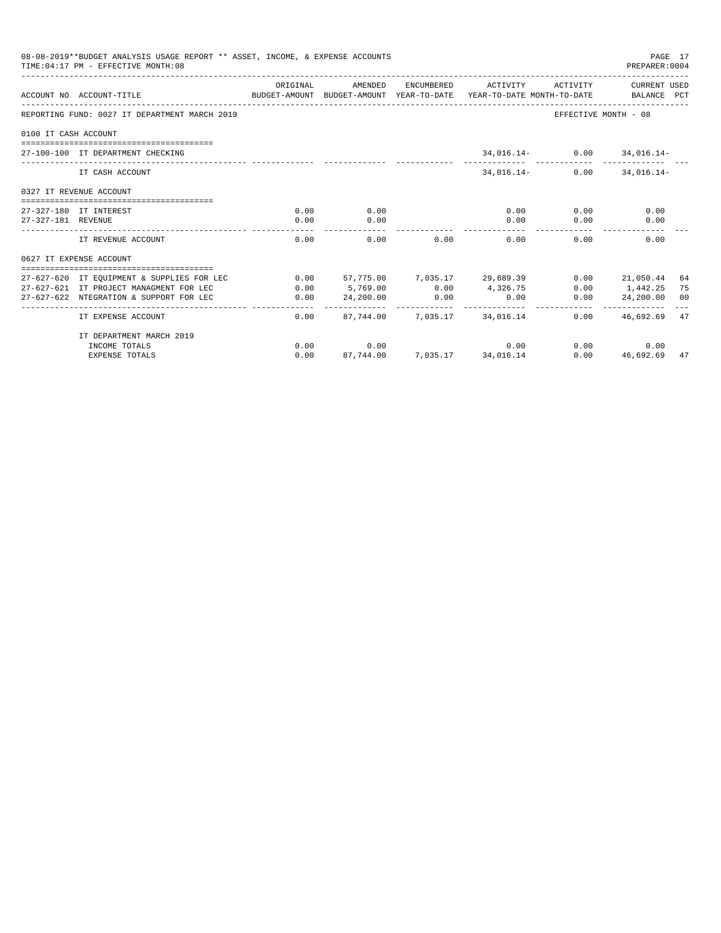|                      | 08-08-2019**BUDGET ANALYSIS USAGE REPORT ** ASSET, INCOME, & EXPENSE ACCOUNTS<br>TIME: 04:17 PM - EFFECTIVE MONTH: 08 |          |                 |                              |                              |                            | PAGE 17<br>PREPARER: 0004 |    |
|----------------------|-----------------------------------------------------------------------------------------------------------------------|----------|-----------------|------------------------------|------------------------------|----------------------------|---------------------------|----|
|                      | ACCOUNT NO ACCOUNT-TITUE<br>BUDGET-AMOUNT BUDGET-AMOUNT YEAR-TO-DATE YEAR-TO-DATE MONTH-TO-DATE     BALANCE PCT       | ORIGINAL | AMENDED         | ENCUMBERED                   | ACTIVITY                     | ACTIVITY                   | CURRENT USED              |    |
|                      | REPORTING FUND: 0027 IT DEPARTMENT MARCH 2019                                                                         |          |                 |                              |                              | EFFECTIVE MONTH - 08       |                           |    |
| 0100 IT CASH ACCOUNT |                                                                                                                       |          |                 |                              |                              |                            |                           |    |
|                      | 27-100-100 IT DEPARTMENT CHECKING                                                                                     |          |                 |                              |                              | 34,016.14- 0.00 34,016.14- |                           |    |
|                      | IT CASH ACCOUNT                                                                                                       |          |                 |                              | $34.016.14-$                 | 0.00                       | $34.016.14-$              |    |
|                      | 0327 IT REVENUE ACCOUNT<br>--------------------------------                                                           |          |                 |                              |                              |                            |                           |    |
|                      | 27-327-180 IT INTEREST                                                                                                | 0.00     | 0.00            |                              | 0.00                         | 0.00                       | 0.00                      |    |
| 27-327-181 REVENUE   |                                                                                                                       | 0.00     | 0.00            |                              | 0.00                         | 0.00                       | 0.00                      |    |
|                      | IT REVENUE ACCOUNT                                                                                                    | 0.00     | 0.00            | 0.00                         | 0.00                         | 0.00                       | 0.00                      |    |
|                      | 0627 IT EXPENSE ACCOUNT                                                                                               |          |                 |                              |                              |                            |                           |    |
|                      | 27-627-620 IT EQUIPMENT & SUPPLIES FOR LEC                                                                            | 0.00     |                 |                              | 57,775.00 7,035.17 29,689.39 | 0.00                       | 21,050.44                 | 64 |
|                      | 27-627-621 IT PROJECT MANAGMENT FOR LEC                                                                               | 0.00     | $5,769.00$ 0.00 |                              | 4,326.75                     |                            | $0.00$ 1.442.25           | 75 |
|                      | 27-627-622 NTEGRATION & SUPPORT FOR LEC                                                                               | 0.00     | 24,200.00       | 0.00                         | 0.00                         | 0.00                       | 24,200.00                 | 00 |
|                      | IT EXPENSE ACCOUNT                                                                                                    | 0.00     |                 | 87.744.00 7.035.17           | 34,016.14                    | $0.00 -$                   | 46,692.69                 | 47 |
|                      | IT DEPARTMENT MARCH 2019                                                                                              |          |                 |                              |                              |                            |                           |    |
|                      | INCOME TOTALS                                                                                                         | 0.00     | 0.00            |                              | 0.00                         |                            | 0.00<br>0.00              |    |
|                      | <b>EXPENSE TOTALS</b>                                                                                                 | 0.00     |                 | 87.744.00 7.035.17 34.016.14 |                              | 0.00                       | 46,692.69                 | 47 |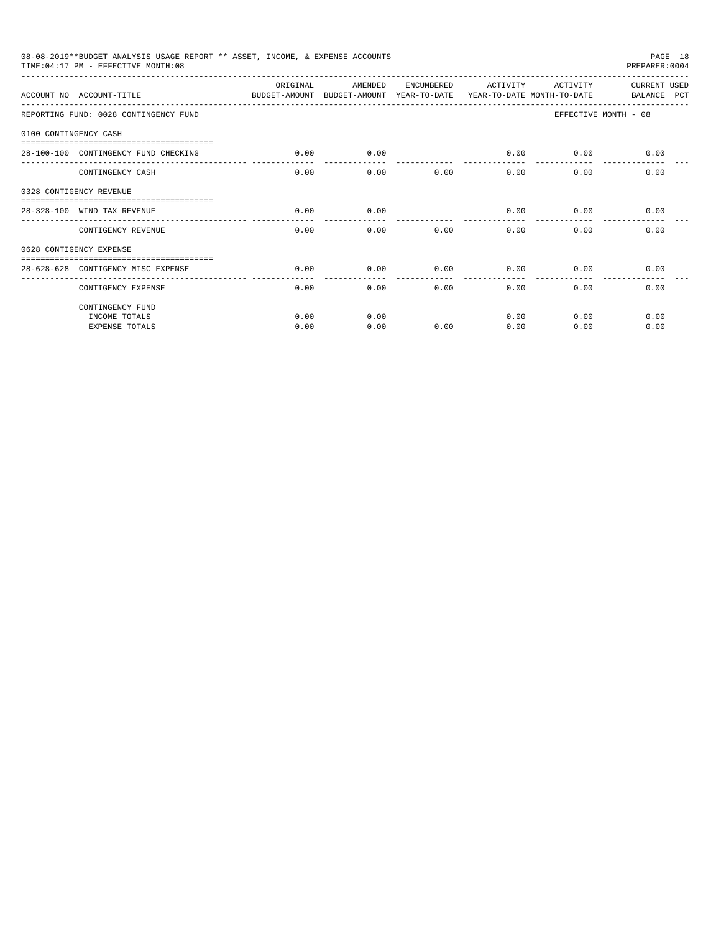|                       | 08-08-2019**BUDGET ANALYSIS USAGE REPORT ** ASSET, INCOME, & EXPENSE ACCOUNTS<br>TIME: 04:17 PM - EFFECTIVE MONTH: 08 |          |         |            |          |             | PAGE 18<br>PREPARER: 0004          |
|-----------------------|-----------------------------------------------------------------------------------------------------------------------|----------|---------|------------|----------|-------------|------------------------------------|
|                       | ACCOUNT NO ACCOUNT-TITLE CONTROL AND BUDGET-AMOUNT BUDGET-AMOUNT YEAR-TO-DATE YEAR-TO-DATE MONTH-TO-DATE              | ORIGINAL | AMENDED | ENCUMBERED | ACTIVITY | ACTIVITY    | <b>CURRENT USED</b><br>BALANCE PCT |
|                       | REPORTING FUND: 0028 CONTINGENCY FUND                                                                                 |          |         |            |          |             | EFFECTIVE MONTH - 08               |
| 0100 CONTINGENCY CASH |                                                                                                                       |          |         |            |          |             |                                    |
|                       | 28-100-100 CONTINGENCY FUND CHECKING                                                                                  | 0.00     | 0.00    |            | 0.00     | $0.00$ 0.00 |                                    |
|                       | CONTINGENCY CASH                                                                                                      | 0.00     | 0.00    | 0.00       | 0.00     | 0.00        | 0.00                               |
|                       | 0328 CONTIGENCY REVENUE                                                                                               |          |         |            |          |             |                                    |
|                       | 28-328-100 WIND TAX REVENUE                                                                                           | 0.00     | 0.00    |            | 0.00     | 0.00        | 0.00                               |
|                       | CONTIGENCY REVENUE                                                                                                    | 0.00     | 0.00    | 0.00       | 0.00     | 0.00        | 0.00                               |
|                       | 0628 CONTIGENCY EXPENSE                                                                                               |          |         |            |          |             |                                    |
|                       | 28-628-628 CONTIGENCY MISC EXPENSE                                                                                    | 0.00     | 0.00    | 0.00       | 0.00     | 0.00        | 0.00                               |
|                       | CONTIGENCY EXPENSE                                                                                                    | 0.00     | 0.00    | 0.00       | 0.00     | 0.00        | 0.00                               |
|                       | CONTINGENCY FUND                                                                                                      |          |         |            |          |             |                                    |
|                       | INCOME TOTALS                                                                                                         | 0.00     | 0.00    |            | 0.00     | 0.00        | 0.00                               |
|                       | <b>EXPENSE TOTALS</b>                                                                                                 | 0.00     | 0.00    | 0.00       | 0.00     | 0.00        | 0.00                               |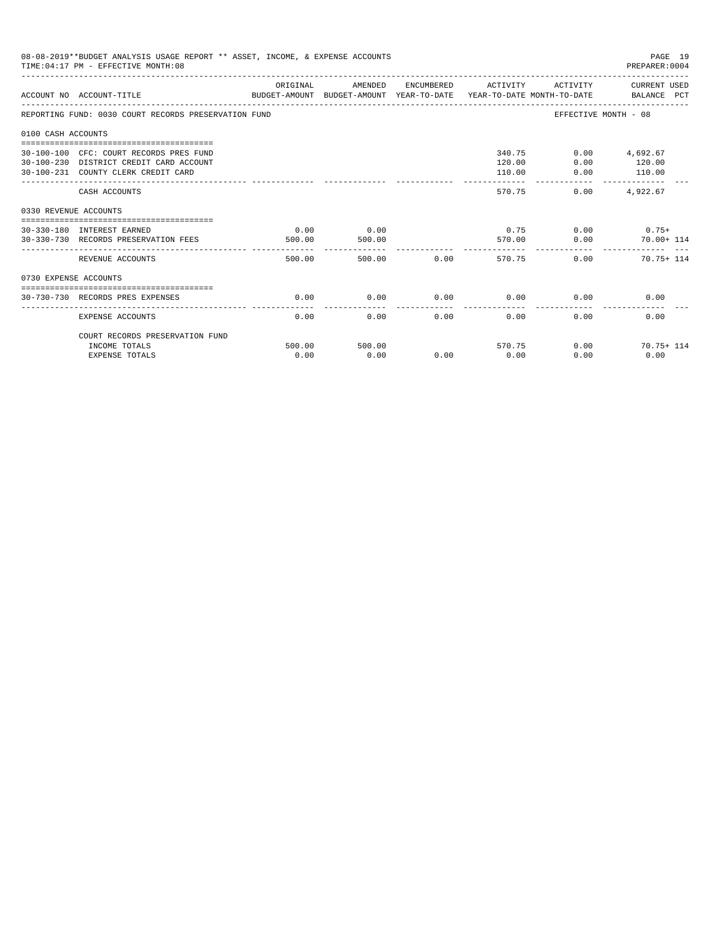|                       | 08-08-2019**BUDGET ANALYSIS USAGE REPORT ** ASSET, INCOME, & EXPENSE ACCOUNTS<br>TIME: 04:17 PM - EFFECTIVE MONTH: 08     |                |                |                |                             |                       | PAGE 19<br>PREPARER: 0004             |
|-----------------------|---------------------------------------------------------------------------------------------------------------------------|----------------|----------------|----------------|-----------------------------|-----------------------|---------------------------------------|
|                       | ACCOUNT NO ACCOUNT-TITLE CONTROL CONTROLLER ANOUNT BUDGET-AMOUNT PEAR-TO-DATE YEAR-TO-DATE MONTH-TO-DATE BALANCE PCT      | ORIGINAL       | AMENDED        |                | ENCUMBERED ACTIVITY         |                       | ACTIVITY CURRENT USED                 |
|                       | REPORTING FUND: 0030 COURT RECORDS PRESERVATION FUND                                                                      |                |                |                |                             | EFFECTIVE MONTH - 08  |                                       |
| 0100 CASH ACCOUNTS    |                                                                                                                           |                |                |                |                             |                       |                                       |
|                       | 30-100-100 CFC: COURT RECORDS PRES FUND<br>30-100-230 DISTRICT CREDIT CARD ACCOUNT<br>30-100-231 COUNTY CLERK CREDIT CARD |                |                |                | 340.75<br>120.00<br>110.00  | 0.00<br>0.00          | $0.00$ $4.692.67$<br>120.00<br>110.00 |
|                       | CASH ACCOUNTS                                                                                                             |                |                |                | 570.75                      | -------------<br>0.00 | -------------<br>4.922.67             |
| 0330 REVENUE ACCOUNTS |                                                                                                                           |                |                |                |                             |                       |                                       |
|                       | 30-330-180 INTEREST EARNED<br>30-330-730 RECORDS PRESERVATION FEES                                                        | 0.00<br>500.00 | 0.00<br>500.00 |                |                             | 570.00 0.00           | $0.75$ 0.00 0.75+<br>$70.00 + 114$    |
|                       | REVENUE ACCOUNTS                                                                                                          | 500.00         |                | 0.00<br>500.00 | 570.75                      |                       | $0.00$ 70.75+ 114                     |
| 0730 EXPENSE ACCOUNTS |                                                                                                                           |                |                |                |                             |                       |                                       |
|                       | -----------------------------------<br>30-730-730 RECORDS PRES EXPENSES                                                   | 0.00           | 0.00           |                | $0.00$ $0.00$ $0.00$ $0.00$ |                       | 0.00                                  |
|                       | <b>EXPENSE ACCOUNTS</b>                                                                                                   | 0.00           | 0.00           | 0.00           | -------------<br>0.00       | 0.00                  | 0.00                                  |
|                       | COURT RECORDS PRESERVATION FUND                                                                                           |                |                |                |                             |                       |                                       |
|                       | INCOME TOTALS<br><b>EXPENSE TOTALS</b>                                                                                    | 500.00<br>0.00 | 500.00<br>0.00 | 0.00           | 570.75<br>0.00              | 0.00<br>0.00          | $70.75 + 114$<br>0.00                 |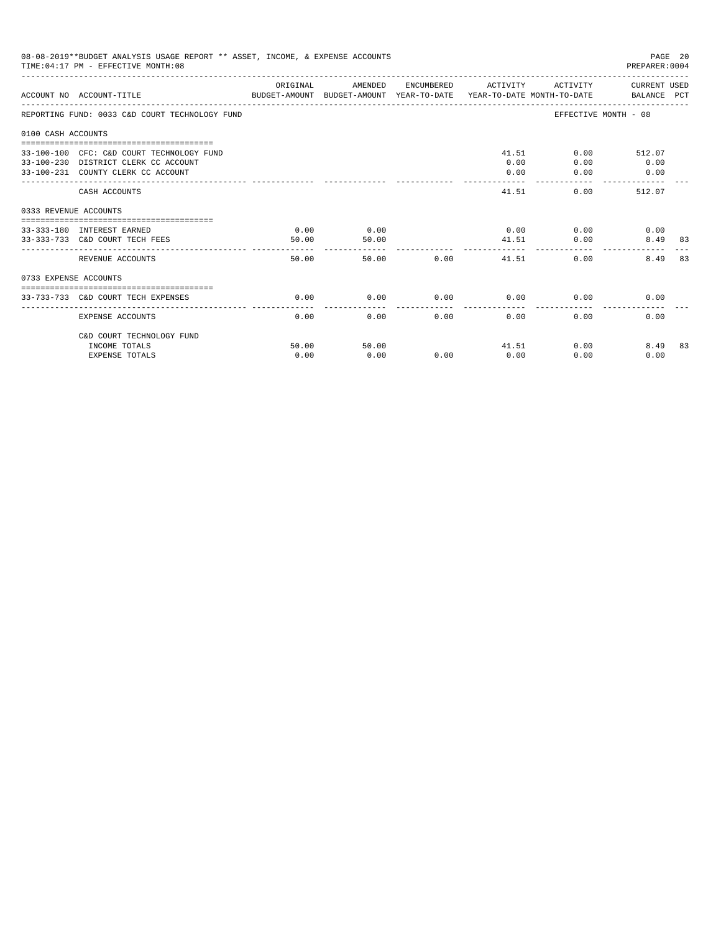|                       | 08-08-2019**BUDGET ANALYSIS USAGE REPORT ** ASSET, INCOME, & EXPENSE ACCOUNTS<br>TIME: 04:17 PM - EFFECTIVE MONTH: 08   |               |               |                   |                           |                     | PAGE 20<br>PREPARER: 0004            |    |
|-----------------------|-------------------------------------------------------------------------------------------------------------------------|---------------|---------------|-------------------|---------------------------|---------------------|--------------------------------------|----|
|                       | ACCOUNT NO ACCOUNT-TITLE<br>BUDGET-AMOUNT BUDGET-AMOUNT YEAR-TO-DATE YEAR-TO-DATE MONTH-TO-DATE     BALANCE PCT         | ORIGINAL      | AMENDED       |                   | ENCUMBERED ACTIVITY       |                     | ACTIVITY CURRENT USED                |    |
|                       | REPORTING FUND: 0033 C&D COURT TECHNOLOGY FUND                                                                          |               |               |                   |                           |                     | EFFECTIVE MONTH - 08                 |    |
| 0100 CASH ACCOUNTS    |                                                                                                                         |               |               |                   |                           |                     |                                      |    |
|                       | 33-100-100 CFC: C&D COURT TECHNOLOGY FUND<br>33-100-230 DISTRICT CLERK CC ACCOUNT<br>33-100-231 COUNTY CLERK CC ACCOUNT |               |               |                   | 0.00<br>0.00              | 41.51<br>0.00       | $0.00$ 512.07<br>$0.00$ 0.00<br>0.00 |    |
|                       | CASH ACCOUNTS                                                                                                           |               |               |                   | 41.51                     |                     | 0.00<br>512.07                       |    |
| 0333 REVENUE ACCOUNTS |                                                                                                                         |               |               |                   |                           |                     |                                      |    |
|                       | 33-333-180 INTEREST EARNED<br>33-333-733 C&D COURT TECH FEES                                                            | 0.00<br>50.00 | 0.00<br>50.00 |                   | 41.51<br>. <u>.</u>       | $0.00$ 0.00<br>0.00 | 0.00<br>8.49 83                      |    |
|                       | REVENUE ACCOUNTS                                                                                                        | 50.00         |               | 50.00 0.00        |                           | 41.51<br>0.00       | 8.49                                 | 83 |
| 0733 EXPENSE ACCOUNTS |                                                                                                                         |               |               |                   |                           |                     |                                      |    |
|                       | 33-733-733 C&D COURT TECH EXPENSES                                                                                      | 0.00          | 0.00          | $0.00$ 0.00       |                           |                     | 0.00<br>0.00                         |    |
|                       | EXPENSE ACCOUNTS                                                                                                        | 0.00          |               | $0.00$ and $0.00$ | $0.00$ and $0.00$<br>0.00 | $0.00 -$            | 0.00                                 |    |
|                       | C&D COURT TECHNOLOGY FUND                                                                                               |               |               |                   |                           |                     |                                      |    |
|                       | INCOME TOTALS<br><b>EXPENSE TOTALS</b>                                                                                  | 50.00<br>0.00 | 50.00<br>0.00 | 0.00              | 0.00                      | 41.51<br>0.00       | 0.00<br>8.49 83<br>0.00              |    |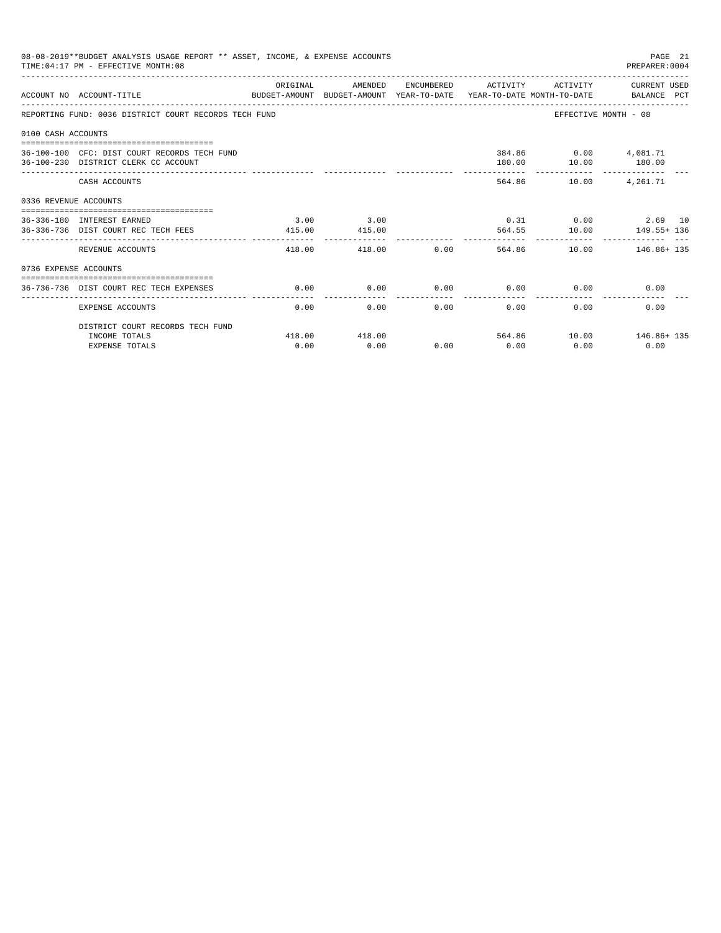|                    | 08-08-2019**BUDGET ANALYSIS USAGE REPORT ** ASSET, INCOME, & EXPENSE ACCOUNTS<br>PAGE 21<br>TIME: 04:17 PM - EFFECTIVE MONTH: 08<br>PREPARER: 0004<br>AMENDED<br>ENCUMBERED ACTIVITY ACTIVITY CURRENT USED<br>ORIGINAL<br>BUDGET-AMOUNT BUDGET-AMOUNT YEAR-TO-DATE YEAR-TO-DATE MONTH-TO-DATE     BALANCE PCT<br>ACCOUNT NO ACCOUNT-TITLE<br>REPORTING FUND: 0036 DISTRICT COURT RECORDS TECH FUND<br>EFFECTIVE MONTH - 08<br>384.86 0.00 4,081.71<br>36-100-100 CFC: DIST COURT RECORDS TECH FUND<br>10.00 180.00<br>36-100-230 DISTRICT CLERK CC ACCOUNT<br>180.00<br>564.86 10.00 4,261.71<br>CASH ACCOUNTS<br>0336 REVENUE ACCOUNTS<br>$0.31$ $0.00$ $2.69$ 10<br>3.00<br>3.00<br>36-336-180 INTEREST EARNED<br>564.55 10.00 149.55+ 136<br>36-336-736 DIST COURT REC TECH FEES<br>415.00<br>415.00<br>____________<br>------------<br>.<br>418.00 0.00 564.86 10.00 146.86 135<br>REVENUE ACCOUNTS<br>418.00<br>0736 EXPENSE ACCOUNTS |        |        |                      |                     |                             |                         |  |  |
|--------------------|--------------------------------------------------------------------------------------------------------------------------------------------------------------------------------------------------------------------------------------------------------------------------------------------------------------------------------------------------------------------------------------------------------------------------------------------------------------------------------------------------------------------------------------------------------------------------------------------------------------------------------------------------------------------------------------------------------------------------------------------------------------------------------------------------------------------------------------------------------------------------------------------------------------------------------------------|--------|--------|----------------------|---------------------|-----------------------------|-------------------------|--|--|
|                    |                                                                                                                                                                                                                                                                                                                                                                                                                                                                                                                                                                                                                                                                                                                                                                                                                                                                                                                                            |        |        |                      |                     |                             |                         |  |  |
|                    |                                                                                                                                                                                                                                                                                                                                                                                                                                                                                                                                                                                                                                                                                                                                                                                                                                                                                                                                            |        |        |                      |                     |                             |                         |  |  |
| 0100 CASH ACCOUNTS |                                                                                                                                                                                                                                                                                                                                                                                                                                                                                                                                                                                                                                                                                                                                                                                                                                                                                                                                            |        |        |                      |                     |                             |                         |  |  |
|                    |                                                                                                                                                                                                                                                                                                                                                                                                                                                                                                                                                                                                                                                                                                                                                                                                                                                                                                                                            |        |        |                      |                     |                             |                         |  |  |
|                    |                                                                                                                                                                                                                                                                                                                                                                                                                                                                                                                                                                                                                                                                                                                                                                                                                                                                                                                                            |        |        |                      |                     |                             |                         |  |  |
|                    |                                                                                                                                                                                                                                                                                                                                                                                                                                                                                                                                                                                                                                                                                                                                                                                                                                                                                                                                            |        |        |                      |                     |                             |                         |  |  |
|                    |                                                                                                                                                                                                                                                                                                                                                                                                                                                                                                                                                                                                                                                                                                                                                                                                                                                                                                                                            |        |        |                      |                     |                             |                         |  |  |
|                    |                                                                                                                                                                                                                                                                                                                                                                                                                                                                                                                                                                                                                                                                                                                                                                                                                                                                                                                                            |        |        |                      |                     |                             |                         |  |  |
|                    |                                                                                                                                                                                                                                                                                                                                                                                                                                                                                                                                                                                                                                                                                                                                                                                                                                                                                                                                            |        |        |                      |                     |                             |                         |  |  |
|                    | 36-736-736 DIST COURT REC TECH EXPENSES                                                                                                                                                                                                                                                                                                                                                                                                                                                                                                                                                                                                                                                                                                                                                                                                                                                                                                    | 0.00   | 0.00   |                      |                     | $0.00$ $0.00$ $0.00$ $0.00$ | 0.00                    |  |  |
|                    | <b>EXPENSE ACCOUNTS</b>                                                                                                                                                                                                                                                                                                                                                                                                                                                                                                                                                                                                                                                                                                                                                                                                                                                                                                                    | 0.00   | 0.00   | ------------<br>0.00 | -----------<br>0.00 | 0.00                        | 0.00                    |  |  |
|                    | DISTRICT COURT RECORDS TECH FUND                                                                                                                                                                                                                                                                                                                                                                                                                                                                                                                                                                                                                                                                                                                                                                                                                                                                                                           |        |        |                      |                     |                             |                         |  |  |
|                    | INCOME TOTALS                                                                                                                                                                                                                                                                                                                                                                                                                                                                                                                                                                                                                                                                                                                                                                                                                                                                                                                              | 418.00 | 418.00 |                      |                     |                             | 564.86 10.00 146.86+135 |  |  |
|                    | <b>EXPENSE TOTALS</b>                                                                                                                                                                                                                                                                                                                                                                                                                                                                                                                                                                                                                                                                                                                                                                                                                                                                                                                      | 0.00   | 0.00   | 0.00                 | 0.00                | 0.00                        | 0.00                    |  |  |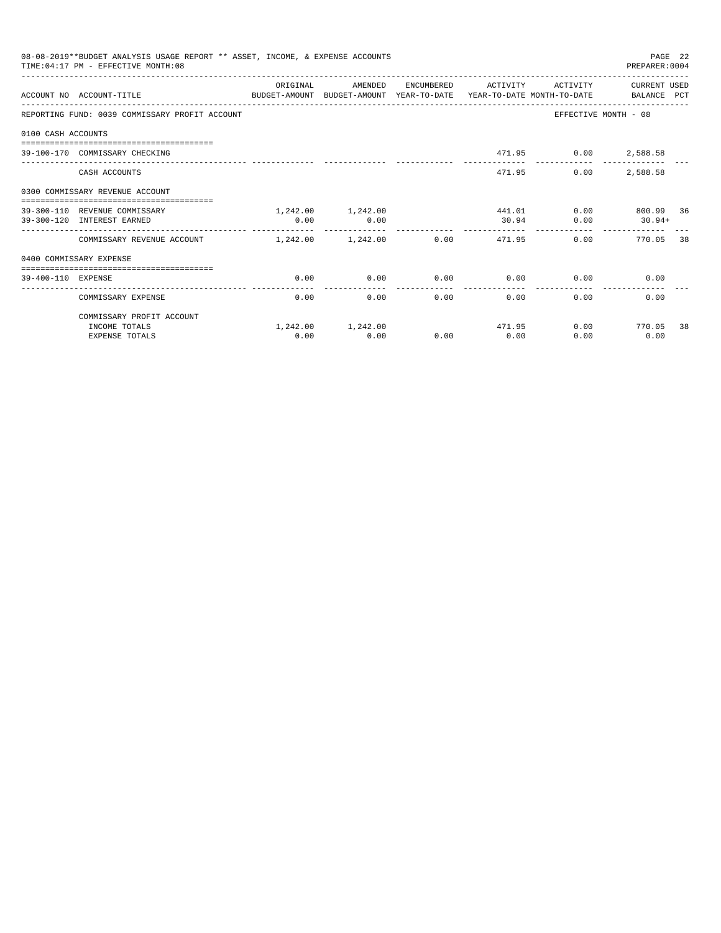|                    | 08-08-2019**BUDGET ANALYSIS USAGE REPORT ** ASSET, INCOME, & EXPENSE ACCOUNTS<br>TIME: 04:17 PM - EFFECTIVE MONTH: 08 |          |                   |                |                     |          | PAGE 22<br>PREPARER: 0004 |    |
|--------------------|-----------------------------------------------------------------------------------------------------------------------|----------|-------------------|----------------|---------------------|----------|---------------------------|----|
|                    | ACCOUNT NO ACCOUNT-TITLE THE BALANCE PUDGET-AMOUNT BUDGET-AMOUNT YEAR-TO-DATE YEAR-TO-DATE MONTH-TO-DATE BALANCE PCT  | ORIGINAL | AMENDED           |                | ENCUMBERED ACTIVITY | ACTIVITY | CURRENT USED              |    |
|                    | REPORTING FUND: 0039 COMMISSARY PROFIT ACCOUNT                                                                        |          |                   |                |                     |          | EFFECTIVE MONTH - 08      |    |
| 0100 CASH ACCOUNTS |                                                                                                                       |          |                   |                |                     |          |                           |    |
|                    | 39-100-170 COMMISSARY CHECKING                                                                                        |          |                   |                |                     |          | 471.95 0.00 2,588.58      |    |
|                    | CASH ACCOUNTS                                                                                                         |          |                   |                | 471.95              | 0.00     | 2,588.58                  |    |
|                    | 0300 COMMISSARY REVENUE ACCOUNT<br>-----------------------------------                                                |          |                   |                |                     |          |                           |    |
|                    | 39-300-110 REVENUE COMMISSARY                                                                                         |          | 1,242.00 1,242.00 |                | 441.01              |          | 0.00 800.99 36            |    |
|                    | 39-300-120 INTEREST EARNED                                                                                            | 0.00     | 0.00              |                | 30.94               | 0.00     | $30.94+$                  |    |
|                    | COMMISSARY REVENUE ACCOUNT                                                                                            |          | 1,242.00 1,242.00 | 0.00           | 471.95              |          | 0.00<br>770.05            | 38 |
|                    | 0400 COMMISSARY EXPENSE                                                                                               |          |                   |                |                     |          |                           |    |
| 39-400-110 EXPENSE |                                                                                                                       | 0.00     | 0.00              | 0.00           | 0.00                | 0.00     | 0.00                      |    |
|                    |                                                                                                                       |          |                   | -------------- | -------------       |          |                           |    |
|                    | COMMISSARY EXPENSE                                                                                                    | 0.00     | 0.00              | 0.00           | 0.00                | 0.00     | 0.00                      |    |
|                    | COMMISSARY PROFIT ACCOUNT                                                                                             |          |                   |                |                     |          |                           |    |
|                    | INCOME TOTALS                                                                                                         |          | 1,242.00 1,242.00 |                | 471.95              |          | $0.00$ 770.05             | 38 |
|                    | <b>EXPENSE TOTALS</b>                                                                                                 | 0.00     | 0.00              | 0.00           | 0.00                | 0.00     | 0.00                      |    |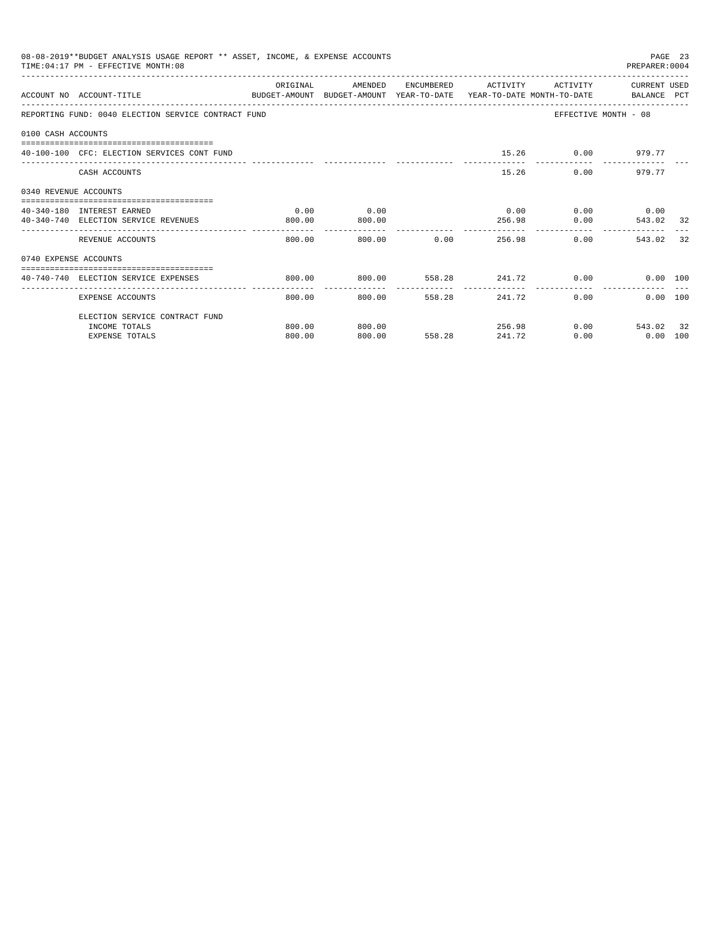|                       | 08-08-2019**BUDGET ANALYSIS USAGE REPORT ** ASSET, INCOME, & EXPENSE ACCOUNTS<br>TIME: 04:17 PM - EFFECTIVE MONTH: 08 |          |                           |               |                 |                              | PREPARER: 0004                  | PAGE 23 |
|-----------------------|-----------------------------------------------------------------------------------------------------------------------|----------|---------------------------|---------------|-----------------|------------------------------|---------------------------------|---------|
|                       | ACCOUNT NO ACCOUNT-TITLE<br>BUDGET-AMOUNT BUDGET-AMOUNT YEAR-TO-DATE YEAR-TO-DATE MONTH-TO-DATE   BALANCE PCT         | ORIGINAL | AMENDED                   |               |                 | ENCUMBERED ACTIVITY ACTIVITY | CURRENT USED                    |         |
|                       | REPORTING FUND: 0040 ELECTION SERVICE CONTRACT FUND                                                                   |          |                           |               |                 |                              | EFFECTIVE MONTH - 08            |         |
| 0100 CASH ACCOUNTS    |                                                                                                                       |          |                           |               |                 |                              |                                 |         |
|                       | 40-100-100 CFC: ELECTION SERVICES CONT FUND                                                                           |          |                           |               |                 | 15.26 0.00 979.77            |                                 |         |
|                       | CASH ACCOUNTS                                                                                                         |          |                           |               |                 | 15.26                        | 0.00 979.77                     |         |
| 0340 REVENUE ACCOUNTS |                                                                                                                       |          |                           |               |                 |                              |                                 |         |
|                       | 40-340-180 INTEREST EARNED                                                                                            | 0.00     | 0.00                      |               |                 | $0.00$ $0.00$ $0.00$ $0.00$  |                                 |         |
|                       | 40-340-740 ELECTION SERVICE REVENUES                                                                                  | 800.00   | 800.00                    |               |                 | 256.98                       | 0.00<br>543.02 32               |         |
|                       | REVENUE ACCOUNTS                                                                                                      | 800.00   |                           | 800.00 0.00   |                 | 256.98                       | 0.00<br>543.02                  | 32      |
| 0740 EXPENSE ACCOUNTS |                                                                                                                       |          |                           |               |                 |                              |                                 |         |
|                       | -----------------------------------<br>40-740-740 ELECTION SERVICE EXPENSES                                           | 800.00   | 800.00 558.28 241.72 0.00 |               |                 |                              | 0.00 100                        |         |
|                       | EXPENSE ACCOUNTS                                                                                                      | 800.00   |                           | 800.00 558.28 | --------------- | ------------<br>241.72       | -----------<br>0.00<br>0.00 100 |         |
|                       | ELECTION SERVICE CONTRACT FUND                                                                                        |          |                           |               |                 |                              |                                 |         |
|                       | INCOME TOTALS                                                                                                         | 800.00   | 800.00                    |               |                 | 256.98                       | $0.00$ 543.02 32                |         |
|                       | <b>EXPENSE TOTALS</b>                                                                                                 | 800.00   | 800.00                    | 558.28        | 241.72          | 0.00                         | $0.00$ 100                      |         |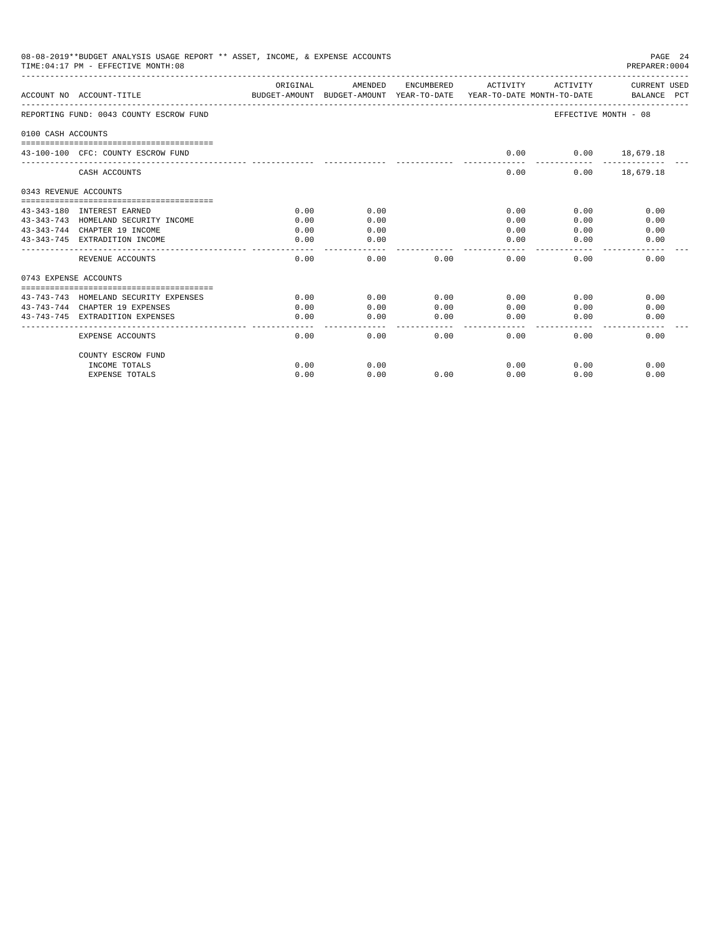| 08-08-2019**BUDGET ANALYSIS USAGE REPORT ** ASSET, INCOME, & EXPENSE ACCOUNTS<br>PAGE 24<br>PREPARER: 0004<br>TIME: 04:17 PM - EFFECTIVE MONTH: 08<br>AMENDED<br>ORIGINAL<br>ENCUMBERED<br>ACTIVITY<br>CURRENT USED<br>ACTIVITY<br>BALANCE PCT<br>ACCOUNT NO ACCOUNT-TITLE<br>BUDGET-AMOUNT BUDGET-AMOUNT YEAR-TO-DATE YEAR-TO-DATE MONTH-TO-DATE<br>REPORTING FUND: 0043 COUNTY ESCROW FUND<br>EFFECTIVE MONTH - 08<br>0100 CASH ACCOUNTS<br>43-100-100 CFC: COUNTY ESCROW FUND<br>0.00<br>$0.00$ 18,679.18<br>CASH ACCOUNTS<br>0.00<br>$0.00$ 18,679.18<br>0343 REVENUE ACCOUNTS<br>0.00<br>0.00<br>43-343-180 INTEREST EARNED<br>0.00<br>0.00<br>0.00<br>43-343-743 HOMELAND SECURITY INCOME<br>0.00<br>0.00<br>0.00<br>0.00<br>0.00<br>43-343-744 CHAPTER 19 INCOME<br>0.00<br>0.00<br>0.00<br>0.00<br>0.00<br>43-343-745 EXTRADITION INCOME<br>0.00<br>0.00<br>0.00<br>0.00<br>0.00<br>REVENUE ACCOUNTS<br>0.00<br>0.00<br>0.00<br>0.00<br>0.00<br>0.00<br>0743 EXPENSE ACCOUNTS<br>43-743-743 HOMELAND SECURITY EXPENSES<br>0.00<br>0.00<br>0.00<br>0.00<br>0.00<br>0.00<br>43-743-744 CHAPTER 19 EXPENSES<br>0.00<br>0.00<br>0.00<br>0.00<br>0.00<br>0.00<br>43-743-745 EXTRADITION EXPENSES<br>0.00<br>0.00<br>0.00<br>0.00<br>0.00<br>0.00<br>المستسمس<br>$\frac{1}{2}$<br>.<br>0.00<br>0.00<br>0.00<br>0.00<br>0.00<br>0.00<br>EXPENSE ACCOUNTS |      |      |      |      |      |      |
|-----------------------------------------------------------------------------------------------------------------------------------------------------------------------------------------------------------------------------------------------------------------------------------------------------------------------------------------------------------------------------------------------------------------------------------------------------------------------------------------------------------------------------------------------------------------------------------------------------------------------------------------------------------------------------------------------------------------------------------------------------------------------------------------------------------------------------------------------------------------------------------------------------------------------------------------------------------------------------------------------------------------------------------------------------------------------------------------------------------------------------------------------------------------------------------------------------------------------------------------------------------------------------------------------------------------------------------------------------------|------|------|------|------|------|------|
|                                                                                                                                                                                                                                                                                                                                                                                                                                                                                                                                                                                                                                                                                                                                                                                                                                                                                                                                                                                                                                                                                                                                                                                                                                                                                                                                                           |      |      |      |      |      |      |
|                                                                                                                                                                                                                                                                                                                                                                                                                                                                                                                                                                                                                                                                                                                                                                                                                                                                                                                                                                                                                                                                                                                                                                                                                                                                                                                                                           |      |      |      |      |      |      |
|                                                                                                                                                                                                                                                                                                                                                                                                                                                                                                                                                                                                                                                                                                                                                                                                                                                                                                                                                                                                                                                                                                                                                                                                                                                                                                                                                           |      |      |      |      |      |      |
|                                                                                                                                                                                                                                                                                                                                                                                                                                                                                                                                                                                                                                                                                                                                                                                                                                                                                                                                                                                                                                                                                                                                                                                                                                                                                                                                                           |      |      |      |      |      |      |
|                                                                                                                                                                                                                                                                                                                                                                                                                                                                                                                                                                                                                                                                                                                                                                                                                                                                                                                                                                                                                                                                                                                                                                                                                                                                                                                                                           |      |      |      |      |      |      |
|                                                                                                                                                                                                                                                                                                                                                                                                                                                                                                                                                                                                                                                                                                                                                                                                                                                                                                                                                                                                                                                                                                                                                                                                                                                                                                                                                           |      |      |      |      |      |      |
|                                                                                                                                                                                                                                                                                                                                                                                                                                                                                                                                                                                                                                                                                                                                                                                                                                                                                                                                                                                                                                                                                                                                                                                                                                                                                                                                                           |      |      |      |      |      |      |
|                                                                                                                                                                                                                                                                                                                                                                                                                                                                                                                                                                                                                                                                                                                                                                                                                                                                                                                                                                                                                                                                                                                                                                                                                                                                                                                                                           |      |      |      |      |      |      |
|                                                                                                                                                                                                                                                                                                                                                                                                                                                                                                                                                                                                                                                                                                                                                                                                                                                                                                                                                                                                                                                                                                                                                                                                                                                                                                                                                           |      |      |      |      |      |      |
|                                                                                                                                                                                                                                                                                                                                                                                                                                                                                                                                                                                                                                                                                                                                                                                                                                                                                                                                                                                                                                                                                                                                                                                                                                                                                                                                                           |      |      |      |      |      |      |
|                                                                                                                                                                                                                                                                                                                                                                                                                                                                                                                                                                                                                                                                                                                                                                                                                                                                                                                                                                                                                                                                                                                                                                                                                                                                                                                                                           |      |      |      |      |      |      |
|                                                                                                                                                                                                                                                                                                                                                                                                                                                                                                                                                                                                                                                                                                                                                                                                                                                                                                                                                                                                                                                                                                                                                                                                                                                                                                                                                           |      |      |      |      |      |      |
|                                                                                                                                                                                                                                                                                                                                                                                                                                                                                                                                                                                                                                                                                                                                                                                                                                                                                                                                                                                                                                                                                                                                                                                                                                                                                                                                                           |      |      |      |      |      |      |
|                                                                                                                                                                                                                                                                                                                                                                                                                                                                                                                                                                                                                                                                                                                                                                                                                                                                                                                                                                                                                                                                                                                                                                                                                                                                                                                                                           |      |      |      |      |      |      |
|                                                                                                                                                                                                                                                                                                                                                                                                                                                                                                                                                                                                                                                                                                                                                                                                                                                                                                                                                                                                                                                                                                                                                                                                                                                                                                                                                           |      |      |      |      |      |      |
|                                                                                                                                                                                                                                                                                                                                                                                                                                                                                                                                                                                                                                                                                                                                                                                                                                                                                                                                                                                                                                                                                                                                                                                                                                                                                                                                                           |      |      |      |      |      |      |
| COUNTY ESCROW FUND                                                                                                                                                                                                                                                                                                                                                                                                                                                                                                                                                                                                                                                                                                                                                                                                                                                                                                                                                                                                                                                                                                                                                                                                                                                                                                                                        |      |      |      |      |      |      |
| INCOME TOTALS                                                                                                                                                                                                                                                                                                                                                                                                                                                                                                                                                                                                                                                                                                                                                                                                                                                                                                                                                                                                                                                                                                                                                                                                                                                                                                                                             | 0.00 | 0.00 |      | 0.00 | 0.00 | 0.00 |
| <b>EXPENSE TOTALS</b>                                                                                                                                                                                                                                                                                                                                                                                                                                                                                                                                                                                                                                                                                                                                                                                                                                                                                                                                                                                                                                                                                                                                                                                                                                                                                                                                     | 0.00 | 0.00 | 0.00 | 0.00 | 0.00 | 0.00 |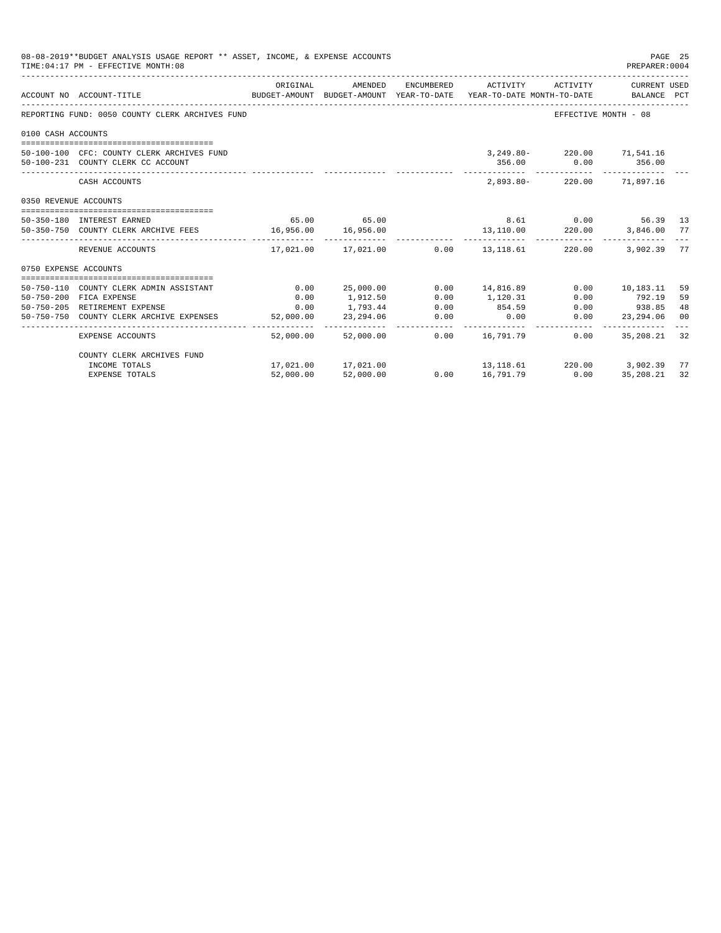|                       | 08-08-2019**BUDGET ANALYSIS USAGE REPORT ** ASSET, INCOME, & EXPENSE ACCOUNTS<br>TIME: 04:17 PM - EFFECTIVE MONTH: 08                               |           |                            |                       |                         |                                                     | PAGE 25<br>PREPARER: 0004 |     |
|-----------------------|-----------------------------------------------------------------------------------------------------------------------------------------------------|-----------|----------------------------|-----------------------|-------------------------|-----------------------------------------------------|---------------------------|-----|
|                       | BUDGET-AMOUNT BUDGET-AMOUNT YEAR-TO-DATE YEAR-TO-DATE MONTH-TO-DATE BALANCE PCT<br>ACCOUNT NO ACCOUNT-TITLE<br>------------------------------------ | ORIGINAL  | AMENDED                    |                       | ENCUMBERED ACTIVITY     | ACTIVITY                                            | CURRENT USED              |     |
|                       | REPORTING FUND: 0050 COUNTY CLERK ARCHIVES FUND                                                                                                     |           |                            |                       |                         |                                                     | EFFECTIVE MONTH - 08      |     |
| 0100 CASH ACCOUNTS    |                                                                                                                                                     |           |                            |                       |                         |                                                     |                           |     |
|                       | 50-100-100 CFC: COUNTY CLERK ARCHIVES FUND<br>50-100-231 COUNTY CLERK CC ACCOUNT                                                                    |           |                            |                       |                         | 3, 249.80 - 220.00 71, 541.16<br>356.00 0.00 356.00 |                           |     |
|                       | CASH ACCOUNTS                                                                                                                                       |           |                            |                       |                         | 2.893.80-220.00 71.897.16                           | --------------            |     |
| 0350 REVENUE ACCOUNTS |                                                                                                                                                     |           |                            |                       |                         |                                                     |                           |     |
|                       | 50-350-180 INTEREST EARNED                                                                                                                          |           | 65.00 65.00                |                       |                         | 8.61 0.00 56.39 13                                  |                           |     |
|                       | 50-350-750 COUNTY CLERK ARCHIVE FEES 16,956.00                                                                                                      |           | 16,956.00                  |                       |                         | 13,110.00 220.00 3,846.00                           |                           | 77  |
|                       | REVENUE ACCOUNTS                                                                                                                                    |           | 17,021.00    17,021.00     |                       | $0.00$ 13, 118.61       | 220.00                                              | 3,902.39                  | 77  |
| 0750 EXPENSE ACCOUNTS |                                                                                                                                                     |           |                            |                       |                         |                                                     |                           |     |
|                       | 50-750-110 COUNTY CLERK ADMIN ASSISTANT                                                                                                             | 0.00      | 25,000.00                  |                       | $0.00 \qquad 14,816.89$ |                                                     | $0.00$ 10,183.11          | 59  |
|                       | 50-750-200 FICA EXPENSE                                                                                                                             | 0.00      | 1,912.50                   | 0.00                  | 1,120.31                | 0.00                                                | 792.19                    | 59  |
|                       | 50-750-205 RETIREMENT EXPENSE                                                                                                                       | 0.00      | 1,793.44                   | 0.00                  | 854.59                  |                                                     | 0.00 938.85               | 48  |
|                       | 50-750-750 COUNTY CLERK ARCHIVE EXPENSES                                                                                                            | 52,000.00 | 23,294.06<br>------------- | 0.00<br>_____________ | 0.00                    | 0.00<br>------------                                | 23, 294, 06               | 00  |
|                       | <b>EXPENSE ACCOUNTS</b>                                                                                                                             | 52,000.00 | 52,000.00                  |                       | $0.00$ 16,791.79        | 0.00                                                | 35,208.21                 | 32  |
|                       | COUNTY CLERK ARCHIVES FUND                                                                                                                          |           |                            |                       |                         |                                                     |                           |     |
|                       | INCOME TOTALS                                                                                                                                       |           | 17,021.00 17,021.00        |                       |                         | $13,118.61$ $220.00$ $3,902.39$                     |                           | -77 |
|                       | <b>EXPENSE TOTALS</b>                                                                                                                               | 52,000.00 | 52,000.00                  | 0.00                  | 16,791.79               | 0.00                                                | 35, 208, 21               | 32  |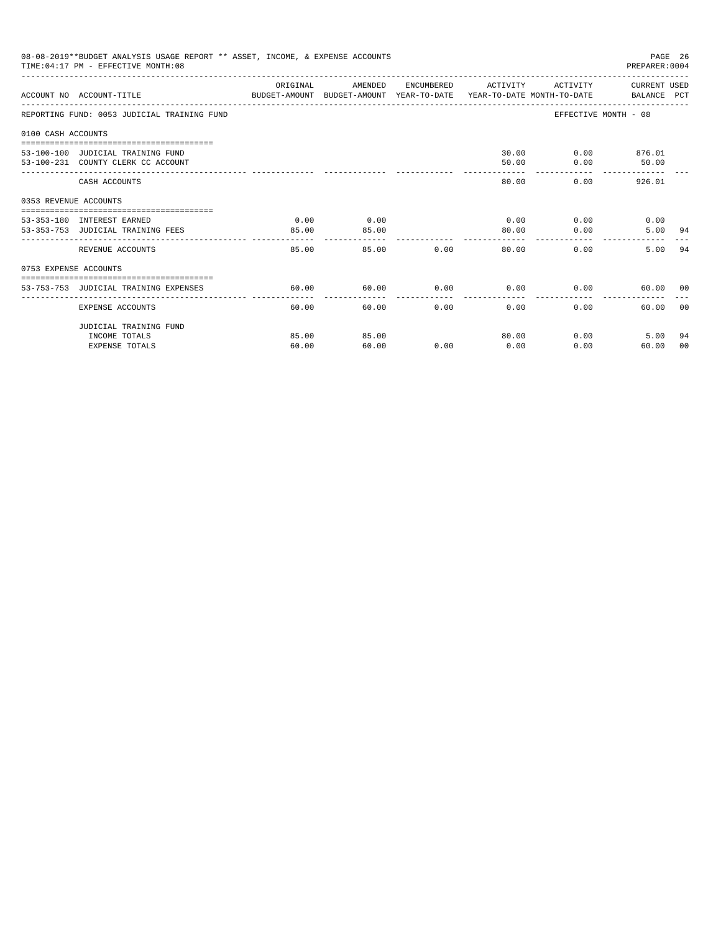|                       | 08-08-2019**BUDGET ANALYSIS USAGE REPORT ** ASSET, INCOME, & EXPENSE ACCOUNTS<br>TIME: 04:17 PM - EFFECTIVE MONTH: 08 |                                                                                                                                                                                                                                                                                                                                                                                                       |         |               |                             |                       | PAGE 26<br>PREPARER: 0004 |                |
|-----------------------|-----------------------------------------------------------------------------------------------------------------------|-------------------------------------------------------------------------------------------------------------------------------------------------------------------------------------------------------------------------------------------------------------------------------------------------------------------------------------------------------------------------------------------------------|---------|---------------|-----------------------------|-----------------------|---------------------------|----------------|
|                       | ACCOUNT NO ACCOUNT-TITLE CONTROL PROTECT-AMOUNT BUDGET-AMOUNT YEAR-TO-DATE YEAR-TO-DATE MONTH-TO-DATE BALANCE PCT     | ORIGINAL                                                                                                                                                                                                                                                                                                                                                                                              | AMENDED |               | ENCUMBERED ACTIVITY         | ACTIVITY CURRENT USED |                           |                |
|                       | REPORTING FUND: 0053 JUDICIAL TRAINING FUND                                                                           |                                                                                                                                                                                                                                                                                                                                                                                                       |         |               |                             | EFFECTIVE MONTH - 08  |                           |                |
| 0100 CASH ACCOUNTS    |                                                                                                                       |                                                                                                                                                                                                                                                                                                                                                                                                       |         |               |                             |                       |                           |                |
|                       | 53-100-100 JUDICIAL TRAINING FUND                                                                                     |                                                                                                                                                                                                                                                                                                                                                                                                       |         |               |                             | 30.00 0.00 876.01     |                           |                |
|                       | 53-100-231 COUNTY CLERK CC ACCOUNT                                                                                    |                                                                                                                                                                                                                                                                                                                                                                                                       |         |               | 50.00                       |                       | $0.00$ 50.00              |                |
|                       | CASH ACCOUNTS                                                                                                         |                                                                                                                                                                                                                                                                                                                                                                                                       |         |               | 80.00                       | 0.00                  | 926.01                    |                |
| 0353 REVENUE ACCOUNTS |                                                                                                                       |                                                                                                                                                                                                                                                                                                                                                                                                       |         |               |                             |                       |                           |                |
|                       | 53-353-180 INTEREST EARNED                                                                                            | 0.00                                                                                                                                                                                                                                                                                                                                                                                                  | 0.00    |               |                             | $0.00$ 0.00           | 0.00                      |                |
|                       | 53-353-753 JUDICIAL TRAINING FEES                                                                                     | 85.00                                                                                                                                                                                                                                                                                                                                                                                                 | 85.00   |               | 80.00                       | 0.00                  | 5.00 94                   |                |
|                       | REVENUE ACCOUNTS                                                                                                      | $\frac{1}{2} \frac{1}{2} \frac{1}{2} \frac{1}{2} \frac{1}{2} \frac{1}{2} \frac{1}{2} \frac{1}{2} \frac{1}{2} \frac{1}{2} \frac{1}{2} \frac{1}{2} \frac{1}{2} \frac{1}{2} \frac{1}{2} \frac{1}{2} \frac{1}{2} \frac{1}{2} \frac{1}{2} \frac{1}{2} \frac{1}{2} \frac{1}{2} \frac{1}{2} \frac{1}{2} \frac{1}{2} \frac{1}{2} \frac{1}{2} \frac{1}{2} \frac{1}{2} \frac{1}{2} \frac{1}{2} \frac{$<br>85.00 |         | 85.00         | 0.00<br>80.00               | 0.00                  | 5.00 94                   |                |
| 0753 EXPENSE ACCOUNTS |                                                                                                                       |                                                                                                                                                                                                                                                                                                                                                                                                       |         |               |                             |                       |                           |                |
|                       | 53-753-753 JUDICIAL TRAINING EXPENSES                                                                                 | 60.00                                                                                                                                                                                                                                                                                                                                                                                                 | 60.00   |               | $0.00$ $0.00$ $0.00$ $0.00$ |                       | 60.00 00                  |                |
|                       |                                                                                                                       |                                                                                                                                                                                                                                                                                                                                                                                                       |         |               |                             |                       |                           |                |
|                       | EXPENSE ACCOUNTS                                                                                                      | 60.00                                                                                                                                                                                                                                                                                                                                                                                                 |         | 0.00<br>60.00 | 0.00                        | 0.00                  | 60.00                     | 0 <sub>0</sub> |
|                       | JUDICIAL TRAINING FUND                                                                                                |                                                                                                                                                                                                                                                                                                                                                                                                       |         |               |                             |                       |                           |                |
|                       | INCOME TOTALS                                                                                                         | 85.00                                                                                                                                                                                                                                                                                                                                                                                                 | 85.00   |               | 80.00                       | 0.00                  | 5.00                      | 94             |
|                       | <b>EXPENSE TOTALS</b>                                                                                                 | 60.00                                                                                                                                                                                                                                                                                                                                                                                                 | 60.00   | 0.00          | 0.00                        | 0.00                  | 60.00                     | 00             |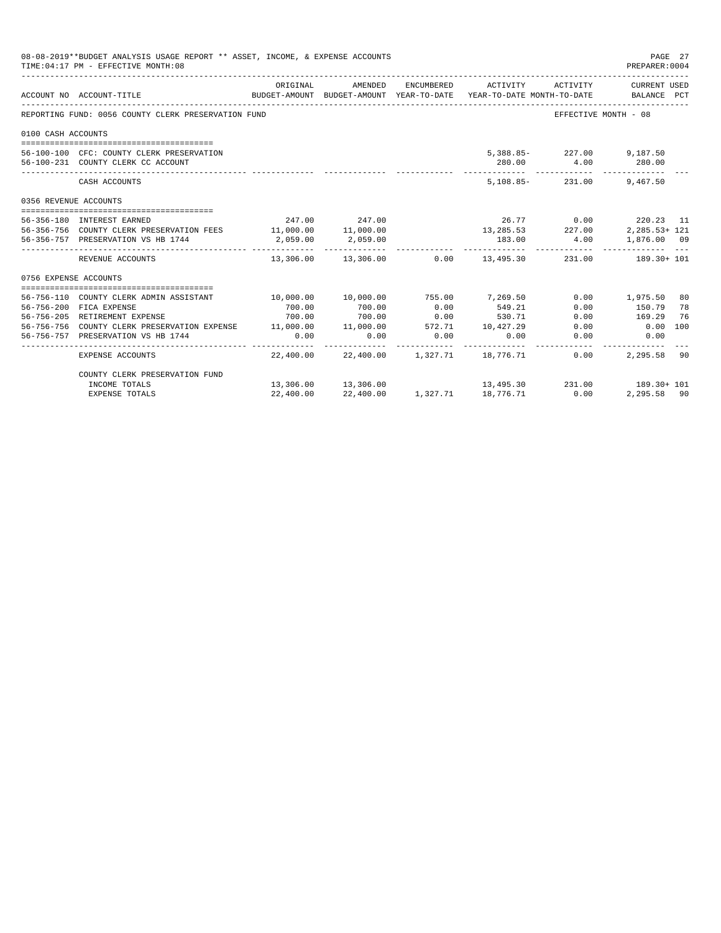|                       | 08-08-2019**BUDGET ANALYSIS USAGE REPORT ** ASSET, INCOME, & EXPENSE ACCOUNTS<br>TIME: 04:17 PM - EFFECTIVE MONTH: 08 |            |                                        |               |                       |                      | PAGE 27<br>PREPARER: 0004                                                                       |    |
|-----------------------|-----------------------------------------------------------------------------------------------------------------------|------------|----------------------------------------|---------------|-----------------------|----------------------|-------------------------------------------------------------------------------------------------|----|
|                       | ACCOUNT NO ACCOUNT-TITLE                                                                                              | ORIGINAL   | AMENDED                                |               | ENCUMBERED ACTIVITY   | ACTIVITY             | CURRENT USED<br>BUDGET-AMOUNT BUDGET-AMOUNT YEAR-TO-DATE YEAR-TO-DATE MONTH-TO-DATE BALANCE PCT |    |
|                       | REPORTING FUND: 0056 COUNTY CLERK PRESERVATION FUND                                                                   |            |                                        |               |                       |                      | EFFECTIVE MONTH - 08                                                                            |    |
| 0100 CASH ACCOUNTS    |                                                                                                                       |            |                                        |               |                       |                      |                                                                                                 |    |
|                       |                                                                                                                       |            |                                        |               |                       |                      |                                                                                                 |    |
|                       | 56-100-100 CFC: COUNTY CLERK PRESERVATION                                                                             |            |                                        |               |                       |                      | 5,388.85-227.00 9,187.50                                                                        |    |
|                       | 56-100-231 COUNTY CLERK CC ACCOUNT                                                                                    |            |                                        |               |                       | 280.00 4.00 280.00   |                                                                                                 |    |
|                       | CASH ACCOUNTS                                                                                                         |            |                                        |               |                       |                      | 5, 108, 85 - 231, 00 9, 467, 50                                                                 |    |
| 0356 REVENUE ACCOUNTS |                                                                                                                       |            |                                        |               |                       |                      |                                                                                                 |    |
|                       | 56-356-180 INTEREST EARNED                                                                                            |            | 247.00 247.00                          |               |                       |                      | 26.77 0.00 220.23 11                                                                            |    |
|                       | 56-356-756 COUNTY CLERK PRESERVATION FEES 11,000.00 11,000.00                                                         |            |                                        |               |                       |                      | $13,285.53$ $227.00$ $2,285.53 + 121$                                                           |    |
|                       | 56-356-757 PRESERVATION VS HB 1744                                                                                    | 2.059.00   | 2,059.00                               |               | 183.00                |                      | 4.00 1,876.00 09                                                                                |    |
|                       | REVENUE ACCOUNTS                                                                                                      | ---------- | ------------                           |               | . _ _ _ _ _ _ _ _ _ _ |                      | $13,306.00$ $13,306.00$ $0.00$ $13,495.30$ $231.00$ $189.30+101$                                |    |
| 0756 EXPENSE ACCOUNTS |                                                                                                                       |            |                                        |               |                       |                      |                                                                                                 |    |
|                       |                                                                                                                       |            |                                        |               |                       |                      |                                                                                                 |    |
|                       | 56-756-110 COUNTY CLERK ADMIN ASSISTANT                                                                               | 10,000.00  | 10,000.00                              | 755.00        | 7,269.50              |                      | $0.00$ 1,975.50                                                                                 | 80 |
|                       | 56-756-200 FICA EXPENSE                                                                                               | 700.00     | 700.00                                 | 0.00          | 549.21                | 0.00                 | 150.79                                                                                          | 78 |
|                       | 56-756-205 RETIREMENT EXPENSE                                                                                         | 700.00     | 700.00                                 | $0.00$ 530.71 |                       | 0.00                 | 169.29                                                                                          | 76 |
|                       | 56-756-756 COUNTY CLERK PRESERVATION EXPENSE 11,000.00 11,000.00 572.71 10,427.29                                     |            |                                        |               |                       |                      | $0.00$ $0.00$ $100$                                                                             |    |
|                       | 56-756-757 PRESERVATION VS HB 1744                                                                                    | 0.00       | 0.00                                   | 0.00          | 0.00                  | 0.00<br>------------ | 0.00                                                                                            |    |
|                       | EXPENSE ACCOUNTS                                                                                                      |            | 22,400.00 22,400.00 1,327.71 18,776.71 |               |                       | 0.00                 | 2,295.58 90                                                                                     |    |
|                       | COUNTY CLERK PRESERVATION FUND                                                                                        |            |                                        |               |                       |                      |                                                                                                 |    |
|                       | INCOME TOTALS                                                                                                         |            | 13,306.00 13,306.00                    |               |                       |                      | $13,495.30$ $231.00$ $189.30 + 101$                                                             |    |
|                       | EXPENSE TOTALS                                                                                                        | 22,400.00  | 22,400.00                              | 1,327.71      | 18,776.71             | 0.00                 | 2,295.58 90                                                                                     |    |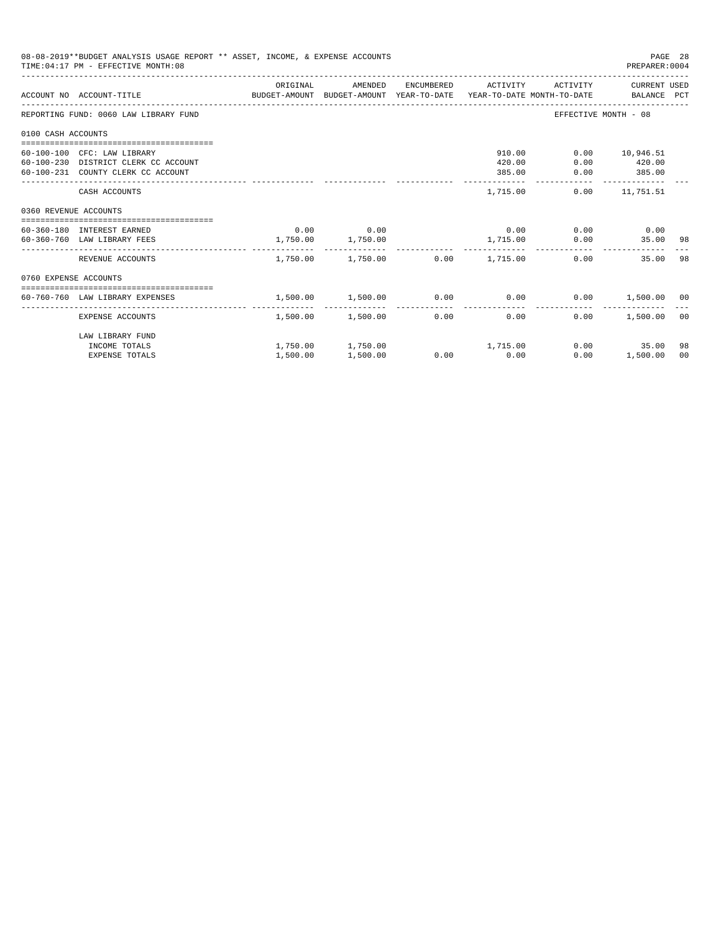|                       | 08-08-2019**BUDGET ANALYSIS USAGE REPORT ** ASSET, INCOME, & EXPENSE ACCOUNTS<br>TIME: 04:17 PM - EFFECTIVE MONTH: 08 |                                                                                             |                   |                                                 |                                     | PAGE 28<br>PREPARER: 0004                                    |                |
|-----------------------|-----------------------------------------------------------------------------------------------------------------------|---------------------------------------------------------------------------------------------|-------------------|-------------------------------------------------|-------------------------------------|--------------------------------------------------------------|----------------|
|                       | ACCOUNT NO ACCOUNT-TITLE                                                                                              | ORIGINAL<br>BUDGET-AMOUNT BUDGET-AMOUNT YEAR-TO-DATE YEAR-TO-DATE MONTH-TO-DATE BALANCE PCT | AMENDED           | ENCUMBERED ACTIVITY                             |                                     | ACTIVITY CURRENT USED                                        |                |
|                       | REPORTING FUND: 0060 LAW LIBRARY FUND                                                                                 |                                                                                             |                   |                                                 | EFFECTIVE MONTH - 08                |                                                              |                |
| 0100 CASH ACCOUNTS    |                                                                                                                       |                                                                                             |                   |                                                 |                                     |                                                              |                |
|                       | 60-100-100 CFC: LAW LIBRARY<br>60-100-230 DISTRICT CLERK CC ACCOUNT<br>60-100-231 COUNTY CLERK CC ACCOUNT             |                                                                                             |                   | 910.00<br>420.00<br>385.00                      | 0.00                                | $0.00$ 10,946.51<br>$0.00$ 420.00<br>385.00<br>------------- |                |
|                       | CASH ACCOUNTS                                                                                                         |                                                                                             |                   | 1,715.00                                        |                                     | $0.00$ 11,751.51                                             |                |
| 0360 REVENUE ACCOUNTS |                                                                                                                       |                                                                                             |                   |                                                 |                                     |                                                              |                |
|                       | 60-360-180 INTEREST EARNED<br>60-360-760 LAW LIBRARY FEES                                                             | 1,750.00 1,750.00                                                                           | $0.00$ 0.00       | 1,715.00                                        | $0.00$ $0.00$ $0.00$ $0.00$<br>0.00 | 35.00 98                                                     |                |
|                       | REVENUE ACCOUNTS                                                                                                      |                                                                                             |                   | $1,750.00$ $1,750.00$ $0.00$ $1,715.00$         | 0.00                                | 35.00                                                        | 98             |
| 0760 EXPENSE ACCOUNTS |                                                                                                                       |                                                                                             |                   |                                                 |                                     |                                                              |                |
|                       | 60-760-760 LAW LIBRARY EXPENSES                                                                                       | 1,500.00 1,500.00                                                                           |                   | $0.00$ 0.00                                     |                                     | $0.00$ 1,500.00 00                                           |                |
|                       | EXPENSE ACCOUNTS                                                                                                      |                                                                                             | 1,500.00 1,500.00 | 0.00<br>0.00                                    | $0.00 -$                            | 1,500.00                                                     | 0 <sub>0</sub> |
|                       | LAW LIBRARY FUND<br>INCOME TOTALS<br><b>EXPENSE TOTALS</b>                                                            | 1,500.00                                                                                    | 1,500.00          | $1,750.00$ $1,750.00$ $1,715.00$<br>$0.00$ 0.00 | 0.00                                | 0.00<br>35.00<br>1,500.00                                    | 98<br>00       |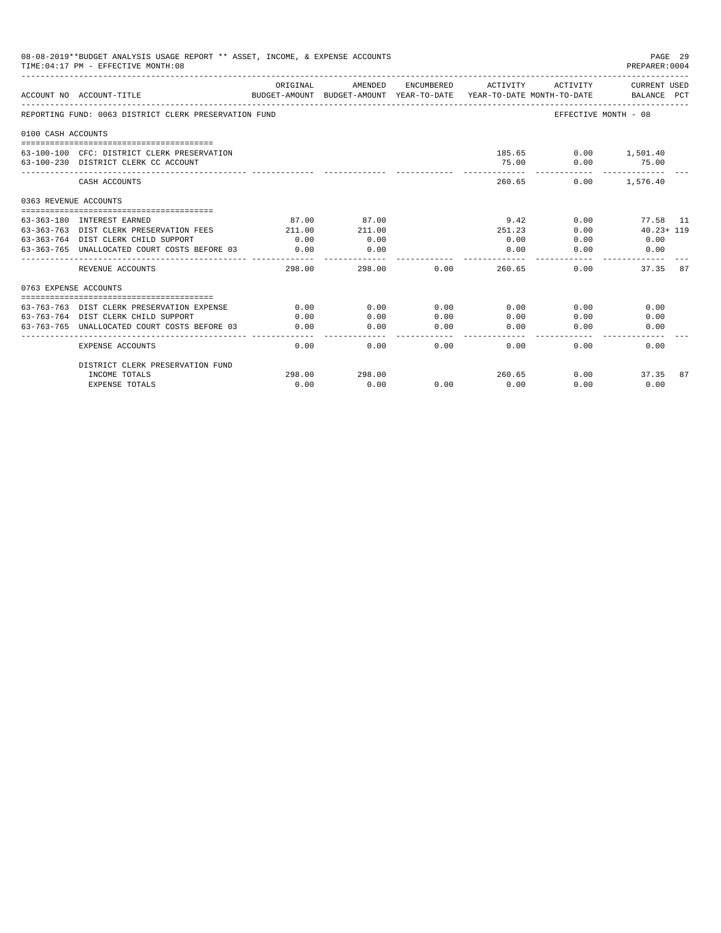|                    | 08-08-2019**BUDGET ANALYSIS USAGE REPORT ** ASSET, INCOME, & EXPENSE ACCOUNTS<br>PAGE 29<br>TIME: 04:17 PM - EFFECTIVE MONTH: 08<br>PREPARER: 0004<br>ORIGINAL<br>ENCUMBERED<br><b>CURRENT USED</b><br>AMENDED<br>ACTIVITY<br>ACTIVITY<br>ACCOUNT NO ACCOUNT-TITLE<br>BUDGET-AMOUNT BUDGET-AMOUNT YEAR-TO-DATE<br>YEAR-TO-DATE MONTH-TO-DATE<br>BALANCE PCT<br>REPORTING FUND: 0063 DISTRICT CLERK PRESERVATION FUND<br>EFFECTIVE MONTH - 08<br>185.65 0.00 1,501.40<br>63-100-100 CFC: DISTRICT CLERK PRESERVATION<br>75.00<br>0.00<br>75.00<br>63-100-230 DISTRICT CLERK CC ACCOUNT<br>260.65<br>0.00<br>1,576.40<br>CASH ACCOUNTS<br>0363 REVENUE ACCOUNTS<br>87.00<br>9.42<br>77.58 11<br>63-363-180 INTEREST EARNED<br>87.00<br>0.00<br>63-363-763 DIST CLERK PRESERVATION FEES<br>211.00<br>$40.23 + 119$<br>211.00<br>251.23<br>0.00<br>63-363-764 DIST CLERK CHILD SUPPORT<br>0.00<br>0.00<br>0.00<br>0.00<br>0.00<br>63-363-765 UNALLOCATED COURT COSTS BEFORE 03<br>0.00<br>0.00<br>0.00<br>0.00<br>0.00<br>298.00<br>0.00<br>260.65<br>37.35<br>87<br>REVENUE ACCOUNTS<br>298.00<br>0.00<br>0763 EXPENSE ACCOUNTS<br>0.00<br>0.00<br>0.00<br>63-763-763 DIST CLERK PRESERVATION EXPENSE<br>0.00<br>0.00<br>0.00<br>63-763-764 DIST CLERK CHILD SUPPORT<br>0.00<br>0.00<br>0.00<br>0.00<br>0.00<br>0.00<br>0.00<br>63-763-765 UNALLOCATED COURT COSTS BEFORE 03<br>0.00<br>0.00<br>0.00<br>0.00<br>0.00<br>$- - - - -$<br>0.00<br><b>EXPENSE ACCOUNTS</b><br>0.00<br>0.00<br>0.00<br>0.00<br>0.00 |        |        |      |        |      |       |    |
|--------------------|-------------------------------------------------------------------------------------------------------------------------------------------------------------------------------------------------------------------------------------------------------------------------------------------------------------------------------------------------------------------------------------------------------------------------------------------------------------------------------------------------------------------------------------------------------------------------------------------------------------------------------------------------------------------------------------------------------------------------------------------------------------------------------------------------------------------------------------------------------------------------------------------------------------------------------------------------------------------------------------------------------------------------------------------------------------------------------------------------------------------------------------------------------------------------------------------------------------------------------------------------------------------------------------------------------------------------------------------------------------------------------------------------------------------------------------------------------------------------------------------------------------|--------|--------|------|--------|------|-------|----|
|                    |                                                                                                                                                                                                                                                                                                                                                                                                                                                                                                                                                                                                                                                                                                                                                                                                                                                                                                                                                                                                                                                                                                                                                                                                                                                                                                                                                                                                                                                                                                             |        |        |      |        |      |       |    |
|                    |                                                                                                                                                                                                                                                                                                                                                                                                                                                                                                                                                                                                                                                                                                                                                                                                                                                                                                                                                                                                                                                                                                                                                                                                                                                                                                                                                                                                                                                                                                             |        |        |      |        |      |       |    |
| 0100 CASH ACCOUNTS |                                                                                                                                                                                                                                                                                                                                                                                                                                                                                                                                                                                                                                                                                                                                                                                                                                                                                                                                                                                                                                                                                                                                                                                                                                                                                                                                                                                                                                                                                                             |        |        |      |        |      |       |    |
|                    |                                                                                                                                                                                                                                                                                                                                                                                                                                                                                                                                                                                                                                                                                                                                                                                                                                                                                                                                                                                                                                                                                                                                                                                                                                                                                                                                                                                                                                                                                                             |        |        |      |        |      |       |    |
|                    |                                                                                                                                                                                                                                                                                                                                                                                                                                                                                                                                                                                                                                                                                                                                                                                                                                                                                                                                                                                                                                                                                                                                                                                                                                                                                                                                                                                                                                                                                                             |        |        |      |        |      |       |    |
|                    |                                                                                                                                                                                                                                                                                                                                                                                                                                                                                                                                                                                                                                                                                                                                                                                                                                                                                                                                                                                                                                                                                                                                                                                                                                                                                                                                                                                                                                                                                                             |        |        |      |        |      |       |    |
|                    |                                                                                                                                                                                                                                                                                                                                                                                                                                                                                                                                                                                                                                                                                                                                                                                                                                                                                                                                                                                                                                                                                                                                                                                                                                                                                                                                                                                                                                                                                                             |        |        |      |        |      |       |    |
|                    |                                                                                                                                                                                                                                                                                                                                                                                                                                                                                                                                                                                                                                                                                                                                                                                                                                                                                                                                                                                                                                                                                                                                                                                                                                                                                                                                                                                                                                                                                                             |        |        |      |        |      |       |    |
|                    |                                                                                                                                                                                                                                                                                                                                                                                                                                                                                                                                                                                                                                                                                                                                                                                                                                                                                                                                                                                                                                                                                                                                                                                                                                                                                                                                                                                                                                                                                                             |        |        |      |        |      |       |    |
|                    |                                                                                                                                                                                                                                                                                                                                                                                                                                                                                                                                                                                                                                                                                                                                                                                                                                                                                                                                                                                                                                                                                                                                                                                                                                                                                                                                                                                                                                                                                                             |        |        |      |        |      |       |    |
|                    |                                                                                                                                                                                                                                                                                                                                                                                                                                                                                                                                                                                                                                                                                                                                                                                                                                                                                                                                                                                                                                                                                                                                                                                                                                                                                                                                                                                                                                                                                                             |        |        |      |        |      |       |    |
|                    |                                                                                                                                                                                                                                                                                                                                                                                                                                                                                                                                                                                                                                                                                                                                                                                                                                                                                                                                                                                                                                                                                                                                                                                                                                                                                                                                                                                                                                                                                                             |        |        |      |        |      |       |    |
|                    |                                                                                                                                                                                                                                                                                                                                                                                                                                                                                                                                                                                                                                                                                                                                                                                                                                                                                                                                                                                                                                                                                                                                                                                                                                                                                                                                                                                                                                                                                                             |        |        |      |        |      |       |    |
|                    |                                                                                                                                                                                                                                                                                                                                                                                                                                                                                                                                                                                                                                                                                                                                                                                                                                                                                                                                                                                                                                                                                                                                                                                                                                                                                                                                                                                                                                                                                                             |        |        |      |        |      |       |    |
|                    |                                                                                                                                                                                                                                                                                                                                                                                                                                                                                                                                                                                                                                                                                                                                                                                                                                                                                                                                                                                                                                                                                                                                                                                                                                                                                                                                                                                                                                                                                                             |        |        |      |        |      |       |    |
|                    |                                                                                                                                                                                                                                                                                                                                                                                                                                                                                                                                                                                                                                                                                                                                                                                                                                                                                                                                                                                                                                                                                                                                                                                                                                                                                                                                                                                                                                                                                                             |        |        |      |        |      |       |    |
|                    |                                                                                                                                                                                                                                                                                                                                                                                                                                                                                                                                                                                                                                                                                                                                                                                                                                                                                                                                                                                                                                                                                                                                                                                                                                                                                                                                                                                                                                                                                                             |        |        |      |        |      |       |    |
|                    | DISTRICT CLERK PRESERVATION FUND                                                                                                                                                                                                                                                                                                                                                                                                                                                                                                                                                                                                                                                                                                                                                                                                                                                                                                                                                                                                                                                                                                                                                                                                                                                                                                                                                                                                                                                                            |        |        |      |        |      |       |    |
|                    | INCOME TOTALS                                                                                                                                                                                                                                                                                                                                                                                                                                                                                                                                                                                                                                                                                                                                                                                                                                                                                                                                                                                                                                                                                                                                                                                                                                                                                                                                                                                                                                                                                               | 298.00 | 298.00 |      | 260.65 | 0.00 | 37.35 | 87 |
|                    | <b>EXPENSE TOTALS</b>                                                                                                                                                                                                                                                                                                                                                                                                                                                                                                                                                                                                                                                                                                                                                                                                                                                                                                                                                                                                                                                                                                                                                                                                                                                                                                                                                                                                                                                                                       | 0.00   | 0.00   | 0.00 | 0.00   | 0.00 | 0.00  |    |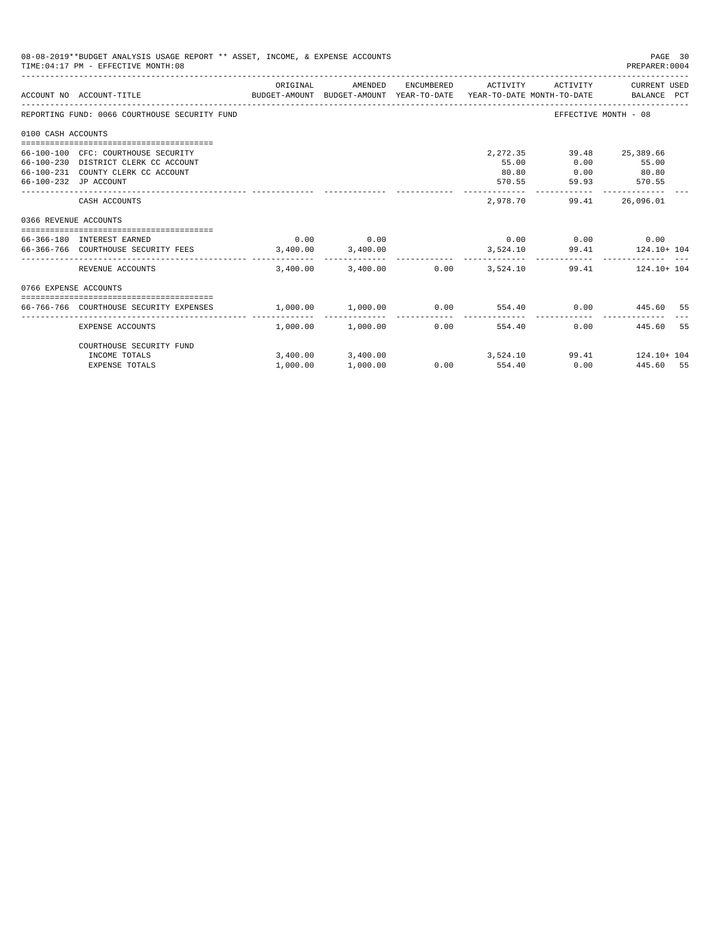|                       | 08-08-2019**BUDGET ANALYSIS USAGE REPORT ** ASSET, INCOME, & EXPENSE ACCOUNTS<br>TIME: 04:17 PM - EFFECTIVE MONTH: 08                      |          |                                              |               |                              |                             | PAGE 30<br>PREPARER: 0004                                  |
|-----------------------|--------------------------------------------------------------------------------------------------------------------------------------------|----------|----------------------------------------------|---------------|------------------------------|-----------------------------|------------------------------------------------------------|
|                       | BUDGET-AMOUNT BUDGET-AMOUNT YEAR-TO-DATE  YEAR-TO-DATE MONTH-TO-DATE     BALANCE PCT<br>ACCOUNT NO ACCOUNT-TITLE                           | ORIGINAL | AMENDED                                      |               | ENCUMBERED ACTIVITY          |                             | ACTIVITY CURRENT USED                                      |
|                       | REPORTING FUND: 0066 COURTHOUSE SECURITY FUND                                                                                              |          |                                              |               |                              |                             | EFFECTIVE MONTH - 08                                       |
| 0100 CASH ACCOUNTS    |                                                                                                                                            |          |                                              |               |                              |                             |                                                            |
|                       | 66-100-100 CFC: COURTHOUSE SECURITY<br>66-100-230 DISTRICT CLERK CC ACCOUNT<br>66-100-231 COUNTY CLERK CC ACCOUNT<br>66-100-232 JP ACCOUNT |          |                                              |               | 2, 272, 35<br>55.00<br>80.80 | 0.00<br>570.55 59.93 570.55 | 39.48 25,389.66<br>55.00<br>$0.00$ 80.80                   |
|                       | CASH ACCOUNTS                                                                                                                              |          |                                              |               | 2,978.70                     | 99.41                       | 26,096.01                                                  |
| 0366 REVENUE ACCOUNTS |                                                                                                                                            |          |                                              |               |                              |                             |                                                            |
|                       | 66-366-180 INTEREST EARNED<br>66-366-766 COURTHOUSE SECURITY FEES 3.400.00 3.400.00                                                        | 0.00     | 0.00                                         |               |                              | $0.00$ $0.00$ $0.00$ $0.00$ | 3,524.10 99.41 124.10+104                                  |
|                       | REVENUE ACCOUNTS                                                                                                                           |          | $3.400.00$ $3.400.00$ $0.00$ $3.524.10$      |               |                              |                             | 99.41 124.10+104                                           |
| 0766 EXPENSE ACCOUNTS |                                                                                                                                            |          |                                              |               |                              |                             |                                                            |
|                       | 66-766-766 COURTHOUSE SECURITY EXPENSES                                                                                                    |          |                                              |               |                              |                             | $1,000.00$ $1,000.00$ $0.00$ $554.40$ $0.00$ $445.60$ $55$ |
|                       | <b>EXPENSE ACCOUNTS</b>                                                                                                                    |          | --------------<br>$1.000.00$ $1.000.00$      | 0.00          | --------------<br>554.40     |                             | 0.00<br>445.60<br>55                                       |
|                       | COURTHOUSE SECURITY FUND                                                                                                                   |          |                                              |               |                              |                             |                                                            |
|                       | INCOME TOTALS<br><b>EXPENSE TOTALS</b>                                                                                                     | 1,000.00 | $3,400.00$ $3,400.00$ $3,524.10$<br>1,000.00 | $0.00$ 554.40 |                              |                             | 99.41 124.10+ 104<br>0.00 445.60 55                        |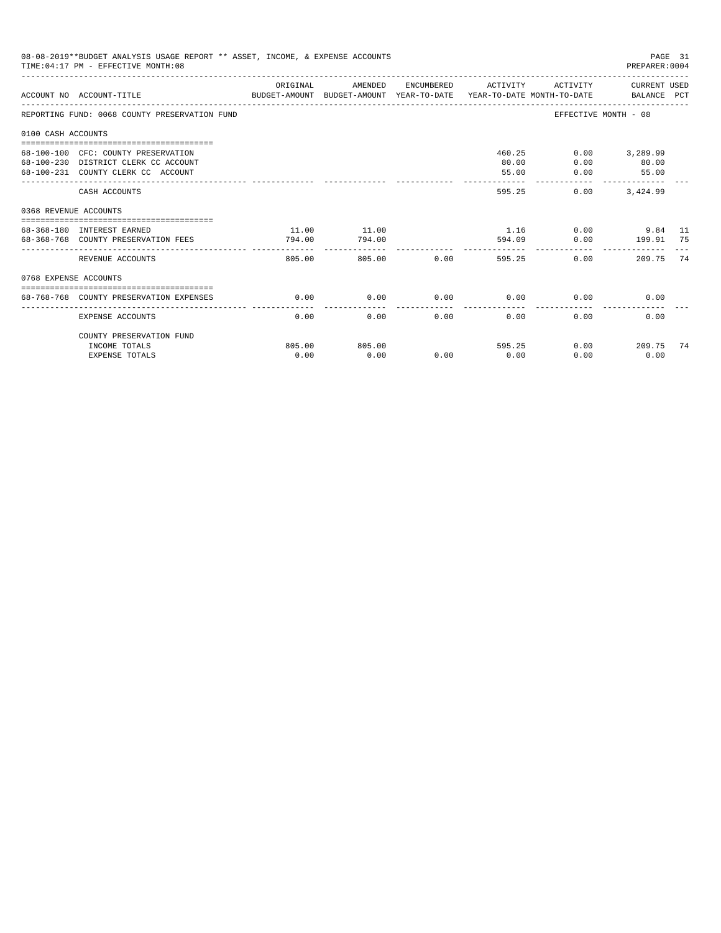| 08-08-2019**BUDGET ANALYSIS USAGE REPORT ** ASSET, INCOME, & EXPENSE ACCOUNTS<br>PAGE 31<br>TIME: 04:17 PM - EFFECTIVE MONTH: 08<br>PREPARER: 0004<br>ACTIVITY CURRENT USED<br>ORIGINAL<br>AMENDED<br>ENCUMBERED ACTIVITY<br>ACCOUNT NO ACCOUNT-TITLE COMPARENT AND BUDGET-AMOUNT BUDGET-AMOUNT YEAR-TO-DATE YEAR-TO-DATE MONTH-TO-DATE BALANCE PCT<br>REPORTING FUND: 0068 COUNTY PRESERVATION FUND<br>EFFECTIVE MONTH - 08<br>0100 CASH ACCOUNTS<br>68-100-100 CFC: COUNTY PRESERVATION<br>460.25<br>$0.00$ 3,289.99<br>68-100-230 DISTRICT CLERK CC ACCOUNT<br>80.00<br>0.00<br>80.00<br>68-100-231 COUNTY CLERK CC ACCOUNT<br>55.00<br>0.00<br>55.00<br>______________<br>-------------<br>595.25<br>$0.00$ $3.424.99$<br>CASH ACCOUNTS<br>0368 REVENUE ACCOUNTS<br>11.00<br>11.00<br>1.16 0.00 9.84 11<br>68-368-180 INTEREST EARNED<br>0.00 199.91 75<br>794.00<br>594.09<br>68-368-768 COUNTY PRESERVATION FEES<br>794.00<br>-------------<br>805.00 0.00<br>0.00<br>REVENUE ACCOUNTS<br>805.00<br>595.25<br>209.75<br>0768 EXPENSE ACCOUNTS<br>0.00<br>$0.00$ 0.00<br>68-768-768 COUNTY PRESERVATION EXPENSES<br>0.00<br>0.00<br>0.00<br>0.00<br>0.00<br>0.00<br>0.00<br>0.00<br>0.00<br><b>EXPENSE ACCOUNTS</b> |                          |        |        |      |      |        |                             |    |
|--------------------------------------------------------------------------------------------------------------------------------------------------------------------------------------------------------------------------------------------------------------------------------------------------------------------------------------------------------------------------------------------------------------------------------------------------------------------------------------------------------------------------------------------------------------------------------------------------------------------------------------------------------------------------------------------------------------------------------------------------------------------------------------------------------------------------------------------------------------------------------------------------------------------------------------------------------------------------------------------------------------------------------------------------------------------------------------------------------------------------------------------------------------------------------------------------------------------------|--------------------------|--------|--------|------|------|--------|-----------------------------|----|
|                                                                                                                                                                                                                                                                                                                                                                                                                                                                                                                                                                                                                                                                                                                                                                                                                                                                                                                                                                                                                                                                                                                                                                                                                          |                          |        |        |      |      |        |                             |    |
|                                                                                                                                                                                                                                                                                                                                                                                                                                                                                                                                                                                                                                                                                                                                                                                                                                                                                                                                                                                                                                                                                                                                                                                                                          |                          |        |        |      |      |        |                             |    |
|                                                                                                                                                                                                                                                                                                                                                                                                                                                                                                                                                                                                                                                                                                                                                                                                                                                                                                                                                                                                                                                                                                                                                                                                                          |                          |        |        |      |      |        |                             |    |
|                                                                                                                                                                                                                                                                                                                                                                                                                                                                                                                                                                                                                                                                                                                                                                                                                                                                                                                                                                                                                                                                                                                                                                                                                          |                          |        |        |      |      |        |                             |    |
|                                                                                                                                                                                                                                                                                                                                                                                                                                                                                                                                                                                                                                                                                                                                                                                                                                                                                                                                                                                                                                                                                                                                                                                                                          |                          |        |        |      |      |        |                             |    |
|                                                                                                                                                                                                                                                                                                                                                                                                                                                                                                                                                                                                                                                                                                                                                                                                                                                                                                                                                                                                                                                                                                                                                                                                                          |                          |        |        |      |      |        |                             |    |
|                                                                                                                                                                                                                                                                                                                                                                                                                                                                                                                                                                                                                                                                                                                                                                                                                                                                                                                                                                                                                                                                                                                                                                                                                          |                          |        |        |      |      |        |                             |    |
|                                                                                                                                                                                                                                                                                                                                                                                                                                                                                                                                                                                                                                                                                                                                                                                                                                                                                                                                                                                                                                                                                                                                                                                                                          |                          |        |        |      |      |        |                             | 74 |
|                                                                                                                                                                                                                                                                                                                                                                                                                                                                                                                                                                                                                                                                                                                                                                                                                                                                                                                                                                                                                                                                                                                                                                                                                          |                          |        |        |      |      |        |                             |    |
|                                                                                                                                                                                                                                                                                                                                                                                                                                                                                                                                                                                                                                                                                                                                                                                                                                                                                                                                                                                                                                                                                                                                                                                                                          |                          |        |        |      |      |        |                             |    |
|                                                                                                                                                                                                                                                                                                                                                                                                                                                                                                                                                                                                                                                                                                                                                                                                                                                                                                                                                                                                                                                                                                                                                                                                                          |                          |        |        |      |      |        |                             |    |
|                                                                                                                                                                                                                                                                                                                                                                                                                                                                                                                                                                                                                                                                                                                                                                                                                                                                                                                                                                                                                                                                                                                                                                                                                          | COUNTY PRESERVATION FUND |        |        |      |      |        |                             |    |
|                                                                                                                                                                                                                                                                                                                                                                                                                                                                                                                                                                                                                                                                                                                                                                                                                                                                                                                                                                                                                                                                                                                                                                                                                          | INCOME TOTALS            | 805.00 | 805.00 |      |      | 595.25 | $0.00$ and $0.00$<br>209.75 | 74 |
|                                                                                                                                                                                                                                                                                                                                                                                                                                                                                                                                                                                                                                                                                                                                                                                                                                                                                                                                                                                                                                                                                                                                                                                                                          | <b>EXPENSE TOTALS</b>    | 0.00   | 0.00   | 0.00 | 0.00 | 0.00   | 0.00                        |    |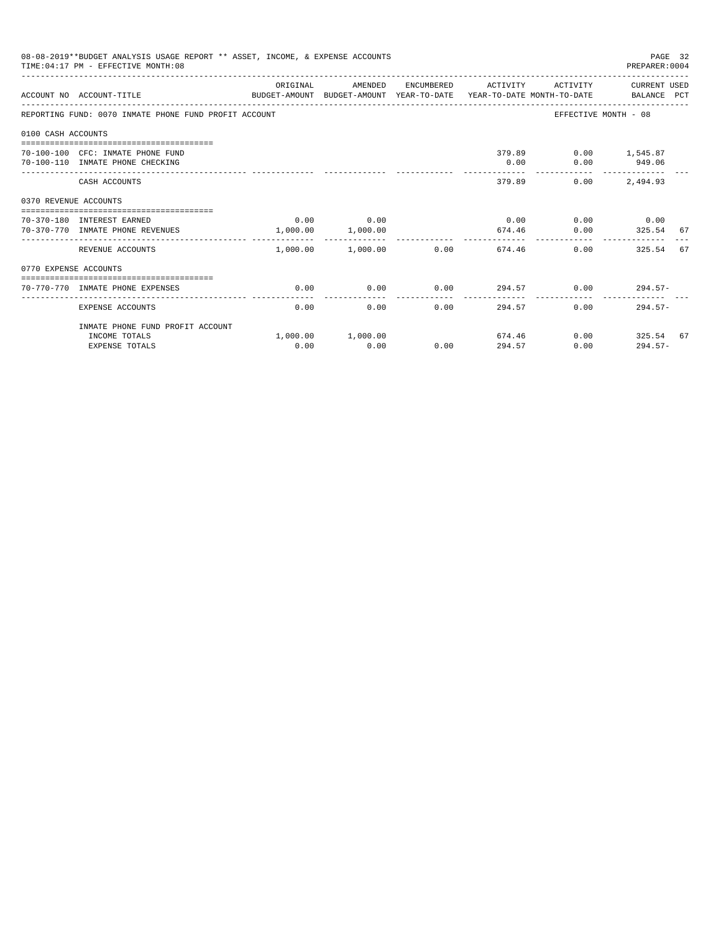|                       | 08-08-2019**BUDGET ANALYSIS USAGE REPORT ** ASSET, INCOME, & EXPENSE ACCOUNTS<br>TIME: 04:17 PM - EFFECTIVE MONTH: 08 |          |                                  |      |                     |                                            | PAGE 32<br>PREPARER: 0004      |  |
|-----------------------|-----------------------------------------------------------------------------------------------------------------------|----------|----------------------------------|------|---------------------|--------------------------------------------|--------------------------------|--|
|                       | ACCOUNT NO ACCOUNT-TITLE<br>BUDGET-AMOUNT BUDGET-AMOUNT YEAR-TO-DATE YEAR-TO-DATE MONTH-TO-DATE BALANCE PCT           | ORIGINAL | AMENDED                          |      | ENCUMBERED ACTIVITY |                                            | ACTIVITY CURRENT USED          |  |
|                       | REPORTING FUND: 0070 INMATE PHONE FUND PROFIT ACCOUNT                                                                 |          |                                  |      |                     | EFFECTIVE MONTH - 08                       |                                |  |
| 0100 CASH ACCOUNTS    |                                                                                                                       |          |                                  |      |                     |                                            |                                |  |
|                       | 70-100-100 CFC: INMATE PHONE FUND<br>70-100-110 INMATE PHONE CHECKING                                                 |          |                                  |      | 0.00                | 379.89   0.00   1.545.87                   | $0.00$ 949.06<br>------------- |  |
|                       | CASH ACCOUNTS                                                                                                         |          |                                  |      |                     | 379.89<br>0.00                             | 2,494.93                       |  |
| 0370 REVENUE ACCOUNTS |                                                                                                                       |          |                                  |      |                     |                                            |                                |  |
|                       | 70-370-180 INTEREST EARNED<br>70-370-770 INMATE PHONE REVENUES                                                        |          | $0.00$ 0.00<br>1,000.00 1,000.00 |      | 674.46              | $0.00$ $0.00$ $0.00$ $0.00$ $0.00$<br>0.00 | 325.54 67                      |  |
|                       | REVENUE ACCOUNTS                                                                                                      |          | 1,000.00 1,000.00                | 0.00 |                     | 0.00<br>674.46                             | 325.54 67                      |  |
| 0770 EXPENSE ACCOUNTS |                                                                                                                       |          |                                  |      |                     |                                            |                                |  |
|                       | 70-770-770 INMATE PHONE EXPENSES                                                                                      | 0.00     | 0.00                             |      |                     | $0.00$ $294.57$ $0.00$ $294.57$ $0.00$     |                                |  |
|                       | EXPENSE ACCOUNTS                                                                                                      | 0.00     | 0.00                             | 0.00 | 294.57              | 0.00                                       | $294.57-$                      |  |
|                       | INMATE PHONE FUND PROFIT ACCOUNT                                                                                      |          |                                  |      |                     |                                            |                                |  |
|                       | INCOME TOTALS<br><b>EXPENSE TOTALS</b>                                                                                | 0.00     | 1,000.00 1,000.00<br>0.00        | 0.00 | 294.57              | 674.46<br>0.00                             | $0.00$ 325.54 67<br>$294.57-$  |  |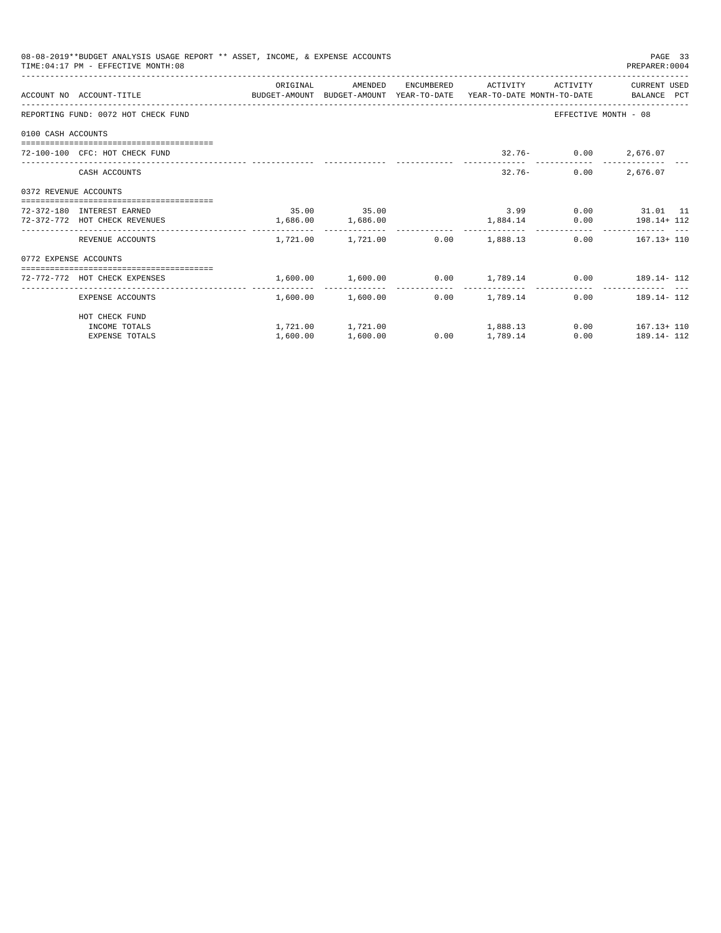|                       | 08-08-2019**BUDGET ANALYSIS USAGE REPORT ** ASSET, INCOME, & EXPENSE ACCOUNTS<br>TIME: 04:17 PM - EFFECTIVE MONTH: 08 |                       |                   |      |                                                               |                         | PAGE 33<br>PREPARER: 0004 |
|-----------------------|-----------------------------------------------------------------------------------------------------------------------|-----------------------|-------------------|------|---------------------------------------------------------------|-------------------------|---------------------------|
|                       |                                                                                                                       | ORIGINAL              | AMENDED           |      | ENCUMBERED ACTIVITY                                           |                         | ACTIVITY CURRENT USED     |
|                       | ACCOUNT NO ACCOUNT-TITLE CONTROL SUDGET-AMOUNT BUDGET-AMOUNT YEAR-TO-DATE YEAR-TO-DATE MONTH-TO-DATE BALANCE PCT      |                       |                   |      |                                                               |                         |                           |
|                       | REPORTING FUND: 0072 HOT CHECK FUND                                                                                   |                       |                   |      |                                                               | EFFECTIVE MONTH - 08    |                           |
| 0100 CASH ACCOUNTS    |                                                                                                                       |                       |                   |      |                                                               |                         |                           |
|                       | 72-100-100 CFC: HOT CHECK FUND                                                                                        |                       |                   |      |                                                               | $32.76 - 0.00$ 2,676.07 |                           |
|                       | CASH ACCOUNTS                                                                                                         |                       |                   |      | $32.76 -$                                                     |                         | $0.00$ 2,676.07           |
| 0372 REVENUE ACCOUNTS |                                                                                                                       |                       |                   |      |                                                               |                         |                           |
|                       | 72-372-180 INTEREST EARNED                                                                                            |                       | 35.00 35.00       |      |                                                               |                         | 3.99 0.00 31.01 11        |
|                       | 72-372-772 HOT CHECK REVENUES                                                                                         | $1,686.00$ $1,686.00$ |                   |      | $1,884.14$ 0.00 $198.14 + 112$                                |                         |                           |
|                       | REVENUE ACCOUNTS                                                                                                      |                       |                   |      | $1.721.00$ $1.721.00$ $0.00$ $1.888.13$                       |                         | $0.00$ $167.13 + 110$     |
| 0772 EXPENSE ACCOUNTS |                                                                                                                       |                       |                   |      |                                                               |                         |                           |
|                       | 72-772-772 HOT CHECK EXPENSES                                                                                         |                       |                   |      | $1,600.00$ $1,600.00$ $0.00$ $1,789.14$ $0.00$ $189.14$ $112$ |                         |                           |
|                       | EXPENSE ACCOUNTS                                                                                                      |                       | 1,600.00 1,600.00 |      | $0.00$ 1.789.14                                               |                         | $0.00$ 189.14-112         |
|                       | HOT CHECK FUND                                                                                                        |                       |                   |      |                                                               |                         |                           |
|                       | INCOME TOTALS                                                                                                         |                       |                   |      | $1,721.00$ $1,721.00$ $1,888.13$                              |                         | $0.00$ $167.13 + 110$     |
|                       | <b>EXPENSE TOTALS</b>                                                                                                 | 1,600.00              | 1,600.00          | 0.00 | 1,789.14                                                      | 0.00                    | 189.14- 112               |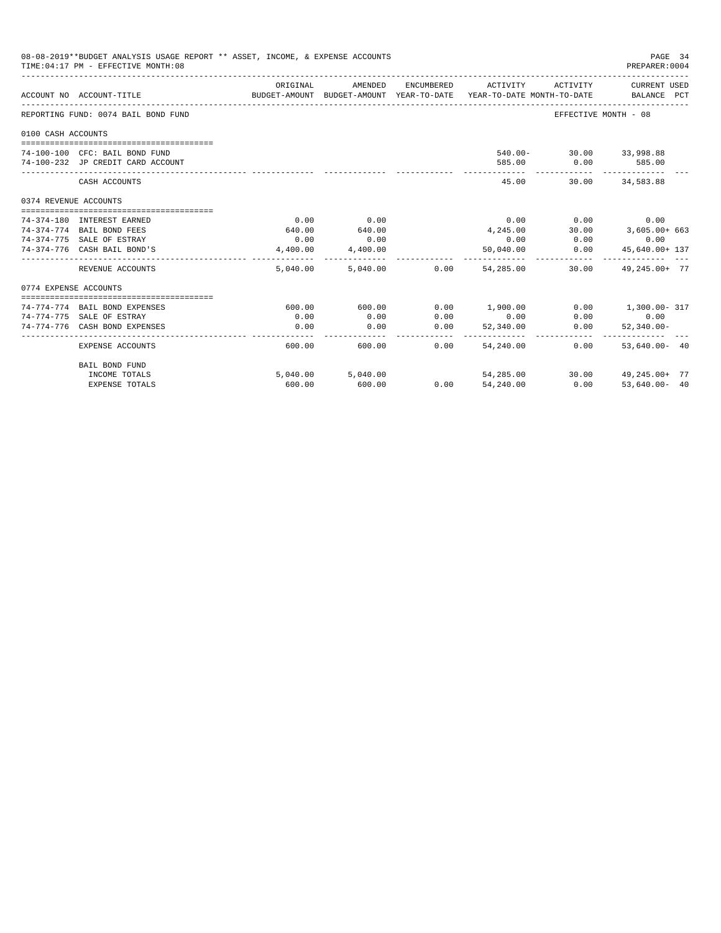|                       | 08-08-2019**BUDGET ANALYSIS USAGE REPORT ** ASSET, INCOME, & EXPENSE ACCOUNTS<br>TIME: 04:17 PM - EFFECTIVE MONTH: 08 |          |                   |               |                                                                                 |                         | PAGE 34<br>PREPARER:0004    |  |
|-----------------------|-----------------------------------------------------------------------------------------------------------------------|----------|-------------------|---------------|---------------------------------------------------------------------------------|-------------------------|-----------------------------|--|
|                       | ACCOUNT NO ACCOUNT-TITLE                                                                                              | ORIGINAL | AMENDED           | ENCUMBERED    | ACTIVITY<br>BUDGET-AMOUNT BUDGET-AMOUNT YEAR-TO-DATE YEAR-TO-DATE MONTH-TO-DATE | ACTIVITY                | CURRENT USED<br>BALANCE PCT |  |
|                       | REPORTING FUND: 0074 BAIL BOND FUND                                                                                   |          |                   |               |                                                                                 | EFFECTIVE MONTH - 08    |                             |  |
| 0100 CASH ACCOUNTS    |                                                                                                                       |          |                   |               |                                                                                 |                         |                             |  |
|                       |                                                                                                                       |          |                   |               |                                                                                 |                         |                             |  |
|                       | 74-100-100 CFC: BAIL BOND FUND                                                                                        |          |                   |               |                                                                                 | 540.00- 30.00 33,998.88 |                             |  |
|                       | 74-100-232 JP CREDIT CARD ACCOUNT                                                                                     |          |                   |               | 585.00                                                                          | 0.00<br>-----------     | 585.00<br>-------------     |  |
|                       | CASH ACCOUNTS                                                                                                         |          |                   |               | 45.00                                                                           |                         | 30.00 34,583.88             |  |
| 0374 REVENUE ACCOUNTS |                                                                                                                       |          |                   |               |                                                                                 |                         |                             |  |
|                       |                                                                                                                       |          |                   |               |                                                                                 |                         |                             |  |
|                       | 74-374-180 INTEREST EARNED                                                                                            | 0.00     | 0.00              |               |                                                                                 | $0.00$ $0.00$           | 0.00                        |  |
|                       | 74-374-774 BAIL BOND FEES                                                                                             | 640.00   | 640.00            |               | 4,245.00                                                                        |                         | 30.00 3,605.00+ 663         |  |
|                       | 74-374-775 SALE OF ESTRAY                                                                                             | 0.00     | 0.00              |               | 0.00                                                                            | 0.00                    | 0.00                        |  |
|                       | 74-374-776 CASH BAIL BOND'S                                                                                           | 4,400.00 | 4,400.00          |               | 50,040.00                                                                       | 0.00                    | 45,640.00+ 137              |  |
|                       | REVENUE ACCOUNTS                                                                                                      | 5,040,00 |                   | 5,040.00 0.00 | 54,285,00                                                                       | 30.00                   | 49, 245, 00+ 77             |  |
| 0774 EXPENSE ACCOUNTS |                                                                                                                       |          |                   |               |                                                                                 |                         |                             |  |
|                       |                                                                                                                       |          |                   |               |                                                                                 |                         |                             |  |
|                       | 74-774-774 BAIL BOND EXPENSES                                                                                         | 600.00   | 600.00            | 0.00          | 1,900.00                                                                        |                         | $0.00$ 1,300.00 - 317       |  |
|                       | 74-774-775 SALE OF ESTRAY                                                                                             | 0.00     | 0.00              | 0.00          | 0.00                                                                            | 0.00                    | 0.00                        |  |
|                       | 74-774-776 CASH BOND EXPENSES                                                                                         | 0.00     | 0.00              | 0.00          | 52,340.00                                                                       | 0.00                    | $52.340.00 -$               |  |
|                       | EXPENSE ACCOUNTS                                                                                                      | 600.00   | 600.00            | 0.00          | 54,240,00                                                                       | 0.00                    | $53.640.00 - 40$            |  |
|                       | BAIL BOND FUND                                                                                                        |          |                   |               |                                                                                 |                         |                             |  |
|                       | INCOME TOTALS                                                                                                         |          | 5,040.00 5,040.00 |               | 54,285.00                                                                       |                         | 30.00 49,245.00+ 77         |  |
|                       | <b>EXPENSE TOTALS</b>                                                                                                 | 600.00   | 600.00            | 0.00          | 54,240.00                                                                       | 0.00                    | $53.640.00 - 40$            |  |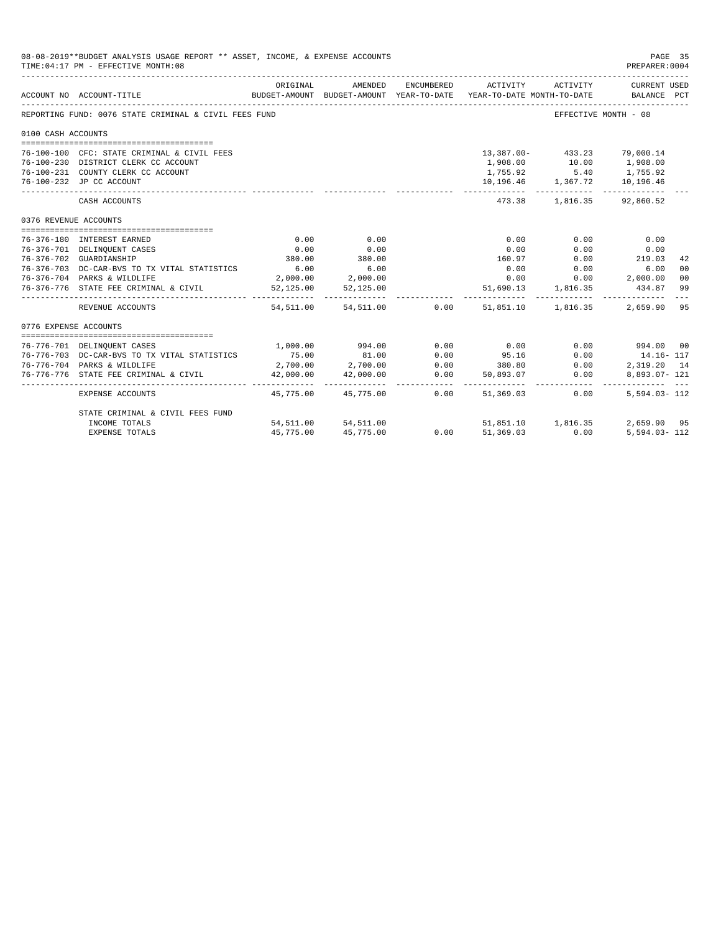| 08-08-2019**BUDGET ANALYSIS USAGE REPORT ** ASSET, INCOME, & EXPENSE ACCOUNTS<br>TIME: 04:17 PM - EFFECTIVE MONTH: 08 |                                                       |           |                                |                                                         |                                                                                                                              |                                      |                  | PAGE 35<br>PREPARER: 0004 |
|-----------------------------------------------------------------------------------------------------------------------|-------------------------------------------------------|-----------|--------------------------------|---------------------------------------------------------|------------------------------------------------------------------------------------------------------------------------------|--------------------------------------|------------------|---------------------------|
|                                                                                                                       | ACCOUNT NO ACCOUNT-TITLE                              | ORIGINAL  | AMENDED                        |                                                         | ENCUMBERED ACTIVITY ACTIVITY CURRENT USED<br>BUDGET-AMOUNT BUDGET-AMOUNT YEAR-TO-DATE YEAR-TO-DATE MONTH-TO-DATE BALANCE PCT |                                      |                  |                           |
|                                                                                                                       | REPORTING FUND: 0076 STATE CRIMINAL & CIVIL FEES FUND |           |                                |                                                         |                                                                                                                              | EFFECTIVE MONTH - 08                 |                  |                           |
| 0100 CASH ACCOUNTS                                                                                                    |                                                       |           |                                |                                                         |                                                                                                                              |                                      |                  |                           |
|                                                                                                                       | 76-100-100 CFC: STATE CRIMINAL & CIVIL FEES           |           |                                |                                                         |                                                                                                                              | 13,387.00- 433.23 79,000.14          |                  |                           |
|                                                                                                                       | 76-100-230 DISTRICT CLERK CC ACCOUNT                  |           |                                |                                                         | 1,908.00                                                                                                                     | 10.00                                | 1,908.00         |                           |
|                                                                                                                       | 76-100-231 COUNTY CLERK CC ACCOUNT                    |           |                                |                                                         | 1,755.92                                                                                                                     | 5.40                                 | 1,755.92         |                           |
|                                                                                                                       | 76-100-232 JP CC ACCOUNT                              |           |                                |                                                         |                                                                                                                              | 10,196.46 1,367.72 10,196.46         |                  |                           |
|                                                                                                                       | ___________________________________<br>CASH ACCOUNTS  |           |                                |                                                         | 473.38                                                                                                                       | 1,816.35                             | 92,860.52        |                           |
| 0376 REVENUE ACCOUNTS                                                                                                 |                                                       |           |                                |                                                         |                                                                                                                              |                                      |                  |                           |
|                                                                                                                       | 76-376-180 INTEREST EARNED                            | 0.00      | 0.00                           |                                                         | 0.00                                                                                                                         | 0.00                                 | 0.00             |                           |
|                                                                                                                       | 76-376-701 DELINQUENT CASES                           | 0.00      | 0.00                           |                                                         | 0.00                                                                                                                         | 0.00                                 | 0.00             |                           |
|                                                                                                                       | 76-376-702 GUARDIANSHIP                               | 380.00    | 380.00                         |                                                         | 160.97                                                                                                                       | 0.00                                 | 219.03           | 42                        |
|                                                                                                                       | 76-376-703 DC-CAR-BVS TO TX VITAL STATISTICS          | 6.00      | 6.00                           |                                                         | 0.00                                                                                                                         | $0.00$ 6.00                          |                  | 0 <sup>0</sup>            |
|                                                                                                                       | 76-376-704 PARKS & WILDLIFE                           |           | 2,000.00 2,000.00              |                                                         |                                                                                                                              | $0.00$ $0.00$ $2,000.00$             |                  | 00                        |
|                                                                                                                       | 76-376-776 STATE FEE CRIMINAL & CIVIL                 |           | 52,125.00 52,125.00            |                                                         | 51,690.13 1,816.35                                                                                                           |                                      | 434.87           | 99                        |
|                                                                                                                       | REVENUE ACCOUNTS                                      |           | 54,511.00 54,511.00 0.00       |                                                         |                                                                                                                              | 51,851.10   1,816.35   2,659.90   95 |                  |                           |
| 0776 EXPENSE ACCOUNTS                                                                                                 |                                                       |           |                                |                                                         |                                                                                                                              |                                      |                  |                           |
|                                                                                                                       |                                                       |           |                                |                                                         |                                                                                                                              |                                      |                  |                           |
|                                                                                                                       | 76-776-701 DELINQUENT CASES                           |           | 1,000.00 994.00                | 0.00                                                    | 0.00                                                                                                                         | 0.00                                 | 994.00 00        |                           |
|                                                                                                                       | 76-776-703 DC-CAR-BVS TO TX VITAL STATISTICS          | 75.00     | 81.00<br>$2,700.00$ $2,700.00$ | 0.00                                                    | 95.16<br>380.80<br>$95.16$<br>380.80<br>50,893.07<br>0.00                                                                    | 0.00                                 | 14.16- 117       |                           |
|                                                                                                                       | 76-776-704 PARKS & WILDLIFE                           |           |                                | $\begin{array}{c} 0\,.\,0\,0 \\ 0\,.\,0\,0 \end{array}$ |                                                                                                                              |                                      | 2,319.20 14      |                           |
|                                                                                                                       | 76-776-776 STATE FEE CRIMINAL & CIVIL                 | 42,000.00 | 42,000.00                      |                                                         |                                                                                                                              |                                      | $8.893.07 - 121$ |                           |
|                                                                                                                       | EXPENSE ACCOUNTS                                      |           | 45,775.00 45,775.00            | 0.00                                                    | 51,369.03                                                                                                                    | 0.00                                 | 5,594.03-112     |                           |
|                                                                                                                       | STATE CRIMINAL & CIVIL FEES FUND                      |           |                                |                                                         |                                                                                                                              |                                      |                  |                           |
|                                                                                                                       | INCOME TOTALS                                         |           | 54,511.00 54,511.00            |                                                         | $51,851.10$<br>0.00 $51,369.03$                                                                                              | 51,851.10 1,816.35                   | 2,659.90 95      |                           |
|                                                                                                                       | <b>EXPENSE TOTALS</b>                                 | 45,775.00 | 45,775.00                      |                                                         |                                                                                                                              | 0.00                                 | $5,594.03 - 112$ |                           |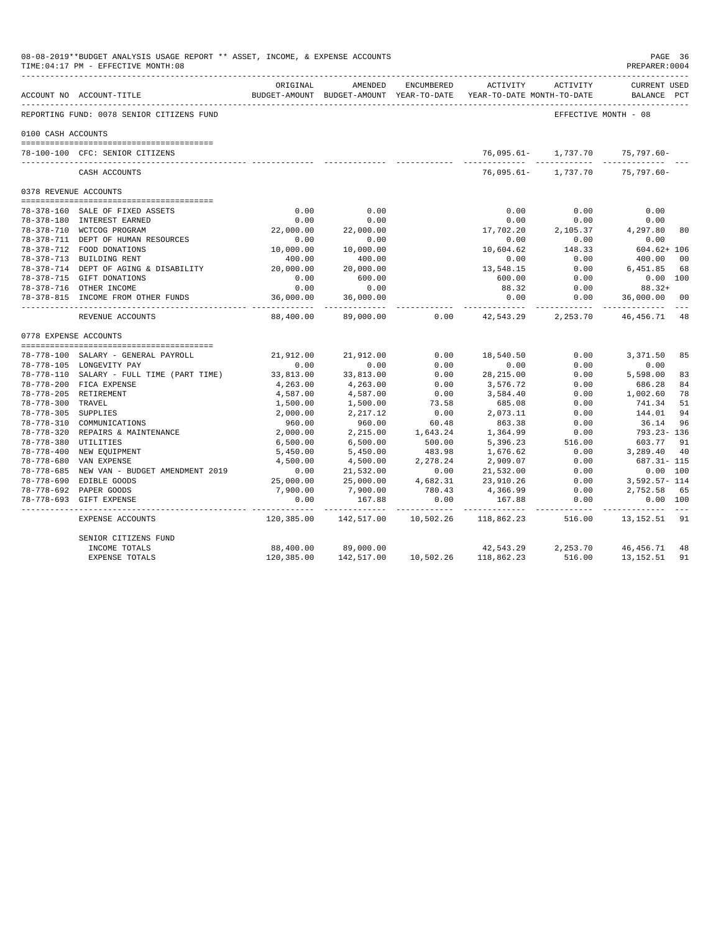| 08-08-2019**BUDGET ANALYSIS USAGE REPORT ** ASSET, INCOME, & EXPENSE ACCOUNTS<br>TIME: 04:17 PM - EFFECTIVE MONTH: 08 |                                                               |                                  |                        |                      |                                                                     |                                |                                    | PAGE 36<br>PREPARER: 0004 |
|-----------------------------------------------------------------------------------------------------------------------|---------------------------------------------------------------|----------------------------------|------------------------|----------------------|---------------------------------------------------------------------|--------------------------------|------------------------------------|---------------------------|
|                                                                                                                       | ACCOUNT NO ACCOUNT-TITLE                                      | ORIGINAL                         | AMENDED                | ENCUMBERED           | BUDGET-AMOUNT BUDGET-AMOUNT YEAR-TO-DATE YEAR-TO-DATE MONTH-TO-DATE | ACTIVITY ACTIVITY              | <b>CURRENT USED</b><br>BALANCE PCT |                           |
|                                                                                                                       | REPORTING FUND: 0078 SENIOR CITIZENS FUND                     |                                  |                        |                      |                                                                     | EFFECTIVE MONTH - 08           |                                    |                           |
| 0100 CASH ACCOUNTS                                                                                                    |                                                               |                                  |                        |                      |                                                                     |                                |                                    |                           |
|                                                                                                                       | 78-100-100 CFC: SENIOR CITIZENS                               |                                  |                        |                      |                                                                     | 76,095.61- 1,737.70 75,797.60- |                                    |                           |
|                                                                                                                       | CASH ACCOUNTS                                                 |                                  |                        |                      | 76,095.61-                                                          | 1,737.70                       | 75,797.60-                         |                           |
|                                                                                                                       | 0378 REVENUE ACCOUNTS                                         |                                  |                        |                      |                                                                     |                                |                                    |                           |
|                                                                                                                       |                                                               | 0.00                             | 0.00                   |                      | 0.00                                                                | 0.00                           | 0.00                               |                           |
|                                                                                                                       | 78-378-160 SALE OF FIXED ASSETS<br>78-378-180 INTEREST EARNED | 0.00                             | 0.00                   |                      | 0.00                                                                | 0.00                           | 0.00                               |                           |
|                                                                                                                       | 78-378-710 WCTCOG PROGRAM                                     | 22,000.00                        | 22,000.00              |                      | 17,702.20                                                           | 2,105.37                       | 4,297.80                           | 80                        |
|                                                                                                                       | 78-378-711 DEPT OF HUMAN RESOURCES                            | 0.00                             | 0.00                   |                      | 0.00                                                                | 0.00                           | 0.00                               |                           |
|                                                                                                                       | 78-378-712 FOOD DONATIONS                                     | 10,000.00                        | 10,000.00              |                      | 10,604.62                                                           | 148.33                         | 604.62+ 106                        |                           |
|                                                                                                                       | 78-378-713 BUILDING RENT                                      | 400.00                           | 400.00                 |                      | 0.00                                                                | 0.00                           | 400.00                             | 0 <sub>0</sub>            |
|                                                                                                                       | 78-378-714 DEPT OF AGING & DISABILITY                         | 20,000.00                        | 20,000.00              |                      | 13,548.15                                                           | 0.00                           | 6,451.85                           | 68                        |
|                                                                                                                       | 78-378-715 GIFT DONATIONS                                     | 0.00                             | 600.00                 |                      | 600.00                                                              | 0.00                           | 0.00 100                           |                           |
|                                                                                                                       | 78-378-716 OTHER INCOME                                       | 0.00                             | 0.00                   |                      | 88.32                                                               | 0.00                           | $88.32+$                           |                           |
|                                                                                                                       | 78-378-815 INCOME FROM OTHER FUNDS                            | 36,000.00<br>. _ _ _ _ _ _ _ _ _ | 36,000.00<br>.         |                      | 0.00<br>-----------                                                 | 0.00<br>. <u>.</u>             | 36,000.00                          | 00                        |
|                                                                                                                       | REVENUE ACCOUNTS                                              | 88,400.00                        | 89,000.00              | 0.00                 | 42,543.29                                                           | 2,253.70                       | 46, 456. 71 48                     |                           |
|                                                                                                                       | 0778 EXPENSE ACCOUNTS                                         |                                  |                        |                      |                                                                     |                                |                                    |                           |
|                                                                                                                       | 78-778-100 SALARY - GENERAL PAYROLL                           | 21,912.00                        | 21,912.00              | 0.00                 | 18,540.50                                                           | 0.00                           | 3,371.50                           | 85                        |
|                                                                                                                       | 78-778-105 LONGEVITY PAY                                      | 0.00                             | 0.00                   | 0.00                 | 0.00                                                                | 0.00                           | 0.00                               |                           |
|                                                                                                                       | 78-778-110 SALARY - FULL TIME (PART TIME)                     | 33,813.00                        | 33,813.00              | 0.00                 | 28, 215.00                                                          | 0.00                           | 5,598.00                           | 83                        |
|                                                                                                                       | 78-778-200 FICA EXPENSE                                       | 4,263.00                         | 4,263.00               | 0.00                 | 3,576.72                                                            | 0.00                           | 686.28                             | 84                        |
|                                                                                                                       | 78-778-205 RETIREMENT                                         | 4,587.00                         | 4,587.00               | 0.00                 | 3,584.40                                                            | 0.00                           | 1,002.60                           | 78                        |
| 78-778-300 TRAVEL                                                                                                     |                                                               | 1,500.00                         | 1,500.00               | 73.58                | 685.08                                                              | 0.00                           | 741.34                             | 51                        |
| 78-778-305 SUPPLIES                                                                                                   |                                                               | 2,000.00                         | 2, 217.12              | 0.00                 | 2,073.11                                                            | 0.00                           | 144.01                             | 94                        |
|                                                                                                                       | 78-778-310 COMMUNICATIONS                                     | 960.00                           | 960.00                 | 60.48                | 863.38                                                              | 0.00                           | 36.14                              | 96                        |
|                                                                                                                       | 78-778-320 REPAIRS & MAINTENANCE                              | 2,000.00                         | 2,215.00               | 1,643.24             | 1,364.99                                                            | 0.00                           | 793.23- 136                        |                           |
|                                                                                                                       | 78-778-380 UTILITIES                                          | 6,500.00                         | 6,500.00               | 500.00               | 5,396.23                                                            | 516.00                         | 603.77                             | 91                        |
|                                                                                                                       | 78-778-400 NEW EQUIPMENT                                      | 5,450.00                         | 5,450.00               | 483.98               | 1,676.62                                                            | 0.00                           | 3,289.40                           | 40                        |
|                                                                                                                       | 78-778-680 VAN EXPENSE                                        | 4,500.00                         | 4,500.00               | 2,278.24             | 2,909.07                                                            | 0.00                           | 687.31- 115                        |                           |
|                                                                                                                       | 78-778-685 NEW VAN - BUDGET AMENDMENT 2019                    | 0.00                             | 21,532.00              | 0.00                 | 21,532.00                                                           | 0.00                           | 0.00 100                           |                           |
|                                                                                                                       | 78-778-690 EDIBLE GOODS                                       | 25,000.00                        | 25,000.00              | 4,682.31             | 23,910.26                                                           | 0.00                           | 3,592.57- 114                      |                           |
|                                                                                                                       | 78-778-692 PAPER GOODS                                        | 7,900.00                         | 7,900.00               | 780.43               | 4,366.99                                                            | 0.00                           | 2,752.58                           | 65                        |
|                                                                                                                       | 78-778-693 GIFT EXPENSE                                       | 0.00<br>----------               | 167.88<br>------------ | 0.00<br>------------ | 167.88<br>------------ -------------                                | 0.00                           | 0.00 100                           |                           |
|                                                                                                                       | EXPENSE ACCOUNTS                                              | 120,385.00                       | 142,517.00             | 10,502.26            | 118,862.23 516.00                                                   |                                | 13, 152. 51 91                     |                           |
|                                                                                                                       | SENIOR CITIZENS FUND                                          |                                  |                        |                      |                                                                     |                                |                                    |                           |
|                                                                                                                       | INCOME TOTALS                                                 | 88,400.00                        | 89,000.00              |                      | 42,543.29                                                           |                                | 2,253.70 46,456.71                 | 48                        |
|                                                                                                                       | <b>EXPENSE TOTALS</b>                                         | 120,385.00                       |                        |                      | 142,517.00  10,502.26  118,862.23                                   | 516.00                         | 13,152.51                          | 91                        |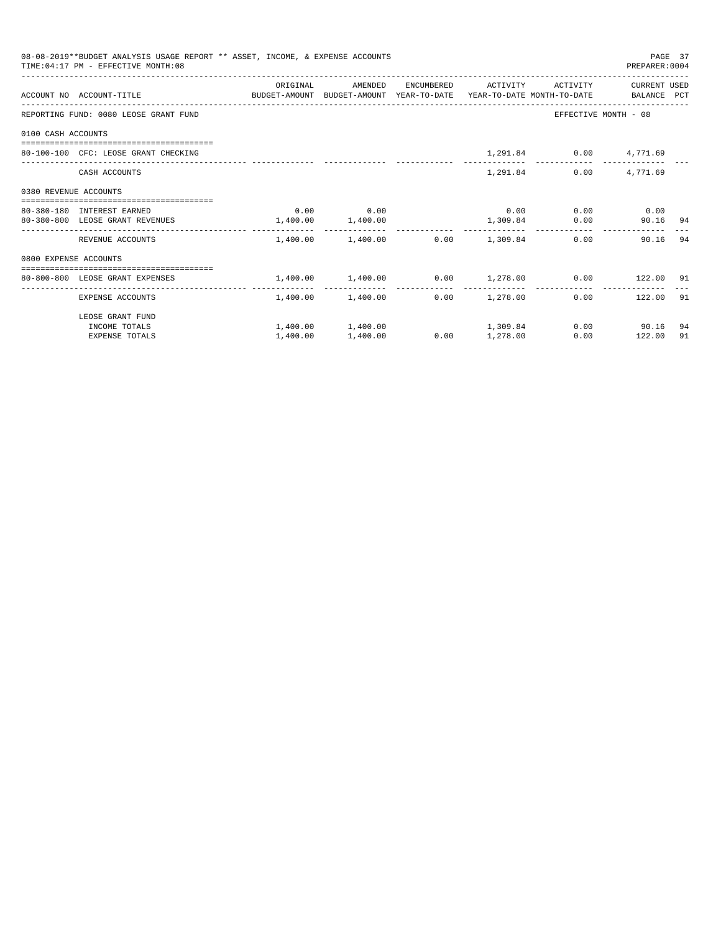|                       | 08-08-2019**BUDGET ANALYSIS USAGE REPORT ** ASSET, INCOME, & EXPENSE ACCOUNTS<br>TIME: 04:17 PM - EFFECTIVE MONTH: 08 |                       |                                                            |                 |          |                              | PREPARER: 0004       | PAGE 37 |
|-----------------------|-----------------------------------------------------------------------------------------------------------------------|-----------------------|------------------------------------------------------------|-----------------|----------|------------------------------|----------------------|---------|
|                       | ACCOUNT NO ACCOUNT-TITLE COMPUTE BUDGET-AMOUNT BUDGET-AMOUNT YEAR-TO-DATE YEAR-TO-DATE MONTH-TO-DATE BALANCE PCT      | ORIGINAL              | AMENDED                                                    |                 |          | ENCUMBERED ACTIVITY ACTIVITY | CURRENT USED         |         |
|                       | REPORTING FUND: 0080 LEOSE GRANT FUND                                                                                 |                       |                                                            |                 |          |                              | EFFECTIVE MONTH - 08 |         |
| 0100 CASH ACCOUNTS    |                                                                                                                       |                       |                                                            |                 |          |                              |                      |         |
|                       | 80-100-100 CFC: LEOSE GRANT CHECKING                                                                                  |                       |                                                            |                 |          | 1,291.84 0.00 4,771.69       |                      |         |
|                       | CASH ACCOUNTS                                                                                                         |                       |                                                            |                 | 1,291.84 |                              | $0.00$ 4,771.69      |         |
| 0380 REVENUE ACCOUNTS |                                                                                                                       |                       |                                                            |                 |          |                              |                      |         |
|                       | 80-380-180 INTEREST EARNED                                                                                            |                       | $0.00$ 0.00                                                |                 |          | $0.00$ $0.00$ $0.00$ $0.00$  |                      |         |
|                       | 80-380-800 LEOSE GRANT REVENUES                                                                                       | $1,400.00$ $1,400.00$ |                                                            | 1,309.84        |          |                              | 0.00<br>90.16 94     |         |
|                       | REVENUE ACCOUNTS                                                                                                      |                       | $1,400.00$ $1,400.00$ $0.00$ $1,309.84$                    |                 |          |                              | 90.16 94<br>0.00     |         |
| 0800 EXPENSE ACCOUNTS |                                                                                                                       |                       |                                                            |                 |          |                              |                      |         |
|                       | --------------------------------------<br>80-800-800 LEOSE GRANT EXPENSES                                             |                       | $1,400.00$ $1,400.00$ $0.00$ $1,278.00$ $0.00$ $122.00$ 91 |                 |          |                              |                      |         |
|                       |                                                                                                                       |                       |                                                            |                 |          |                              |                      |         |
|                       | EXPENSE ACCOUNTS                                                                                                      |                       | $1,400.00$ $1,400.00$ $0.00$ $1,278.00$                    |                 |          |                              | $0.00$ 122.00 91     |         |
|                       | LEOSE GRANT FUND                                                                                                      |                       |                                                            |                 |          |                              |                      |         |
|                       | INCOME TOTALS                                                                                                         |                       | $1,400.00$ $1,400.00$ $1,309.84$                           |                 |          |                              | $0.00$ 90.16         | -94     |
|                       | <b>EXPENSE TOTALS</b>                                                                                                 | 1,400.00              | 1,400.00                                                   | $0.00$ 1,278.00 |          |                              | 0.00<br>122.00       | 91      |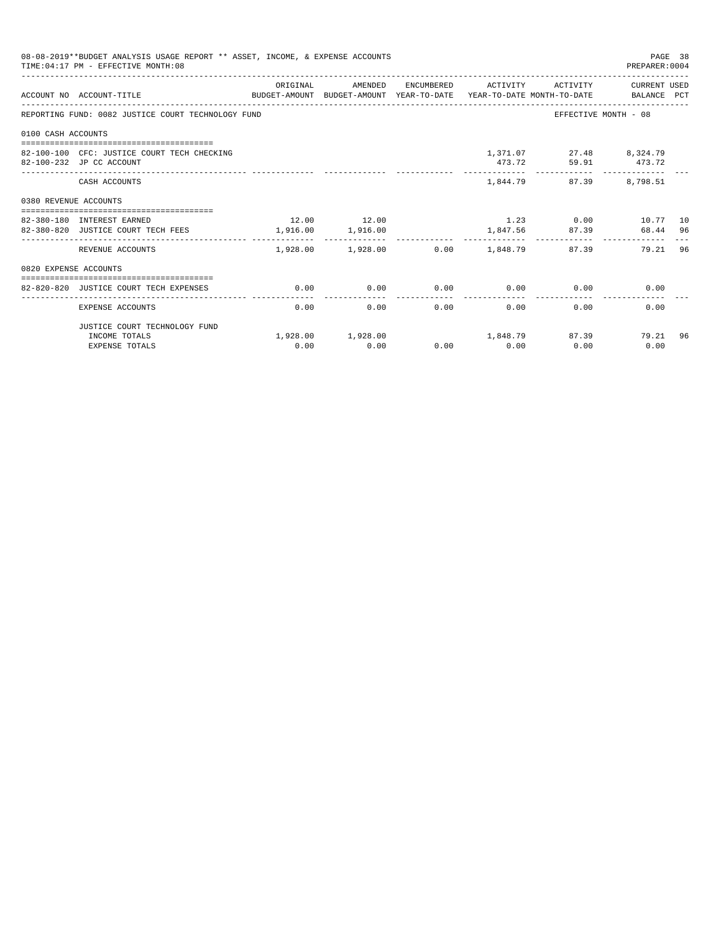| 08-08-2019**BUDGET ANALYSIS USAGE REPORT ** ASSET, INCOME, & EXPENSE ACCOUNTS<br>PAGE 38<br>TIME: 04:17 PM - EFFECTIVE MONTH: 08<br>PREPARER: 0004 |                                                                                                                         |             |                                                    |  |                              |                                                |                                                   |    |
|----------------------------------------------------------------------------------------------------------------------------------------------------|-------------------------------------------------------------------------------------------------------------------------|-------------|----------------------------------------------------|--|------------------------------|------------------------------------------------|---------------------------------------------------|----|
|                                                                                                                                                    | ACCOUNT NO ACCOUNT-TITLE CONTROLLER THE BUDGET-AMOUNT BUDGET-AMOUNT YEAR-TO-DATE YEAR-TO-DATE MONTH-TO-DATE BALANCE PCT | ORIGINAL    | AMENDED                                            |  |                              |                                                | ENCUMBERED ACTIVITY ACTIVITY CURRENT USED         |    |
|                                                                                                                                                    | REPORTING FUND: 0082 JUSTICE COURT TECHNOLOGY FUND                                                                      |             |                                                    |  |                              |                                                | EFFECTIVE MONTH - 08                              |    |
| 0100 CASH ACCOUNTS                                                                                                                                 |                                                                                                                         |             |                                                    |  |                              |                                                |                                                   |    |
|                                                                                                                                                    | 82-100-100 CFC: JUSTICE COURT TECH CHECKING<br>82-100-232 JP CC ACCOUNT                                                 |             |                                                    |  |                              | 1,371.07 27.48 8,324.79<br>473.72 59.91 473.72 |                                                   |    |
|                                                                                                                                                    | CASH ACCOUNTS                                                                                                           |             |                                                    |  |                              | 1,844.79 87.39                                 | 8,798.51                                          |    |
| 0380 REVENUE ACCOUNTS                                                                                                                              |                                                                                                                         |             |                                                    |  |                              |                                                |                                                   |    |
|                                                                                                                                                    | 82-380-180 INTEREST EARNED<br>82-380-820 JUSTICE COURT TECH FEES                                                        | 12.00 12.00 | 1,916.00 1,916.00                                  |  |                              |                                                | $1.23$ 0.00 $10.77$ 10<br>1,847.56 87.39 68.44 96 |    |
|                                                                                                                                                    | REVENUE ACCOUNTS                                                                                                        |             | .<br>$1,928.00$ $1,928.00$ $0.00$ $1,848.79$ 87.39 |  | ------------                 |                                                | 79.21 96                                          |    |
| 0820 EXPENSE ACCOUNTS                                                                                                                              |                                                                                                                         |             |                                                    |  |                              |                                                |                                                   |    |
|                                                                                                                                                    | 82-820-820 JUSTICE COURT TECH EXPENSES                                                                                  | 0.00        | 0.00                                               |  |                              | $0.00$ $0.00$ $0.00$ $0.00$                    | 0.00                                              |    |
|                                                                                                                                                    | EXPENSE ACCOUNTS                                                                                                        | 0.00        | 0.00                                               |  | ------------<br>0.00<br>0.00 | 0.00                                           | 0.00                                              |    |
|                                                                                                                                                    | JUSTICE COURT TECHNOLOGY FUND                                                                                           |             |                                                    |  |                              |                                                |                                                   |    |
|                                                                                                                                                    | INCOME TOTALS<br><b>EXPENSE TOTALS</b>                                                                                  | 0.00        | $1,928.00$ $1,928.00$ $1,848.79$ $87.39$<br>0.00   |  | $0.00$ 0.00                  | 0.00                                           | 79.21<br>0.00                                     | 96 |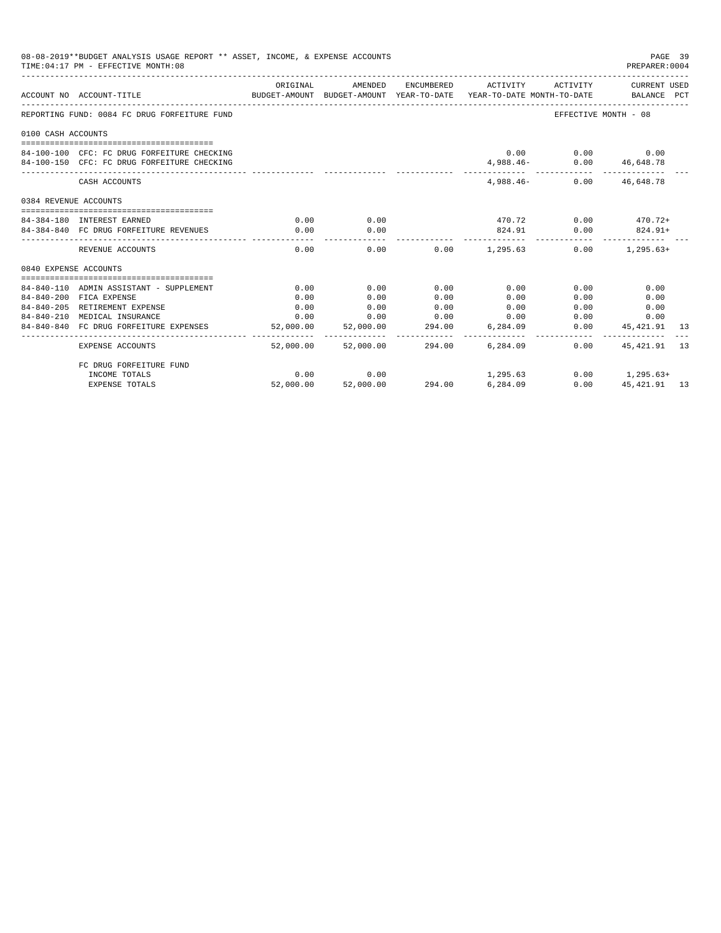| 08-08-2019**BUDGET ANALYSIS USAGE REPORT ** ASSET, INCOME, & EXPENSE ACCOUNTS<br>TIME: 04:17 PM - EFFECTIVE MONTH: 08 |                                              |                       |           |        |                                                                                                                              |                                    |                   | PAGE 39<br>PREPARER: 0004 |
|-----------------------------------------------------------------------------------------------------------------------|----------------------------------------------|-----------------------|-----------|--------|------------------------------------------------------------------------------------------------------------------------------|------------------------------------|-------------------|---------------------------|
|                                                                                                                       | ACCOUNT NO ACCOUNT-TITLE                     | ORIGINAL              | AMENDED   |        | ENCUMBERED ACTIVITY ACTIVITY CURRENT USED<br>BUDGET-AMOUNT BUDGET-AMOUNT YEAR-TO-DATE YEAR-TO-DATE MONTH-TO-DATE BALANCE PCT |                                    |                   |                           |
|                                                                                                                       | REPORTING FUND: 0084 FC DRUG FORFEITURE FUND |                       |           |        |                                                                                                                              | EFFECTIVE MONTH - 08               |                   |                           |
| 0100 CASH ACCOUNTS                                                                                                    |                                              |                       |           |        |                                                                                                                              |                                    |                   |                           |
|                                                                                                                       |                                              |                       |           |        |                                                                                                                              |                                    |                   |                           |
|                                                                                                                       | 84-100-100 CFC: FC DRUG FORFEITURE CHECKING  |                       |           |        |                                                                                                                              | $0.00$ $0.00$ $0.00$ $0.00$        |                   |                           |
|                                                                                                                       | 84-100-150 CFC: FC DRUG FORFEITURE CHECKING  |                       |           |        |                                                                                                                              | $4,988.46 - 0.00$ $46,648.78$<br>. |                   |                           |
|                                                                                                                       | CASH ACCOUNTS                                |                       |           |        |                                                                                                                              | 4,988.46 - 0.00 46,648.78          |                   |                           |
| 0384 REVENUE ACCOUNTS                                                                                                 |                                              |                       |           |        |                                                                                                                              |                                    |                   |                           |
|                                                                                                                       |                                              |                       |           |        |                                                                                                                              |                                    |                   |                           |
|                                                                                                                       | 84-384-180 INTEREST EARNED                   | 0.00                  | 0.00      |        | $470.72$ 0.00 $470.72+$                                                                                                      |                                    |                   |                           |
|                                                                                                                       | 84-384-840 FC DRUG FORFEITURE REVENUES       | 0.00                  | 0.00<br>. |        |                                                                                                                              | 824.91 0.00 824.91+                |                   |                           |
|                                                                                                                       | REVENUE ACCOUNTS                             | 0.00                  |           |        | $0.00$ $0.00$ $1.295.63$ $0.00$ $1.295.63+$                                                                                  |                                    |                   |                           |
| 0840 EXPENSE ACCOUNTS                                                                                                 |                                              |                       |           |        |                                                                                                                              |                                    |                   |                           |
|                                                                                                                       | 84-840-110 ADMIN ASSISTANT - SUPPLEMENT      | 0.00                  | 0.00      | 0.00   | 0.00                                                                                                                         | 0.00                               | 0.00              |                           |
|                                                                                                                       | 84-840-200 FICA EXPENSE                      | 0.00                  | 0.00      | 0.00   | 0.00                                                                                                                         | 0.00                               | 0.00              |                           |
|                                                                                                                       | 84-840-205 RETIREMENT EXPENSE                | 0.00                  | 0.00      | 0.00   | 0.00                                                                                                                         | 0.00                               | 0.00              |                           |
|                                                                                                                       | 84-840-210 MEDICAL INSURANCE                 | 0.00                  | 0.00      | 0.00   | 0.00                                                                                                                         | 0.00                               | 0.00              |                           |
|                                                                                                                       | 84-840-840 FC DRUG FORFEITURE EXPENSES       | 52,000.00             | 52,000.00 | 294.00 | 6,284.09                                                                                                                     | 0.00                               | 45,421.91         | 13                        |
|                                                                                                                       | <b>EXPENSE ACCOUNTS</b>                      | --------<br>52,000.00 | 52,000.00 | 294.00 | 6,284.09                                                                                                                     | 0.00                               | 45, 421, 91 13    |                           |
|                                                                                                                       | FC DRUG FORFEITURE FUND                      |                       |           |        |                                                                                                                              |                                    |                   |                           |
|                                                                                                                       | INCOME TOTALS                                | 0.00                  | 0.00      |        | 1,295.63                                                                                                                     |                                    | $0.00$ 1, 295.63+ |                           |
|                                                                                                                       | <b>EXPENSE TOTALS</b>                        | 52,000.00             | 52,000.00 | 294.00 | 6,284.09                                                                                                                     | 0.00                               | 45, 421, 91 13    |                           |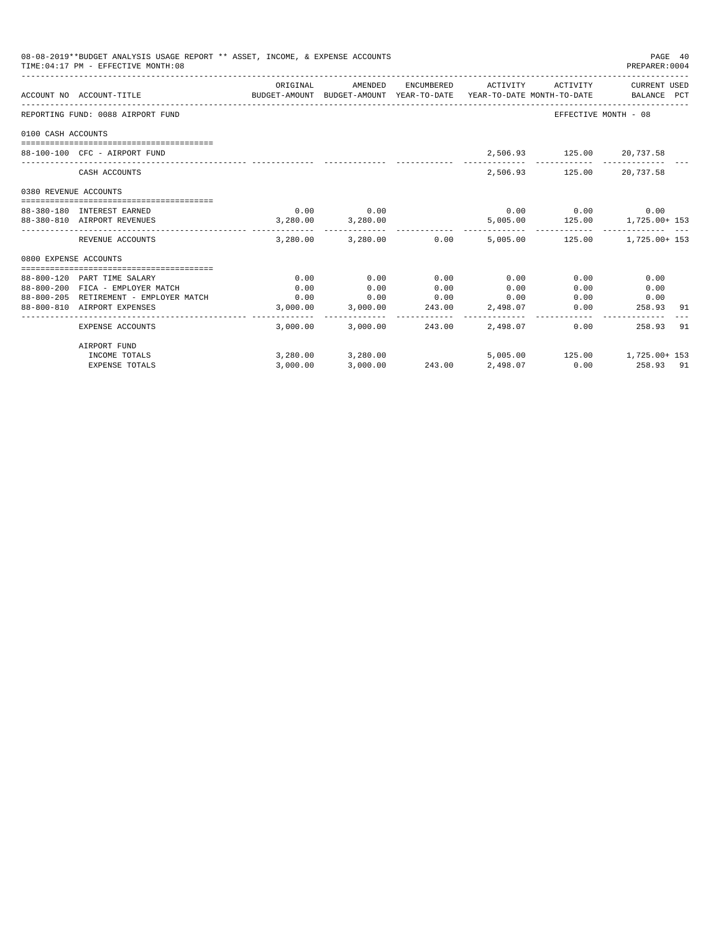| 08-08-2019**BUDGET ANALYSIS USAGE REPORT ** ASSET, INCOME, & EXPENSE ACCOUNTS<br>TIME: 04:17 PM - EFFECTIVE MONTH: 08 |                                                                            |              |                                  |                 |              |                           |                                                                                                                                |
|-----------------------------------------------------------------------------------------------------------------------|----------------------------------------------------------------------------|--------------|----------------------------------|-----------------|--------------|---------------------------|--------------------------------------------------------------------------------------------------------------------------------|
|                                                                                                                       | ACCOUNT NO ACCOUNT-TITLE                                                   | ORIGINAL     | AMENDED                          |                 |              |                           | ENCUMBERED ACTIVITY ACTIVITY CURRENT USED<br>BUDGET-AMOUNT BUDGET-AMOUNT YEAR-TO-DATE YEAR-TO-DATE MONTH-TO-DATE   BALANCE PCT |
|                                                                                                                       | REPORTING FUND: 0088 AIRPORT FUND                                          |              |                                  |                 |              |                           | EFFECTIVE MONTH - 08                                                                                                           |
| 0100 CASH ACCOUNTS                                                                                                    |                                                                            |              |                                  |                 |              |                           |                                                                                                                                |
|                                                                                                                       |                                                                            |              |                                  |                 |              |                           |                                                                                                                                |
|                                                                                                                       | 88-100-100 CFC - AIRPORT FUND                                              |              |                                  |                 |              | 2,506.93 125.00 20,737.58 |                                                                                                                                |
|                                                                                                                       | CASH ACCOUNTS                                                              |              |                                  |                 |              | 2,506.93 125.00 20,737.58 |                                                                                                                                |
| 0380 REVENUE ACCOUNTS                                                                                                 |                                                                            |              |                                  |                 |              |                           |                                                                                                                                |
|                                                                                                                       | 88-380-180 INTEREST EARNED                                                 |              | $0.00$ 0.00                      |                 |              | $0.00$ 0.00               | 0.00                                                                                                                           |
|                                                                                                                       | 88-380-810 AIRPORT REVENUES                                                |              | 3,280.00 3,280.00                |                 |              |                           | 5,005.00   125.00   1,725.00   153                                                                                             |
|                                                                                                                       | REVENUE ACCOUNTS                                                           |              | 3,280.00 3,280.00 0.00           |                 |              |                           | 5,005.00   125.00   1,725.00   153                                                                                             |
| 0800 EXPENSE ACCOUNTS                                                                                                 |                                                                            |              |                                  |                 |              |                           |                                                                                                                                |
|                                                                                                                       |                                                                            |              |                                  |                 |              |                           |                                                                                                                                |
|                                                                                                                       | 88-800-120 PART TIME SALARY                                                | 0.00         | 0.00<br>0.00                     | 0.00            | 0.00         | 0.00                      | 0.00                                                                                                                           |
|                                                                                                                       | 88-800-200 FICA - EMPLOYER MATCH<br>88-800-205 RETIREMENT - EMPLOYER MATCH | 0.00<br>0.00 |                                  | 0.00            | 0.00<br>0.00 | 0.00<br>0.00              | 0.00<br>0.00                                                                                                                   |
|                                                                                                                       | 88-800-810 AIRPORT EXPENSES                                                |              | 0.00<br>3,000.00 3,000.00 243.00 | 0.00            | 2,498.07     | 0.00                      | 258.93<br>91                                                                                                                   |
|                                                                                                                       | EXPENSE ACCOUNTS                                                           |              | 3,000.00 3,000.00 243.00         |                 | 2,498.07     |                           | 0.00<br>258.93<br>91                                                                                                           |
|                                                                                                                       | AIRPORT FUND                                                               |              |                                  |                 |              |                           |                                                                                                                                |
|                                                                                                                       | INCOME TOTALS                                                              |              | 3,280.00 3,280.00                |                 |              |                           | 5,005.00   125.00   1,725.00   153                                                                                             |
|                                                                                                                       | <b>EXPENSE TOTALS</b>                                                      | 3.000.00     | 3,000.00                         | 243.00 2,498.07 |              |                           | $0.00$ 258.93 91                                                                                                               |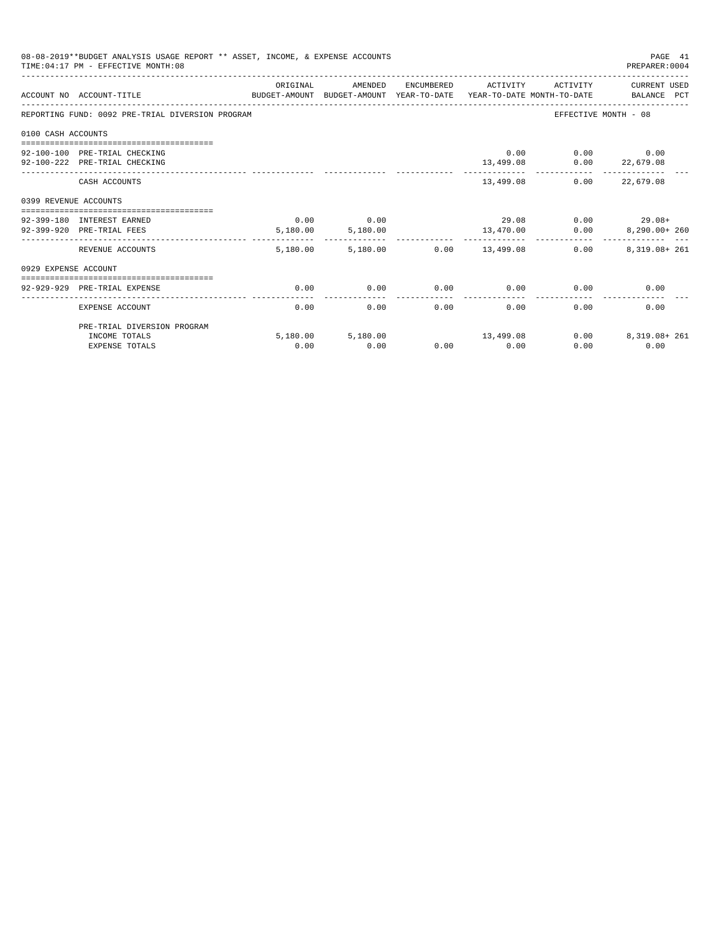|                       | 08-08-2019**BUDGET ANALYSIS USAGE REPORT ** ASSET, INCOME, & EXPENSE ACCOUNTS<br>TIME: 04:17 PM - EFFECTIVE MONTH: 08 |          |                       |                             |                     |                          | PAGE 41<br>PREPARER: 0004          |
|-----------------------|-----------------------------------------------------------------------------------------------------------------------|----------|-----------------------|-----------------------------|---------------------|--------------------------|------------------------------------|
|                       | BUDGET-AMOUNT BUDGET-AMOUNT YEAR-TO-DATE YEAR-TO-DATE MONTH-TO-DATE BALANCE PCT<br>ACCOUNT NO ACCOUNT-TITLE           | ORIGINAL | AMENDED               |                             | ENCUMBERED ACTIVITY | ACTIVITY                 | CURRENT USED                       |
|                       | REPORTING FUND: 0092 PRE-TRIAL DIVERSION PROGRAM                                                                      |          |                       |                             |                     |                          | EFFECTIVE MONTH - 08               |
| 0100 CASH ACCOUNTS    |                                                                                                                       |          |                       |                             |                     |                          |                                    |
|                       |                                                                                                                       |          |                       |                             |                     |                          |                                    |
|                       | 92-100-100 PRE-TRIAL CHECKING                                                                                         |          |                       |                             |                     | 0.00                     | $0.00$ 0.00                        |
|                       | 92-100-222 PRE-TRIAL CHECKING                                                                                         |          |                       |                             | 13,499.08           |                          | $0.00$ 22,679.08<br>-------------- |
|                       | CASH ACCOUNTS                                                                                                         |          |                       |                             |                     | 13,499.08 0.00 22,679.08 |                                    |
| 0399 REVENUE ACCOUNTS |                                                                                                                       |          |                       |                             |                     |                          |                                    |
|                       | 92-399-180 INTEREST EARNED                                                                                            | 0.00     | 0.00                  |                             |                     |                          | $29.08$ 0.00 $29.08$ +             |
|                       | 92-399-920 PRE-TRIAL FEES                                                                                             |          | 5,180.00 5,180.00     |                             |                     |                          |                                    |
|                       |                                                                                                                       |          | ------- ------------- |                             | ----------          |                          |                                    |
|                       | REVENUE ACCOUNTS                                                                                                      | 5,180.00 |                       | 5,180.00   0.00   13,499.08 |                     | 0.00                     | 8,319.08+ 261                      |
| 0929 EXPENSE ACCOUNT  |                                                                                                                       |          |                       |                             |                     |                          |                                    |
|                       |                                                                                                                       |          |                       |                             |                     |                          |                                    |
|                       | 92-929-929 PRE-TRIAL EXPENSE                                                                                          | 0.00     | 0.00                  | 0.00                        |                     | $0.00$ 0.00              | 0.00                               |
|                       | EXPENSE ACCOUNT                                                                                                       | 0.00     | 0.00                  | 0.00                        | 0.00                | 0.00                     | 0.00                               |
|                       | PRE-TRIAL DIVERSION PROGRAM                                                                                           |          |                       |                             |                     |                          |                                    |
|                       | INCOME TOTALS                                                                                                         |          | 5,180.00 5,180.00     |                             | 13,499.08           | 0.00                     | 8,319.08+ 261                      |
|                       | <b>EXPENSE TOTALS</b>                                                                                                 | 0.00     | 0.00                  |                             | $0.00$ 0.00         | 0.00                     | 0.00                               |